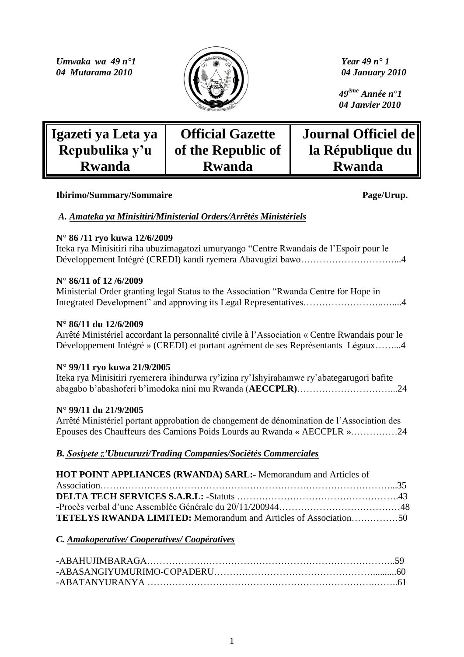*Umwaka wa 49 n°1 Year 49 n° 1 04 Mutarama 2010*  $\left| \iint_{\mathbb{R}} \wedge \mathcal{W} \right|$  *O4 January 2010* 



 *49ème Année n°1 04 Janvier 2010*

| Igazeti ya Leta ya | <b>Official Gazette</b> | Journal Officiel de |
|--------------------|-------------------------|---------------------|
| Repubulika y'u     | of the Republic of      | la République du    |
| <b>Rwanda</b>      | <b>Rwanda</b>           | <b>Rwanda</b>       |

### **Ibirimo/Summary/Sommaire Page/Urup.**

## *A. Amateka ya Minisitiri/Ministerial Orders/Arrêtés Ministériels*

## **N° 86 /11 ryo kuwa 12/6/2009**

Iteka rya Minisitiri riha ubuzimagatozi umuryango "Centre Rwandais de l"Espoir pour le Développement Intégré (CREDI) kandi ryemera Abavugizi bawo…………………………...4

## **N° 86/11 of 12 /6/2009**

Ministerial Order granting legal Status to the Association "Rwanda Centre for Hope in Integrated Development" and approving its Legal Representatives……………………..…....4

### **N° 86/11 du 12/6/2009**

Arrêté Ministériel accordant la personnalité civile à l"Association « Centre Rwandais pour le Développement Intégré » (CREDI) et portant agrément de ses Représentants Légaux……...4

## **N° 99/11 ryo kuwa 21/9/2005**

Iteka rya Minisitiri ryemerera ihindurwa ry"izina ry"Ishyirahamwe ry"abategarugori bafite abagabo b"abashoferi b"imodoka nini mu Rwanda (**AECCPLR)**…………………………...24

## **N° 99/11 du 21/9/2005**

Arrêté Ministériel portant approbation de changement de dénomination de l"Association des Epouses des Chauffeurs des Camions Poids Lourds au Rwanda « AECCPLR »……………24

## *B. Sosiyete z'Ubucuruzi/Trading Companies/Sociétés Commerciales*

| HOT POINT APPLIANCES (RWANDA) SARL:- Memorandum and Articles of         |  |
|-------------------------------------------------------------------------|--|
|                                                                         |  |
|                                                                         |  |
|                                                                         |  |
| <b>TETELYS RWANDA LIMITED:</b> Memorandum and Articles of Association50 |  |

## *C. Amakoperative/ Cooperatives/ Coopératives*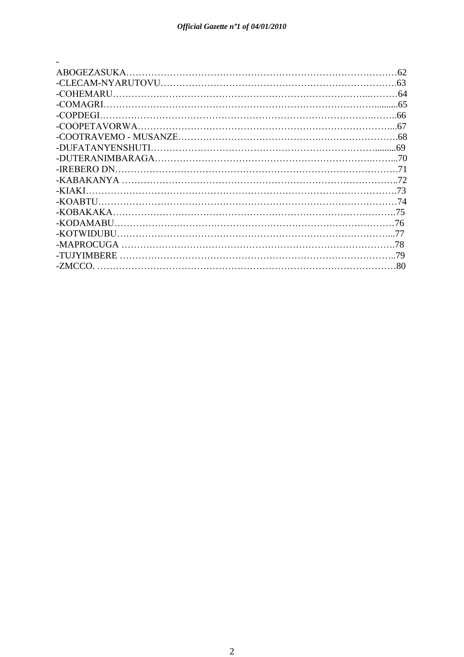| ABOGEZASUKA.      | 62  |
|-------------------|-----|
|                   | 63  |
| -COHEMARU         |     |
| -COMAGRI          |     |
| -COPDEGI -        | 66  |
|                   | 67  |
|                   |     |
| -DUFATANYENSHUTI. |     |
|                   | -70 |
| -IREBERO DN       |     |
|                   | 72  |
| -KIAKI            | 73  |
| -KOARTU           |     |
|                   | 75  |
| -KODAMABU.        | 76  |
| -KOTWIDUBU        |     |
| -MAPROCUGA        | 78  |
| -TUJYIMBERE       | 79  |
| -ZMCCO            | 80  |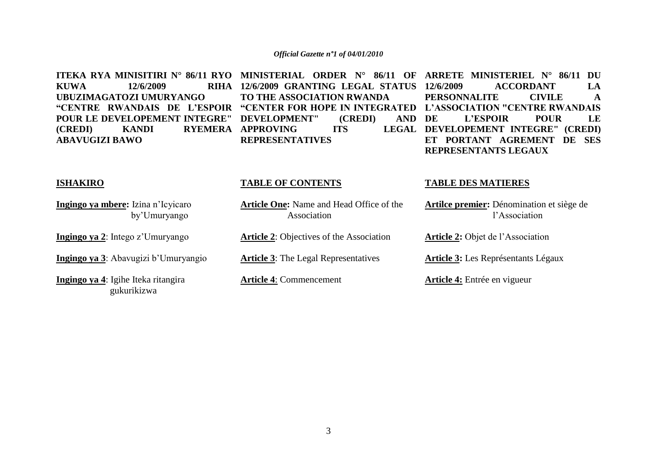**KUWA** 12/6/2009 **UBUZIMAGATOZI UMURYANGO POUR LE DEVELOPEMENT INTEGRE" DEVELOPMENT" (CREDI) AND (CREDI) KANDI RYEMERA APPROVING ITS LEGAL ABAVUGIZI BAWO**

**12/6/2009 GRANTING LEGAL STATUS TO THE ASSOCIATION RWANDA REPRESENTATIVES**

**ITEKA RYA MINISITIRI N° 86/11 RYO MINISTERIAL ORDER N° 86/11 OF ARRETE MINISTERIEL N° 86/11 DU**  "CENTRE RWANDAIS DE L'ESPOIR "CENTER FOR HOPE IN INTEGRATED L'ASSOCIATION "CENTRE RWANDAIS **12/6/2009 ACCORDANT LA PERSONNALITE CIVILE A DE L"ESPOIR POUR LE DEVELOPEMENT INTEGRE" (CREDI) ET PORTANT AGREMENT DE SES REPRESENTANTS LEGAUX**

### **ISHAKIRO**

**Ingingo ya mbere:** Izina n"Icyicaro by"Umuryango

**Ingingo ya 2**: Intego z"Umuryango

**Ingingo ya 3**: Abavugizi b"Umuryangio

**Ingingo ya 4**: Igihe Iteka ritangira gukurikizwa

#### **TABLE OF CONTENTS**

**Article One:** Name and Head Office of the Association

**Article 2**: Objectives of the Association

**Article 3**: The Legal Representatives

**Article 4**: Commencement

#### **TABLE DES MATIERES**

**Artilce premier:** Dénomination et siège de l"Association

**Article 2:** Objet de l"Association

**Article 3:** Les Représentants Légaux

**Article 4:** Entrée en vigueur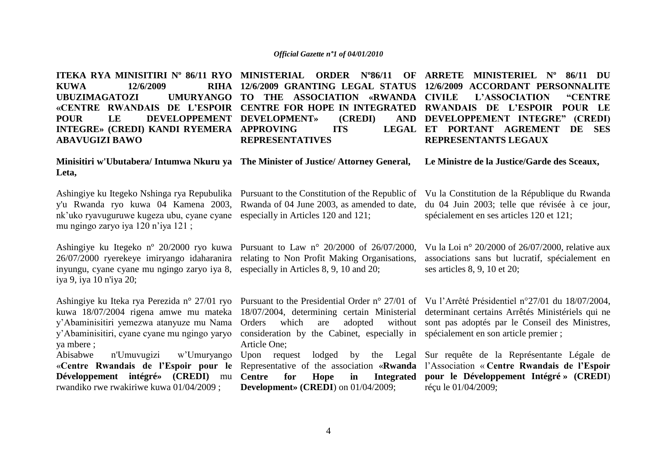**ITEKA RYA MINISITIRI Nº 86/11 RYO MINISTERIAL ORDER Nº86/11 OF ARRETE MINISTERIEL Nº 86/11 DU KUWA** 12/6/2009 **UBUZIMAGATOZI «CENTRE RWANDAIS DE L"ESPOIR CENTRE FOR HOPE IN INTEGRATED RWANDAIS DE L"ESPOIR POUR LE POUR LE DEVELOPPEMENT DEVELOPMENT» (CREDI) AND INTEGRE» (CREDI) KANDI RYEMERA APPROVING ITS LEGAL ABAVUGIZI BAWO Minisitiri w'Ubutabera/ Intumwa Nkuru ya The Minister of Justice/ Attorney General, Leta,** Ashingiye ku Itegeko Nshinga rya Repubulika Pursuant to the Constitution of the Republic of Vu la Constitution de la République du Rwanda y'u Rwanda ryo kuwa 04 Kamena 2003, Rwanda of 04 June 2003, as amended to date, du 04 Juin 2003; telle que révisée à ce jour, nk'uko ryavuguruwe kugeza ubu, cyane cyane especially in Articles 120 and 121; mu ngingo zaryo iya 120 n"iya 121 ; Ashingiye ku Itegeko nº 20/2000 ryo kuwa Pursuant to Law n° 20/2000 of 26/07/2000, 26/07/2000 ryerekeye imiryango idaharanira relating to Non Profit Making Organisations, inyungu, cyane cyane mu ngingo zaryo iya 8, especially in Articles 8, 9, 10 and 20; iya 9, iya 10 n'iya 20; Ashingiye ku Iteka rya Perezida n° 27/01 ryo Pursuant to the Presidential Order n° 27/01 of Vu l"Arrêté Présidentiel n°27/01 du 18/07/2004, kuwa 18/07/2004 rigena amwe mu mateka 18/07/2004, determining certain Ministerial determinant certains Arrêtés Ministériels qui ne y"Abaminisitiri yemezwa atanyuze mu Nama y"Abaminisitiri, cyane cyane mu ngingo yaryo ya mbere ; Abisabwe n'Umuvugizi w"Umuryango Upon request lodged by the Legal Sur requête de la Représentante Légale de «**Centre Rwandais de l"Espoir pour le**  Representative of the association «**Rwanda**  l"Association « **Centre Rwandais de l"Espoir Développement intégré» (CREDI)** mu **Centre for Hope in Integrated**  rwandiko rwe rwakiriwe kuwa 01/04/2009 ; **12/6/2009 GRANTING LEGAL STATUS 12/6/2009 ACCORDANT PERSONNALITE TO THE ASSOCIATION «RWANDA CIVILE REPRESENTATIVES** Orders which are adopted consideration by the Cabinet, especially in spécialement en son article premier ; Article One; **Development» (CREDI**) on 01/04/2009; **L'ASSOCIATION "CENTRE DEVELOPPEMENT INTEGRE" (CREDI) ET PORTANT AGREMENT DE SES REPRESENTANTS LEGAUX Le Ministre de la Justice/Garde des Sceaux,** spécialement en ses articles 120 et 121; Vu la Loi n° 20/2000 of 26/07/2000, relative aux associations sans but lucratif, spécialement en ses articles 8, 9, 10 et 20; sont pas adoptés par le Conseil des Ministres, **pour le Développement Intégré » (CREDI**) réçu le 01/04/2009;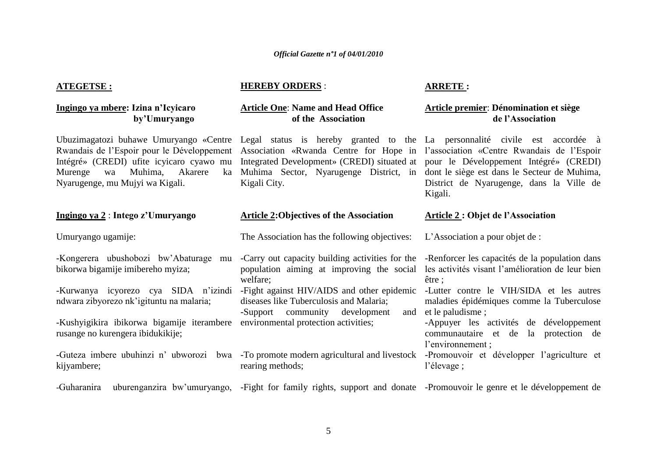### **ATEGETSE :**

### **Ingingo ya mbere: Izina n"Icyicaro by"Umuryango**

Murenge wa Muhima, Akarere Nyarugenge, mu Mujyi wa Kigali.

### **Ingingo ya 2** : **Intego z"Umuryango**

Umuryango ugamije:

bikorwa bigamije imibereho myiza;

ndwara zibyorezo nk"igituntu na malaria;

-Kushyigikira ibikorwa bigamije iterambere environmental protection activities; rusange no kurengera ibidukikije;

kijyambere;

### **HEREBY ORDERS** :

welfare;

rearing methods;

### **Article One**: **Name and Head Office of the Association**

**Article 2:Objectives of the Association**

diseases like Tuberculosis and Malaria; -Support community development

The Association has the following objectives:

Kigali City.

### **ARRETE :**

### **Article premier**: **Dénomination et siège de l"Association**

Ubuzimagatozi buhawe Umuryango «Centre Legal status is hereby granted to the La personnalité civile est accordée à Rwandais de l"Espoir pour le Développement Association «Rwanda Centre for Hope in l"association «Centre Rwandais de l"Espoir Intégré» (CREDI) ufite icyicaro cyawo mu Integrated Development» (CREDI) situated at pour le Développement Intégré» (CREDI) Muhima Sector, Nyarugenge District, in dont le siège est dans le Secteur de Muhima, District de Nyarugenge, dans la Ville de Kigali.

#### **Article 2 : Objet de l"Association**

L'Association a pour objet de :

-Kongerera ubushobozi bw'Abaturage mu -Carry out capacity building activities for the -Renforcer les capacités de la population dans population aiming at improving the social les activités visant l"amélioration de leur bien être ;

-Kurwanya icyorezo cya SIDA n'izindi -Fight against HIV/AIDS and other epidemic -Lutter contre le VIH/SIDA et les autres maladies épidémiques comme la Tuberculose and et le paludisme :

> -Appuyer les activités de développement communautaire et de la protection de l"environnement ;

-Guteza imbere ubuhinzi n' ubworozi bwa -To promote modern agricultural and livestock -Promouvoir et développer l'agriculture et l"élevage ;

-Guharanira uburenganzira bw"umuryango, -Fight for family rights, support and donate -Promouvoir le genre et le développement de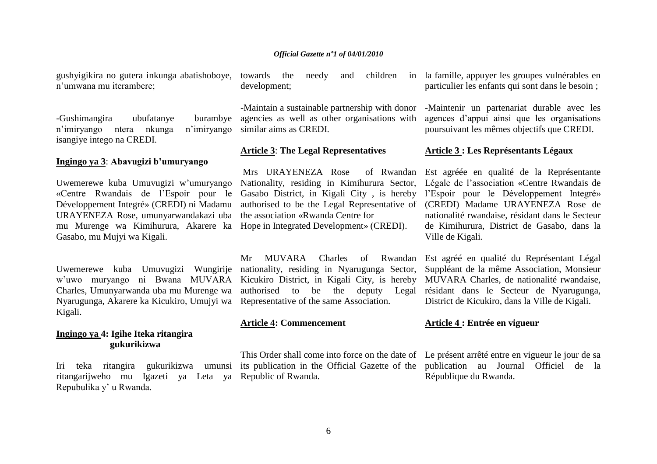gushyigikira no gutera inkunga abatishoboye, towards the needy and children in n"umwana mu iterambere;

-Gushimangira ubufatanye burambye n'imiryango ntera nkunga isangiye intego na CREDI.

### **Ingingo ya 3**: **Abavugizi b"umuryango**

Uwemerewe kuba Umuvugizi w"umuryango «Centre Rwandais de l"Espoir pour le Développement Integré» (CREDI) ni Madamu URAYENEZA Rose, umunyarwandakazi uba the association «Rwanda Centre for mu Murenge wa Kimihurura, Akarere ka Hope in Integrated Development» (CREDI). Gasabo, mu Mujyi wa Kigali.

Nyarugunga, Akarere ka Kicukiro, Umujyi wa Representative of the same Association. Kigali.

### **Ingingo ya 4: Igihe Iteka ritangira gukurikizwa**

ritangarijweho mu Igazeti ya Leta ya Republic of Rwanda. Repubulika y" u Rwanda.

development;

-Maintain a sustainable partnership with donor agencies as well as other organisations with n'imirvango similar aims as CREDI.

### **Article 3**: **The Legal Representatives**

Mrs URAYENEZA Rose

### **Article 4: Commencement**

This Order shall come into force on the date of Le présent arrêté entre en vigueur le jour de sa

la famille, appuyer les groupes vulnérables en particulier les enfants qui sont dans le besoin ;

-Maintenir un partenariat durable avec les agences d"appui ainsi que les organisations poursuivant les mêmes objectifs que CREDI.

#### **Article 3 : Les Représentants Légaux**

Nationality, residing in Kimihurura Sector, Légale de l"association «Centre Rwandais de Gasabo District, in Kigali City , is hereby l"Espoir pour le Développement Integré» authorised to be the Legal Representative of (CREDI) Madame URAYENEZA Rose de Est agréée en qualité de la Représentante nationalité rwandaise, résidant dans le Secteur de Kimihurura, District de Gasabo, dans la Ville de Kigali.

Uwemerewe kuba Umuvugizi Wungirije nationality, residing in Nyarugunga Sector, Suppléant de la même Association, Monsieur w"uwo muryango ni Bwana MUVARA Kicukiro District, in Kigali City, is hereby MUVARA Charles, de nationalité rwandaise, Charles, Umunyarwanda uba mu Murenge wa authorised to be the deputy Legal résidant dans le Secteur de Nyarugunga, Mr MUVARA Charles of Rwandan Est agréé en qualité du Représentant Légal District de Kicukiro, dans la Ville de Kigali.

### **Article 4 : Entrée en vigueur**

Iri teka ritangira gukurikizwa umunsi its-publication-in-the-Official-Gazette-of-the-publication au Journal Officiel de la République du Rwanda.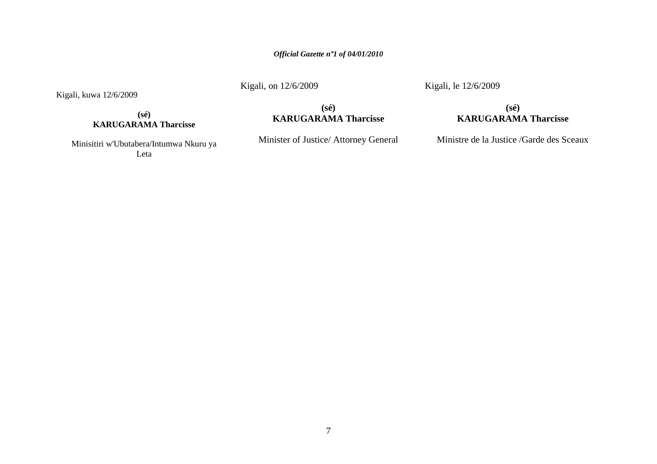Kigali, on 12/6/2009

Kigali, le 12/6/2009

**(sé) KARUGARAMA Tharcisse**

Kigali, kuwa 12/6/2009

Minisitiri w'Ubutabera/Intumwa Nkuru ya Leta

**(sé) KARUGARAMA Tharcisse**

Minister of Justice/ Attorney General

Ministre de la Justice /Garde des Sceaux

**(sé) KARUGARAMA Tharcisse**

7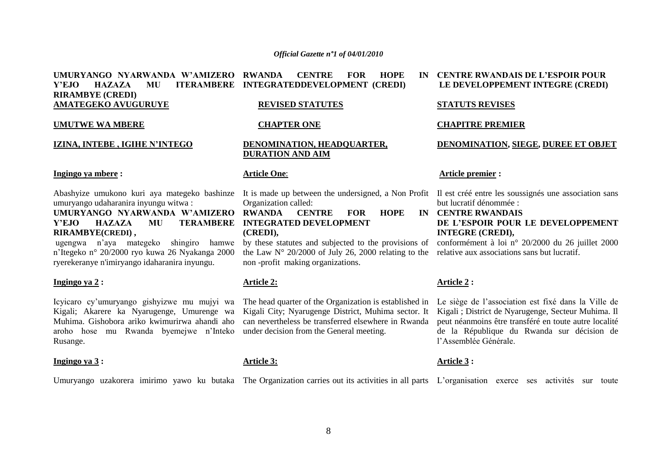#### **UMURYANGO NYARWANDA W"AMIZERO Y"EJO HAZAZA MU ITERAMBERE INTEGRATEDDEVELOPMENT (CREDI) RIRAMBYE (CREDI) AMATEGEKO AVUGURUYE CENTRE FOR HOPE REVISED STATUTES**

#### **UMUTWE WA MBERE**

#### **IZINA, INTEBE , IGIHE N"INTEGO**

#### **Ingingo ya mbere :**

umuryango udaharanira inyungu witwa :

**Y"EJO HAZAZA MU TERAMBERE INTEGRATED DEVELOPMENT RIRAMBYE(CREDI) ,**

ugengwa n"aya mategeko shingiro hamwe n"Itegeko n° 20/2000 ryo kuwa 26 Nyakanga 2000 ryerekeranye n'imiryango idaharanira inyungu.

#### **Ingingo ya 2 :**

Icyicaro cy"umuryango gishyizwe mu mujyi wa Kigali; Akarere ka Nyarugenge, Umurenge wa Muhima. Gishobora ariko kwimurirwa ahandi aho aroho hose mu Rwanda byemejwe n"Inteko Rusange.

#### **Ingingo ya 3 :**

# **CHAPTER ONE**

#### **DENOMINATION, HEADQUARTER, DURATION AND AIM**

#### **Article One**:

Abashyize umukono kuri aya mategeko bashinze It is made up between the undersigned, a Non Profit Il est créé entre les soussignés une association sans Organization called:

**UMURYANGO NYARWANDA W"AMIZERO RWANDA CENTRE FOR HOPE IN (CREDI),**

> by these statutes and subjected to the provisions of the Law  $N^{\circ}$  20/2000 of July 26, 2000 relating to the non -profit making organizations.

### **Article 2:**

The head quarter of the Organization is established in Kigali City; Nyarugenge District, Muhima sector. It can nevertheless be transferred elsewhere in Rwanda under decision from the General meeting.

### **Article 3:**

#### **CENTRE RWANDAIS DE L"ESPOIR POUR LE DEVELOPPEMENT INTEGRE (CREDI)**

#### **STATUTS REVISES**

#### **CHAPITRE PREMIER**

**DENOMINATION, SIEGE, DUREE ET OBJET**

#### **Article premier :**

but lucratif dénommée :

**CENTRE RWANDAIS DE L"ESPOIR POUR LE DEVELOPPEMENT INTEGRE (CREDI),**

conformément à loi n° 20/2000 du 26 juillet 2000 relative aux associations sans but lucratif.

### **Article 2 :**

Le siège de l"association est fixé dans la Ville de Kigali ; District de Nyarugenge, Secteur Muhima. Il peut néanmoins être transféré en toute autre localité de la République du Rwanda sur décision de l"Assemblée Générale.

### **Article 3 :**

Umuryango uzakorera imirimo yawo ku butaka The Organization carries out its activities in all parts L'organisation exerce ses activités sur toute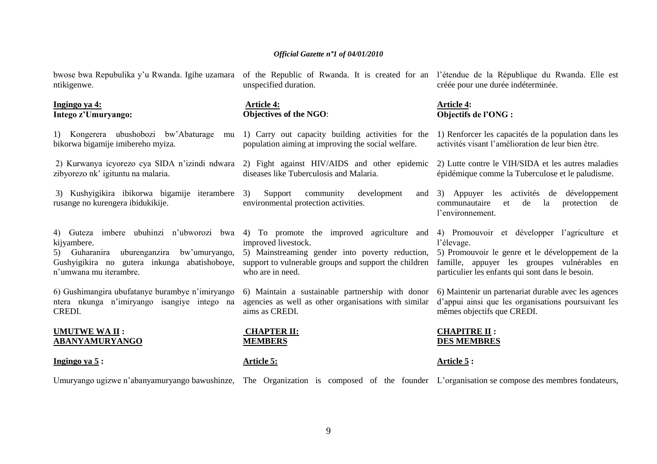ntikigenwe.

#### **Ingingo ya 4: Intego z"Umuryango:**

1) Kongerera ubushobozi bw"Abaturage mu bikorwa bigamije imibereho myiza.

zibyorezo nk' igituntu na malaria.

3) Kushyigikira ibikorwa bigamije iterambere rusange no kurengera ibidukikije.

kijyambere.

5) Guharanira uburenganzira bw"umuryango, Gushyigikira no gutera inkunga abatishoboye, n"umwana mu iterambre.

6) Gushimangira ubufatanye burambye n"imiryango ntera nkunga n"imiryango isangiye intego na CREDI.

#### **UMUTWE WA II : ABANYAMURYANGO**

**Ingingo ya 5 :**

unspecified duration.

#### **Article 4: Objectives of the NGO**:

- 1) Carry out capacity building activities for the population aiming at improving the social welfare.
- 2) Kurwanya icyorezo cya SIDA n"izindi ndwara 2) Fight against HIV/AIDS and other epidemic diseases like Tuberculosis and Malaria.
	- Support community development environmental protection activities.
	- improved livestock.

5) Mainstreaming gender into poverty reduction, support to vulnerable groups and support the children who are in need.

6) Maintain a sustainable partnership with donor agencies as well as other organisations with similar aims as CREDI.

**CHAPTER II: MEMBERS** 

# **Article 5:**

bwose bwa Repubulika y'u Rwanda. Igihe uzamara of the Republic of Rwanda. It is created for an l'étendue de la République du Rwanda. Elle est créée pour une durée indéterminée.

#### **Article 4: Objectifs de l"ONG :**

1) Renforcer les capacités de la population dans les activités visant l"amélioration de leur bien être.

2) Lutte contre le VIH/SIDA et les autres maladies épidémique comme la Tuberculose et le paludisme.

3) Appuyer les activités de développement communautaire et de la protection de l"environnement.

4) Guteza imbere ubuhinzi n"ubworozi bwa 4) To promote the improved agriculture and 4) Promouvoir et développer l"agriculture et l"élevage.

> 5) Promouvoir le genre et le développement de la famille, appuyer les groupes vulnérables en particulier les enfants qui sont dans le besoin.

> 6) Maintenir un partenariat durable avec les agences d"appui ainsi que les organisations poursuivant les mêmes objectifs que CREDI.

### **CHAPITRE II : DES MEMBRES**

**Article 5 :**

Umuryango ugizwe n'abanyamuryango bawushinze, The Organization is composed of the founder L'organisation se compose des membres fondateurs,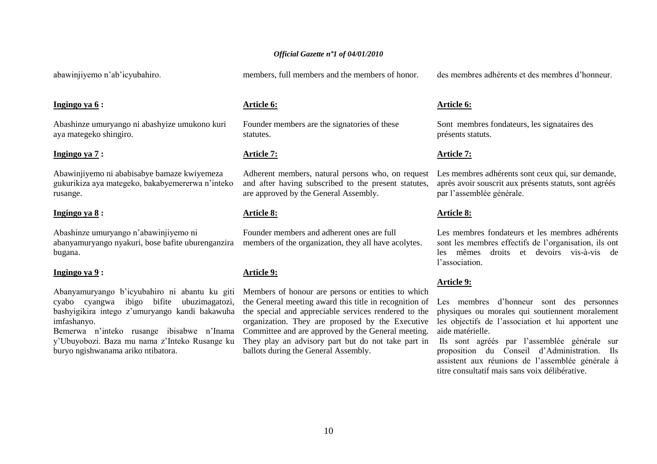abawinjiyemo n"ab"icyubahiro.

#### **Ingingo ya 6 :**

Abashinze umuryango ni abashyize umukono kuri aya mategeko shingiro.

#### **Ingingo ya 7 :**

Abawinjiyemo ni ababisabye bamaze kwiyemeza gukurikiza aya mategeko, bakabyemererwa n"inteko rusange.

#### **Ingingo ya 8 :**

Abashinze umuryango n"abawinjiyemo ni abanyamuryango nyakuri, bose bafite uburenganzira bugana.

### **Ingingo ya 9 :**

cyabo cyangwa ibigo bifite ubuzimagatozi, bashyigikira intego z"umuryango kandi bakawuha imfashanyo.

y"Ubuyobozi. Baza mu nama z"Inteko Rusange ku buryo ngishwanama ariko ntibatora.

members, full members and the members of honor.

#### **Article 6:**

Founder members are the signatories of these statutes.

#### **Article 7:**

Adherent members, natural persons who, on request and after having subscribed to the present statutes, are approved by the General Assembly.

### **Article 8:**

Founder members and adherent ones are full members of the organization, they all have acolytes.

### **Article 9:**

Abanyamuryango b'icyubahiro ni abantu ku giti Members of honour are persons or entities to which Bemerwa n'inteko rusange ibisabwe n'Inama Committee and are approved by the General meeting. the General meeting award this title in recognition of the special and appreciable services rendered to the organization. They are proposed by the Executive They play an advisory part but do not take part in ballots during the General Assembly.

des membres adhérents et des membres d"honneur.

#### **Article 6:**

Sont membres fondateurs, les signataires des présents statuts.

#### **Article 7:**

Les membres adhérents sont ceux qui, sur demande, après avoir souscrit aux présents statuts, sont agréés par l"assemblée générale.

#### **Article 8:**

Les membres fondateurs et les membres adhérents sont les membres effectifs de l"organisation, ils ont les mêmes droits et devoirs vis-à-vis de l"association.

#### **Article 9:**

Les membres d"honneur sont des personnes physiques ou morales qui soutiennent moralement les objectifs de l"association et lui apportent une aide matérielle.

Ils sont agréés par l"assemblée générale sur proposition du Conseil d"Administration. Ils assistent aux réunions de l"assemblée générale à titre consultatif mais sans voix délibérative.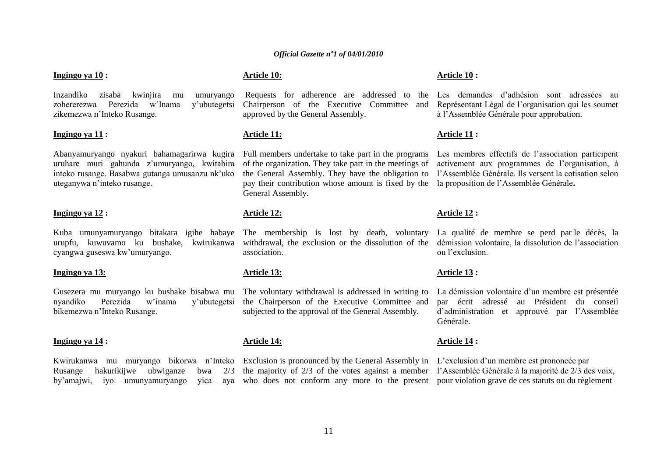#### **Ingingo ya 10 :**

Inzandiko zisaba kwinjira mu umuryango zohererezwa Perezida w"Inama y"ubutegetsi zikemezwa n"Inteko Rusange.

#### **Ingingo ya 11 :**

Abanyamuryango nyakuri bahamagarirwa kugira uruhare muri gahunda z"umuryango, kwitabira inteko rusange. Basabwa gutanga umusanzu nk"uko uteganywa n"inteko rusange.

#### **Ingingo ya 12 :**

Kuba umunyamuryango bitakara igihe habaye The membership is lost by death, voluntary urupfu, kuwuvamo ku bushake, kwirukanwa cyangwa guseswa kw"umuryango.

#### **Ingingo ya 13:**

Gusezera mu muryango ku bushake bisabwa mu The voluntary withdrawal is addressed in writing to nyandiko Perezida w"inama y"ubutegetsi bikemezwa n"Inteko Rusange.

#### **Ingingo ya 14 :**

Kwirukanwa mu muryango bikorwa n"Inteko Rusange hakurikijwe ubwiganze by'amajwi, iyo umunyamuryango yica

### **Article 10:**

Requests for adherence are addressed to the Chairperson of the Executive Committee and approved by the General Assembly.

#### **Article 11:**

Full members undertake to take part in the programs of the organization. They take part in the meetings of the General Assembly. They have the obligation to pay their contribution whose amount is fixed by the General Assembly.

### **Article 12:**

withdrawal, the exclusion or the dissolution of the association.

#### **Article 13:**

the Chairperson of the Executive Committee and subjected to the approval of the General Assembly.

### **Article 14:**

Exclusion is pronounced by the General Assembly in L'exclusion d'un membre est prononcée par the majority of 2/3 of the votes against a member l"Assemblée Générale à la majorité de 2/3 des voix, who does not conform any more to the present pour violation grave de ces statuts ou du règlement

#### **Article 10 :**

Les demandes d"adhésion sont adressées au Représentant Légal de l"organisation qui les soumet à l"Assemblée Générale pour approbation.

#### **Article 11 :**

Les membres effectifs de l"association participent activement aux programmes de l"organisation, à l"Assemblée Générale. Ils versent la cotisation selon la proposition de l"Assemblée Générale**.**

#### **Article 12 :**

La qualité de membre se perd par le décès, la démission volontaire, la dissolution de l"association ou l"exclusion.

#### **Article 13 :**

La démission volontaire d'un membre est présentée par écrit adressé au Président du conseil d"administration et approuvé par l"Assemblée Générale.

#### **Article 14 :**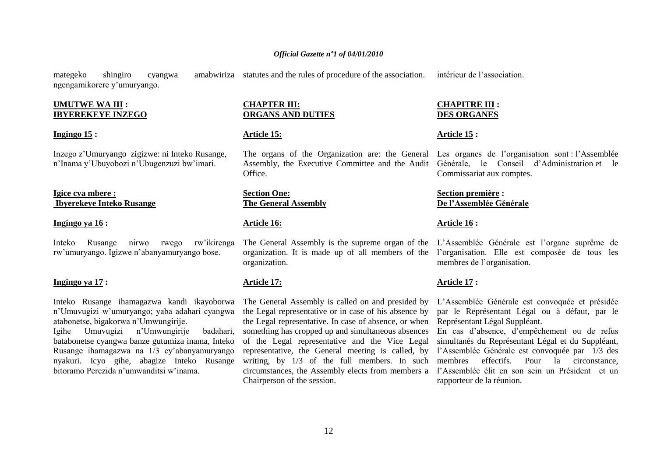mategeko shingiro cyangwa amabwiriza statutes and the rules of procedure of the association. ngengamikorere y"umuryango.

#### **UMUTWE WA III : IBYEREKEYE INZEGO**

#### **Ingingo 15 :**

Inzego z"Umuryango zigizwe: ni Inteko Rusange, n"Inama y"Ubuyobozi n"Ubugenzuzi bw"imari.

#### **Igice cya mbere : Ibyerekeye Inteko Rusange**

#### **Ingingo ya 16 :**

Inteko Rusange nirwo rwego rw"ikirenga rw"umuryango. Igizwe n"abanyamuryango bose.

#### **Ingingo ya 17 :**

Inteko Rusange ihamagazwa kandi ikayoborwa n"Umuvugizi w"umuryango; yaba adahari cyangwa atabonetse, bigakorwa n"Umwungirije. Igihe Umuvugizi n"Umwungirije badahari, batabonetse cyangwa banze gutumiza inama, Inteko Rusange ihamagazwa na 1/3 cy"abanyamuryango nyakuri. Icyo gihe, abagize Inteko Rusange bitoramo Perezida n"umwanditsi w"inama.

### **CHAPTER III: ORGANS AND DUTIES**

### **Article 15:**

The organs of the Organization are: the General Assembly, the Executive Committee and the Audit Office.

#### **Section One: The General Assembly**

#### **Article 16:**

organization.

### **Article 17:**

The General Assembly is called on and presided by the Legal representative or in case of his absence by the Legal representative. In case of absence, or when something has cropped up and simultaneous absences of the Legal representative and the Vice Legal representative, the General meeting is called, by l"Assemblée Générale est convoquée par 1/3 des writing, by 1/3 of the full members. In such circumstances, the Assembly elects from members a Chairperson of the session.

#### **CHAPITRE III : DES ORGANES**

#### **Article 15 :**

Les organes de l'organisation sont : l'Assemblée Générale, le Conseil d"Administration et le Commissariat aux comptes.

#### **Section première : De l"Assemblée Générale**

#### **Article 16 :**

The General Assembly is the supreme organ of the L"Assemblée Générale est l"organe suprême de organization. It is made up of all members of the l"organisation. Elle est composée de tous les membres de l"organisation.

#### **Article 17 :**

L"Assemblée Générale est convoquée et présidée par le Représentant Légal ou à défaut, par le Représentant Légal Suppléant.

En cas d"absence, d"empêchement ou de refus simultanés du Représentant Légal et du Suppléant, membres effectifs. Pour la circonstance, l"Assemblée élit en son sein un Président et un rapporteur de la réunion.

intérieur de l"association.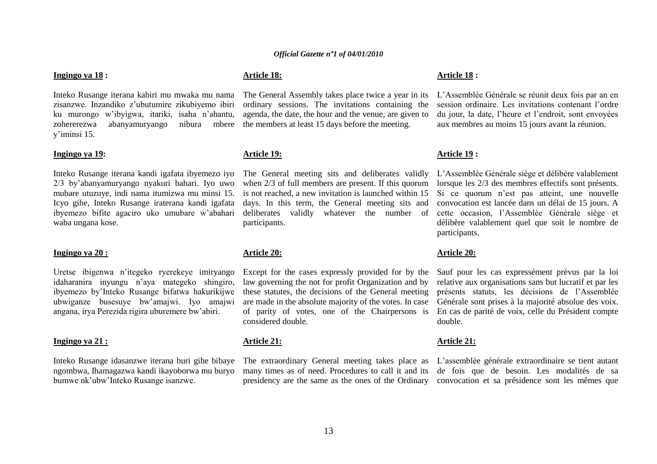### **Ingingo ya 18 :**

Inteko Rusange iterana kabiri mu mwaka mu nama zisanzwe. Inzandiko z"ubutumire zikubiyemo ibiri ku murongo w"ibyigwa, itariki, isaha n"ahantu, zohererezwa abanyamuryango nibura mbere y"iminsi 15.

#### **Ingingo ya 19:**

Inteko Rusange iterana kandi igafata ibyemezo iyo 2/3 by"abanyamuryango nyakuri bahari. Iyo uwo mubare utuzuye, indi nama itumizwa mu minsi 15. Icyo gihe, Inteko Rusange iraterana kandi igafata ibyemezo bifite agaciro uko umubare w"abahari waba ungana kose.

#### **Ingingo ya 20 :**

Uretse ibigenwa n"itegeko ryerekeye imiryango idaharanira inyungu n"aya mategeko shingiro, ibyemezo by"Inteko Rusange bifatwa hakurikijwe ubwiganze busesuye bw"amajwi. Iyo amajwi angana, irya Perezida rigira uburemere bw"abiri.

#### **Ingingo ya 21 :**

Inteko Rusange idasanzwe iterana buri gihe bibaye ngombwa, Ihamagazwa kandi ikayoborwa mu buryo bumwe nk"ubw"Inteko Rusange isanzwe.

### **Article 18:**

The General Assembly takes place twice a year in its ordinary sessions. The invitations containing the agenda, the date, the hour and the venue, are given to the members at least 15 days before the meeting.

#### **Article 19:**

The General meeting sits and deliberates validly when 2/3 of full members are present. If this quorum is not reached, a new invitation is launched within 15 days. In this term, the General meeting sits and deliberates validly whatever the number of participants.

### **Article 20:**

Except for the cases expressly provided for by the law governing the not for profit Organization and by these statutes, the decisions of the General meeting are made in the absolute majority of the votes. In case of parity of votes, one of the Chairpersons is considered double.

#### **Article 21:**

The extraordinary General meeting takes place as many times as of need. Procedures to call it and its presidency are the same as the ones of the Ordinary convocation et sa présidence sont les mêmes que

#### **Article 18 :**

L"Assemblée Générale se réunit deux fois par an en session ordinaire. Les invitations contenant l"ordre du jour, la date, l"heure et l"endroit, sont envoyées aux membres au moins 15 jours avant la réunion.

#### **Article 19 :**

L"Assemblée Générale siège et délibère valablement lorsque les 2/3 des membres effectifs sont présents. Si ce quorum n'est pas atteint, une nouvelle convocation est lancée dans un délai de 15 jours. A cette occasion, l"Assemblée Générale siège et délibère valablement quel que soit le nombre de participants.

#### **Article 20:**

Sauf pour les cas expressément prévus par la loi relative aux organisations sans but lucratif et par les présents statuts, les décisions de l"Assemblée Générale sont prises à la majorité absolue des voix. En cas de parité de voix, celle du Président compte double.

#### **Article 21:**

L"assemblée générale extraordinaire se tient autant de fois que de besoin. Les modalités de sa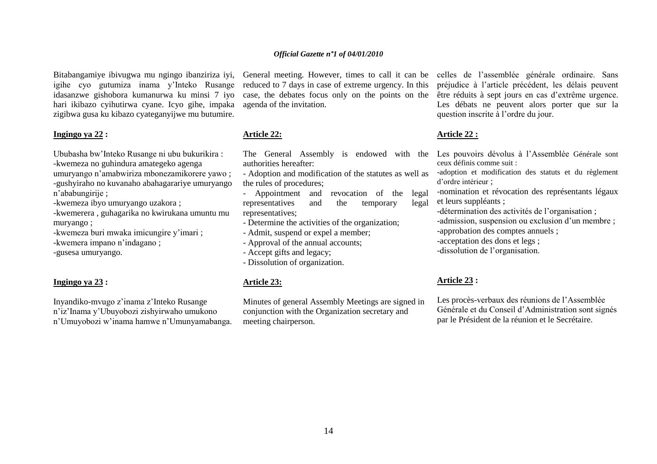Bitabangamiye ibivugwa mu ngingo ibanziriza iyi, igihe cyo gutumiza inama y"Inteko Rusange idasanzwe gishobora kumanurwa ku minsi 7 iyo hari ikibazo cyihutirwa cyane. Icyo gihe, impaka zigibwa gusa ku kibazo cyateganyijwe mu butumire.

#### **Ingingo ya 22 :**

Ububasha bw"Inteko Rusange ni ubu bukurikira : -kwemeza no guhindura amategeko agenga

umuryango n"amabwiriza mbonezamikorere yawo ; -gushyiraho no kuvanaho abahagarariye umuryango

n"ababungirije ;

-kwemeza ibyo umuryango uzakora ;

-kwemerera , guhagarika no kwirukana umuntu mu muryango ;

-kwemeza buri mwaka imicungire y"imari ;

-kwemera impano n"indagano ;

-gusesa umuryango.

#### **Ingingo ya 23 :**

Inyandiko-mvugo z"inama z"Inteko Rusange n"iz"Inama y"Ubuyobozi zishyirwaho umukono n"Umuyobozi w"inama hamwe n"Umunyamabanga. reduced to 7 days in case of extreme urgency. In this case, the debates focus only on the points on the agenda of the invitation.

### **Article 22:**

The General Assembly is endowed with the Les pouvoirs dévolus à l"Assemblée Générale sont authorities hereafter:

- Adoption and modification of the statutes as well as the rules of procedures;

- Appointment and revocation of the legal representatives and the temporary legal representatives;

- Determine the activities of the organization;

- Admit, suspend or expel a member;

- Approval of the annual accounts;

- Accept gifts and legacy;

- Dissolution of organization.

#### **Article 23:**

Minutes of general Assembly Meetings are signed in conjunction with the Organization secretary and meeting chairperson.

General meeting. However, times to call it can be celles de l"assemblée générale ordinaire. Sans préjudice à l"article précédent, les délais peuvent être réduits à sept jours en cas d"extrême urgence. Les débats ne peuvent alors porter que sur la question inscrite à l"ordre du jour.

#### **Article 22 :**

ceux définis comme suit :

-adoption et modification des statuts et du règlement d"ordre intérieur ;

-nomination et révocation des représentants légaux et leurs suppléants ;

-détermination des activités de l"organisation ;

-admission, suspension ou exclusion d'un membre ;

-approbation des comptes annuels ;

-acceptation des dons et legs ;

-dissolution de l"organisation.

### **Article 23 :**

Les procès-verbaux des réunions de l"Assemblée Générale et du Conseil d"Administration sont signés par le Président de la réunion et le Secrétaire.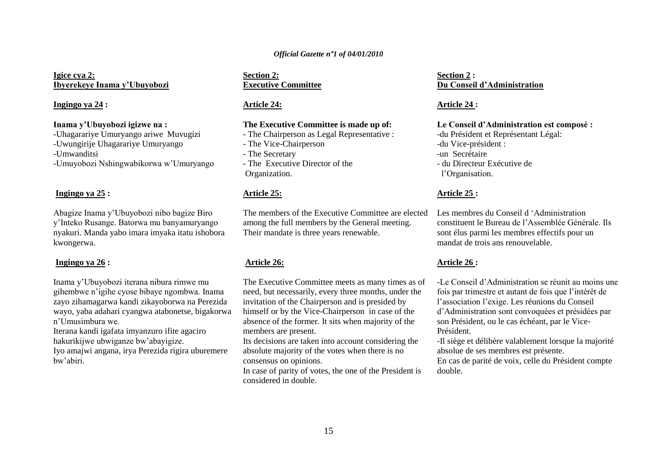**Igice cya 2: Ibyerekeye Inama y"Ubuyobozi**

#### **Ingingo ya 24 :**

### **Inama y"Ubuyobozi igizwe na :**

-Uhagarariye Umuryango ariwe Muvugizi

-Uwungirije Uhagarariye Umuryango

-Umwanditsi

-Umuyobozi Nshingwabikorwa w"Umuryango

#### **Ingingo ya 25 :**

Abagize Inama y"Ubuyobozi nibo bagize Biro y"Inteko Rusange. Batorwa mu banyamuryango nyakuri. Manda yabo imara imyaka itatu ishobora kwongerwa.

#### **Ingingo ya 26 :**

Inama y"Ubuyobozi iterana nibura rimwe mu gihembwe n"igihe cyose bibaye ngombwa. Inama zayo zihamagarwa kandi zikayoborwa na Perezida wayo, yaba adahari cyangwa atabonetse, bigakorwa n"Umusimbura we.

Iterana kandi igafata imyanzuro ifite agaciro hakurikijwe ubwiganze bw"abayigize.

Iyo amajwi angana, irya Perezida rigira uburemere bw"abiri.

#### **Section 2: Executive Committee**

### **Article 24:**

### **The Executive Committee is made up of:**

- The Chairperson as Legal Representative :
- The Vice-Chairperson
- The Secretary
- The Executive Director of the Organization.

#### **Article 25:**

The members of the Executive Committee are elected among the full members by the General meeting. Their mandate is three years renewable.

### **Article 26:**

The Executive Committee meets as many times as of need, but necessarily, every three months, under the invitation of the Chairperson and is presided by himself or by the Vice-Chairperson in case of the absence of the former. It sits when majority of the members are present.

Its decisions are taken into account considering the absolute majority of the votes when there is no consensus on opinions.

In case of parity of votes, the one of the President is considered in double.

### **Section 2 : Du Conseil d"Administration**

### **Article 24 :**

### **Le Conseil d"Administration est composé :**

-du Président et Représentant Légal:

- -du Vice-président :
- -un Secrétaire
- du Directeur Exécutive de

l"Organisation.

#### **Article 25 :**

Les membres du Conseil d "Administration constituent le Bureau de l"Assemblée Générale. Ils sont élus parmi les membres effectifs pour un mandat de trois ans renouvelable.

### **Article 26 :**

-Le Conseil d"Administration se réunit au moins une fois par trimestre et autant de fois que l"intérêt de l"association l"exige. Les réunions du Conseil d"Administration sont convoquées et présidées par son Président, ou le cas échéant, par le Vice-Président.

-Il siège et délibère valablement lorsque la majorité absolue de ses membres est présente.

En cas de parité de voix, celle du Président compte double.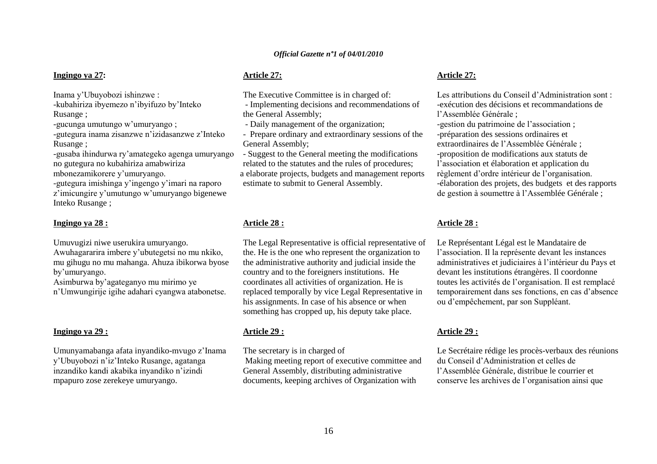### **Ingingo ya 27:**

Inama y"Ubuyobozi ishinzwe :

-kubahiriza ibyemezo n"ibyifuzo by"Inteko Rusange ;

-gucunga umutungo w"umuryango ;

-gutegura inama zisanzwe n"izidasanzwe z"Inteko Rusange ;

-gusaba ihindurwa ry"amategeko agenga umuryango no gutegura no kubahiriza amabwiriza

mbonezamikorere y"umuryango.

-gutegura imishinga y"ingengo y"imari na raporo z'imicungire y'umutungo w'umuryango bigenewe Inteko Rusange ;

#### **Ingingo ya 28 :**

Umuvugizi niwe userukira umuryango. Awuhagararira imbere y"ubutegetsi no mu nkiko, mu gihugu no mu mahanga. Ahuza ibikorwa byose by"umuryango.

Asimburwa by"agateganyo mu mirimo ye n"Umwungirije igihe adahari cyangwa atabonetse.

### **Ingingo ya 29 :**

Umunyamabanga afata inyandiko-mvugo z"Inama y"Ubuyobozi n"iz"Inteko Rusange, agatanga inzandiko kandi akabika inyandiko n"izindi mpapuro zose zerekeye umuryango.

### **Article 27:**

The Executive Committee is in charged of:

- Implementing decisions and recommendations of the General Assembly;

- Daily management of the organization;

- Prepare ordinary and extraordinary sessions of the General Assembly;

- Suggest to the General meeting the modifications related to the statutes and the rules of procedures; a elaborate projects, budgets and management reports estimate to submit to General Assembly.

### **Article 28 :**

The Legal Representative is official representative of the. He is the one who represent the organization to the administrative authority and judicial inside the country and to the foreigners institutions. He coordinates all activities of organization. He is replaced temporally by vice Legal Representative in his assignments. In case of his absence or when something has cropped up, his deputy take place.

### **Article 29 :**

The secretary is in charged of Making meeting report of executive committee and General Assembly, distributing administrative documents, keeping archives of Organization with

### **Article 27:**

Les attributions du Conseil d"Administration sont : -exécution des décisions et recommandations de l"Assemblée Générale ;

-gestion du patrimoine de l"association ; -préparation des sessions ordinaires et extraordinaires de l"Assemblée Générale ; -proposition de modifications aux statuts de l"association et élaboration et application du règlement d"ordre intérieur de l"organisation. -élaboration des projets, des budgets et des rapports de gestion à soumettre à l"Assemblée Générale ;

### **Article 28 :**

Le Représentant Légal est le Mandataire de l"association. Il la représente devant les instances administratives et judiciaires à l"intérieur du Pays et devant les institutions étrangères. Il coordonne toutes les activités de l"organisation. Il est remplacé temporairement dans ses fonctions, en cas d"absence ou d"empêchement, par son Suppléant.

### **Article 29 :**

Le Secrétaire rédige les procès-verbaux des réunions du Conseil d"Administration et celles de l"Assemblée Générale, distribue le courrier et conserve les archives de l"organisation ainsi que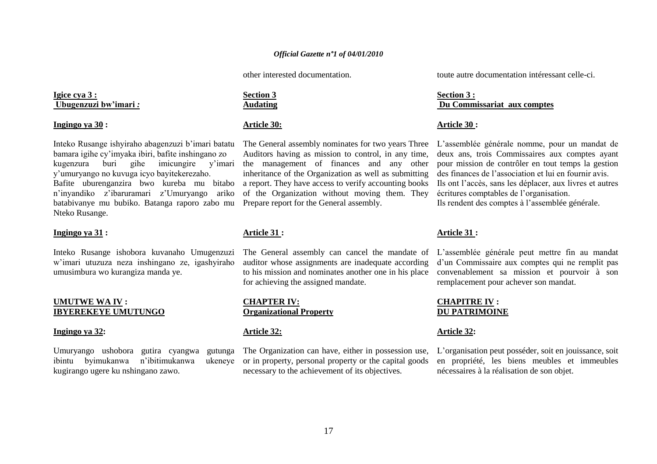other interested documentation.

### **Igice cya 3 : Ubugenzuzi bw"imari** *:*

#### **Ingingo ya 30 :**

Inteko Rusange ishyiraho abagenzuzi b"imari batatu bamara igihe cy"imyaka ibiri, bafite inshingano zo kugenzura buri gihe imicungire y"imari y"umuryango no kuvuga icyo bayitekerezaho. Bafite uburenganzira bwo kureba mu bitabo n"inyandiko z"ibaruramari z"Umuryango ariko batabivanye mu bubiko. Batanga raporo zabo mu Nteko Rusange.

### **Ingingo ya 31 :**

Inteko Rusange ishobora kuvanaho Umugenzuzi w"imari utuzuza neza inshingano ze, igashyiraho umusimbura wo kurangiza manda ye.

### **UMUTWE WA IV : IBYEREKEYE UMUTUNGO**

### **Ingingo ya 32:**

Umuryango ushobora gutira cyangwa gutunga ibintu byimukanwa n"ibitimukanwa ukeneye kugirango ugere ku nshingano zawo.

### **Section 3 Audating**

### **Article 30:**

The General assembly nominates for two years Three Auditors having as mission to control, in any time, the management of finances and any other inheritance of the Organization as well as submitting a report. They have access to verify accounting books of the Organization without moving them. They Prepare report for the General assembly.

### **Article 31 :**

The General assembly can cancel the mandate of auditor whose assignments are inadequate according to his mission and nominates another one in his place for achieving the assigned mandate.

**CHAPTER IV: Organizational Property**

### **Article 32:**

The Organization can have, either in possession use, or in property, personal property or the capital goods necessary to the achievement of its objectives.

toute autre documentation intéressant celle-ci.

### **Section 3 : Du Commissariat aux comptes**

### **Article 30 :**

L"assemblée générale nomme, pour un mandat de deux ans, trois Commissaires aux comptes ayant pour mission de contrôler en tout temps la gestion des finances de l"association et lui en fournir avis. Ils ont l"accès, sans les déplacer, aux livres et autres écritures comptables de l"organisation. Ils rendent des comptes à l"assemblée générale.

### **Article 31 :**

L"assemblée générale peut mettre fin au mandat d"un Commissaire aux comptes qui ne remplit pas convenablement sa mission et pourvoir à son remplacement pour achever son mandat.

#### **CHAPITRE IV : DU PATRIMOINE**

### **Article 32:**

L"organisation peut posséder, soit en jouissance, soit en propriété, les biens meubles et immeubles nécessaires à la réalisation de son objet.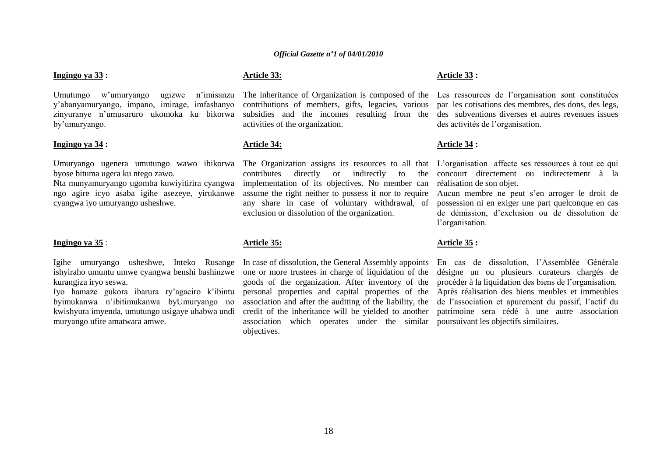#### **Ingingo ya 33 :**

Umutungo w"umuryango ugizwe n"imisanzu y"abanyamuryango, impano, imirage, imfashanyo zinyuranye n"umusaruro ukomoka ku bikorwa by"umuryango.

#### **Ingingo ya 34 :**

Umuryango ugenera umutungo wawo ibikorwa byose bituma ugera ku ntego zawo.

Nta munyamuryango ugomba kuwiyitirira cyangwa ngo agire icyo asaba igihe asezeye, yirukanwe cyangwa iyo umuryango usheshwe.

#### **Ingingo ya 35** :

Igihe umuryango usheshwe, Inteko Rusange kurangiza iryo seswa.

Iyo hamaze gukora ibarura ry"agaciro k"ibintu byimukanwa n"ibitimukanwa byUmuryango no kwishyura imyenda, umutungo usigaye uhabwa undi muryango ufite amatwara amwe.

### **Article 33:**

The inheritance of Organization is composed of the contributions of members, gifts, legacies, various subsidies and the incomes resulting from the activities of the organization.

#### **Article 34:**

contributes directly or indirectly to implementation of its objectives. No member can assume the right neither to possess it nor to require any share in case of voluntary withdrawal, of exclusion or dissolution of the organization.

#### **Article 35:**

ishyiraho umuntu umwe cyangwa benshi bashinzwe one or more trustees in charge of liquidation of the In case of dissolution, the General Assembly appoints goods of the organization. After inventory of the personal properties and capital properties of the association and after the auditing of the liability, the credit of the inheritance will be yielded to another association which operates under the similar poursuivant les objectifs similaires.objectives.

### **Article 33 :**

Les ressources de l'organisation sont constituées par les cotisations des membres, des dons, des legs, des subventions diverses et autres revenues issues des activités de l"organisation.

#### **Article 34 :**

The Organization assigns its resources to all that L'organisation affecte ses ressources à tout ce qui concourt directement ou indirectement à la réalisation de son objet.

> Aucun membre ne peut s"en arroger le droit de possession ni en exiger une part quelconque en cas de démission, d"exclusion ou de dissolution de l'organisation.

#### **Article 35 :**

En cas de dissolution, l"Assemblée Générale désigne un ou plusieurs curateurs chargés de procéder à la liquidation des biens de l"organisation. Après réalisation des biens meubles et immeubles de l"association et apurement du passif, l"actif du patrimoine sera cédé à une autre association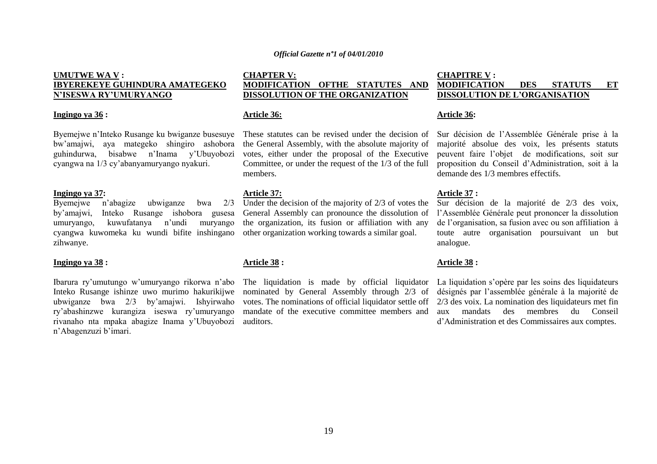### **UMUTWE WA V : IBYEREKEYE GUHINDURA AMATEGEKO N"ISESWA RY"UMURYANGO**

#### **Ingingo ya 36 :**

Byemejwe n"Inteko Rusange ku bwiganze busesuye bw"amajwi, aya mategeko shingiro ashobora guhindurwa, bisabwe n"Inama y"Ubuyobozi cyangwa na 1/3 cy"abanyamuryango nyakuri.

**Ingingo ya 37:**<br>Byemeiwe n'abagize Byemejwe n"abagize ubwiganze bwa 2/3 by"amajwi, Inteko Rusange ishobora gusesa umuryango, kuwufatanya n"undi muryango cyangwa kuwomeka ku wundi bifite inshingano zihwanye.

#### **Ingingo ya 38 :**

Ibarura ry"umutungo w"umuryango rikorwa n"abo Inteko Rusange ishinze uwo murimo hakurikijwe ubwiganze bwa 2/3 by"amajwi. Ishyirwaho ry"abashinzwe kurangiza iseswa ry"umuryango rivanaho nta mpaka abagize Inama y"Ubuyobozi n'Abagenzuzi b'imari.

### **CHAPTER V: MODIFICATION OFTHE STATUTES AND DISSOLUTION OF THE ORGANIZATION**

#### **Article 36:**

These statutes can be revised under the decision of the General Assembly, with the absolute majority of votes, either under the proposal of the Executive Committee, or under the request of the 1/3 of the full members.

#### **Article 37:**

Under the decision of the majority of 2/3 of votes the General Assembly can pronounce the dissolution of the organization, its fusion or affiliation with any other organization working towards a similar goal.

### **Article 38 :**

The liquidation is made by official liquidator nominated by General Assembly through 2/3 of votes. The nominations of official liquidator settle off mandate of the executive committee members and auditors.

### **CHAPITRE V : MODIFICATION DES STATUTS ET DISSOLUTION DE L"ORGANISATION**

#### **Article 36:**

Sur décision de l"Assemblée Générale prise à la majorité absolue des voix, les présents statuts peuvent faire l"objet de modifications, soit sur proposition du Conseil d"Administration, soit à la demande des 1/3 membres effectifs.

#### **Article 37 :**

Sur décision de la majorité de 2/3 des voix, l"Assemblée Générale peut prononcer la dissolution de l"organisation, sa fusion avec ou son affiliation à toute autre organisation poursuivant un but analogue.

#### **Article 38 :**

La liquidation s'opère par les soins des liquidateurs désignés par l"assemblée générale à la majorité de 2/3 des voix. La nomination des liquidateurs met fin aux mandats des membres du Conseil d"Administration et des Commissaires aux comptes.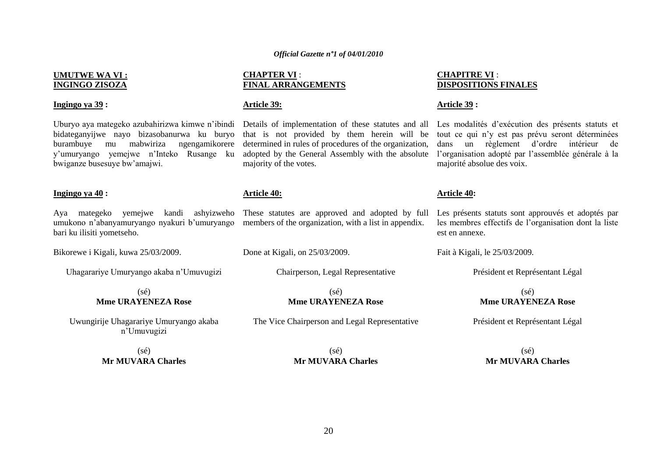#### **UMUTWE WA VI : INGINGO ZISOZA**

#### **Ingingo ya 39 :**

bidateganyijwe nayo bizasobanurwa ku buryo burambuye mu mabwiriza ngengamikorere y"umuryango yemejwe n"Inteko Rusange ku bwiganze busesuye bw"amajwi.

#### **Ingingo ya 40 :**

Aya mategeko yemejwe kandi ashyizweho umukono n'abanyamuryango nyakuri b'umuryango members of the organization, with a list in appendix. bari ku ilisiti yometseho.

Bikorewe i Kigali, kuwa 25/03/2009.

Uhagarariye Umuryango akaba n"Umuvugizi

#### (sé) **Mme URAYENEZA Rose**

Uwungirije Uhagarariye Umuryango akaba n"Umuvugizi

> (sé) **Mr MUVARA Charles**

#### **CHAPTER VI** : **FINAL ARRANGEMENTS**

#### **Article 39:**

that is not provided by them herein will be determined in rules of procedures of the organization, adopted by the General Assembly with the absolute majority of the votes.

#### **Article 40:**

These statutes are approved and adopted by full

Done at Kigali, on  $25/03/2009$ .

Chairperson, Legal Representative

#### (sé) **Mme URAYENEZA Rose**

The Vice Chairperson and Legal Representative

 $(s\acute{e})$ **Mr MUVARA Charles**

### **CHAPITRE VI** : **DISPOSITIONS FINALES**

#### **Article 39 :**

Uburyo aya mategeko azubahirizwa kimwe n'ibindi Details of implementation of these statutes and all Les modalités d'exécution des présents statuts et tout ce qui n"y est pas prévu seront déterminées dans un règlement d"ordre intérieur de l"organisation adopté par l"assemblée générale à la majorité absolue des voix.

#### **Article 40:**

Les présents statuts sont approuvés et adoptés par les membres effectifs de l"organisation dont la liste est en annexe.

Fait à Kigali, le 25/03/2009.

Président et Représentant Légal

#### (sé) **Mme URAYENEZA Rose**

Président et Représentant Légal

 $(s<sub>é</sub>)$ **Mr MUVARA Charles**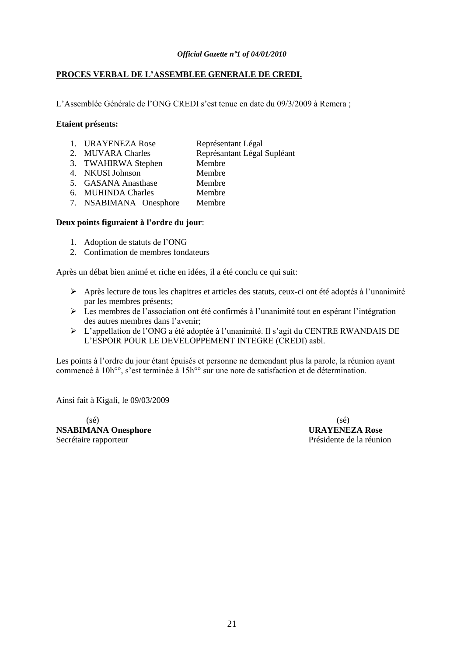### **PROCES VERBAL DE L"ASSEMBLEE GENERALE DE CREDI.**

L'Assemblée Générale de l'ONG CREDI s'est tenue en date du 09/3/2009 à Remera ;

### **Etaient présents:**

- 1. URAYENEZA Rose Représentant Légal
	-
- 2. MUVARA Charles Représantant Légal Supléant
- 3. TWAHIRWA Stephen Membre
- 4. NKUSI Johnson Membre
- 5. GASANA Anasthase Membre
- 6. MUHINDA Charles Membre
- 7. NSABIMANA Onesphore Membre

### **Deux points figuraient à l"ordre du jour**:

- 1. Adoption de statuts de l"ONG
- 2. Confimation de membres fondateurs

Après un débat bien animé et riche en idées, il a été conclu ce qui suit:

- $\triangleright$  Après lecture de tous les chapitres et articles des statuts, ceux-ci ont été adoptés à l'unanimité par les membres présents;
- Les membres de l"association ont été confirmés à l"unanimité tout en espérant l"intégration des autres membres dans l"avenir;
- L"appellation de l"ONG a été adoptée à l"unanimité. Il s"agit du CENTRE RWANDAIS DE L"ESPOIR POUR LE DEVELOPPEMENT INTEGRE (CREDI) asbl.

Les points à l'ordre du jour étant épuisés et personne ne demendant plus la parole, la réunion ayant commencé à 10h°°, s"est terminée à 15h°° sur une note de satisfaction et de détermination.

Ainsi fait à Kigali, le 09/03/2009

 $(s\acute{e})$  (sé) **NSABIMANA Onesphore URAYENEZA Rose** Secrétaire rapporteur  $\overline{\phantom{a}}$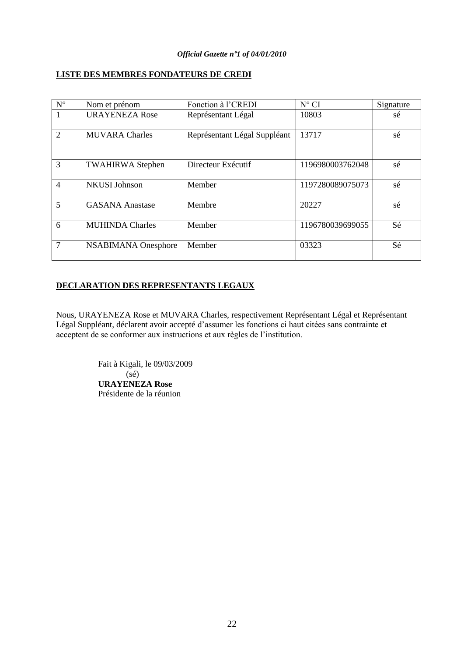### **LISTE DES MEMBRES FONDATEURS DE CREDI**

| $\mathbf{N}^{\circ}$ | Nom et prénom           | Fonction à l'CREDI           | $N^{\circ}$ CI   | Signature |
|----------------------|-------------------------|------------------------------|------------------|-----------|
| $\mathbf{1}$         | <b>URAYENEZA Rose</b>   | Représentant Légal           | 10803            | sé        |
| 2                    | <b>MUVARA Charles</b>   | Représentant Légal Suppléant | 13717            | sé        |
| 3                    | <b>TWAHIRWA Stephen</b> | Directeur Exécutif           | 1196980003762048 | sé        |
| $\overline{4}$       | <b>NKUSI Johnson</b>    | Member                       | 1197280089075073 | sé        |
| 5                    | <b>GASANA Anastase</b>  | Membre                       | 20227            | sé        |
| 6                    | <b>MUHINDA Charles</b>  | Member                       | 1196780039699055 | Sé        |
| $\overline{7}$       | NSABIMANA Onesphore     | Member                       | 03323            | Sé        |

### **DECLARATION DES REPRESENTANTS LEGAUX**

Nous, URAYENEZA Rose et MUVARA Charles, respectivement Représentant Légal et Représentant Légal Suppléant, déclarent avoir accepté d"assumer les fonctions ci haut citées sans contrainte et acceptent de se conformer aux instructions et aux règles de l"institution.

> Fait à Kigali, le 09/03/2009  $(s<sub>é</sub>)$ **URAYENEZA Rose** Présidente de la réunion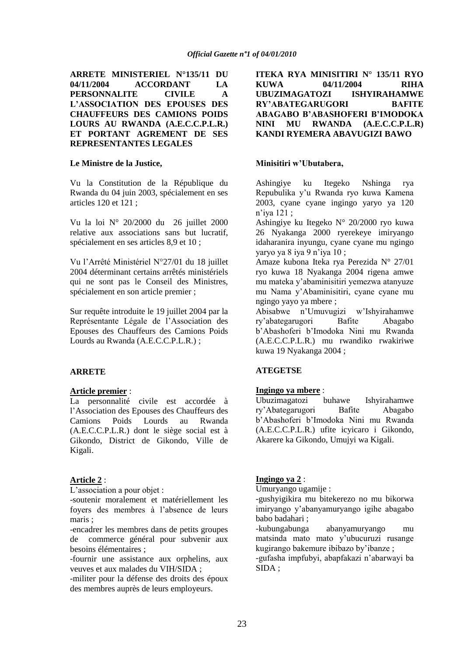**ARRETE MINISTERIEL N°135/11 DU 04/11/2004 ACCORDANT LA PERSONNALITE CIVILE A L"ASSOCIATION DES EPOUSES DES CHAUFFEURS DES CAMIONS POIDS LOURS AU RWANDA (A.E.C.C.P.L.R.) ET PORTANT AGREMENT DE SES REPRESENTANTES LEGALES**

#### **Le Ministre de la Justice,**

Vu la Constitution de la République du Rwanda du 04 juin 2003, spécialement en ses articles 120 et 121 ;

Vu la loi N° 20/2000 du 26 juillet 2000 relative aux associations sans but lucratif, spécialement en ses articles 8,9 et 10 ;

Vu l"Arrêté Ministériel N°27/01 du 18 juillet 2004 déterminant certains arrêtés ministériels qui ne sont pas le Conseil des Ministres, spécialement en son article premier ;

Sur requête introduite le 19 juillet 2004 par la Représentante Légale de l"Association des Epouses des Chauffeurs des Camions Poids Lourds au Rwanda (A.E.C.C.P.L.R.) ;

### **ARRETE**

#### **Article premier** :

La personnalité civile est accordée à l"Association des Epouses des Chauffeurs des Camions Poids Lourds au Rwanda (A.E.C.C.P.L.R.) dont le siège social est à Gikondo, District de Gikondo, Ville de Kigali.

### **Article 2** :

L'association a pour objet :

-soutenir moralement et matériellement les foyers des membres à l"absence de leurs maris ;

-encadrer les membres dans de petits groupes de commerce général pour subvenir aux besoins élémentaires ;

-fournir une assistance aux orphelins, aux veuves et aux malades du VIH/SIDA ;

-militer pour la défense des droits des époux des membres auprès de leurs employeurs.

**ITEKA RYA MINISITIRI N° 135/11 RYO KUWA 04/11/2004 RIHA UBUZIMAGATOZI ISHYIRAHAMWE RY"ABATEGARUGORI BAFITE ABAGABO B"ABASHOFERI B"IMODOKA NINI MU RWANDA (A.E.C.C.P.L.R) KANDI RYEMERA ABAVUGIZI BAWO**

### **Minisitiri w"Ubutabera,**

Ashingiye ku Itegeko Nshinga rya Repubulika y"u Rwanda ryo kuwa Kamena 2003, cyane cyane ingingo yaryo ya 120 n"iya 121 ;

Ashingiye ku Itegeko N° 20/2000 ryo kuwa 26 Nyakanga 2000 ryerekeye imiryango idaharanira inyungu, cyane cyane mu ngingo yaryo ya 8 iya 9 n"iya 10 ;

Amaze kubona Iteka rya Perezida N° 27/01 ryo kuwa 18 Nyakanga 2004 rigena amwe mu mateka y"abaminisitiri yemezwa atanyuze mu Nama y"Abaminisitiri, cyane cyane mu ngingo yayo ya mbere ;

Abisabwe n"Umuvugizi w"Ishyirahamwe ry"abategarugori Bafite Abagabo b"Abashoferi b"Imodoka Nini mu Rwanda (A.E.C.C.P.L.R.) mu rwandiko rwakiriwe kuwa 19 Nyakanga 2004 ;

### **ATEGETSE**

#### **Ingingo ya mbere** :

Ubuzimagatozi buhawe Ishyirahamwe ry"Abategarugori Bafite Abagabo b"Abashoferi b"Imodoka Nini mu Rwanda (A.E.C.C.P.L.R.) ufite icyicaro i Gikondo, Akarere ka Gikondo, Umujyi wa Kigali.

### **Ingingo ya 2** :

Umuryango ugamije :

-gushyigikira mu bitekerezo no mu bikorwa imiryango y"abanyamuryango igihe abagabo babo badahari ;

-kubungabunga abanyamuryango mu matsinda mato mato y"ubucuruzi rusange kugirango bakemure ibibazo by"ibanze ;

-gufasha impfubyi, abapfakazi n"abarwayi ba SIDA ;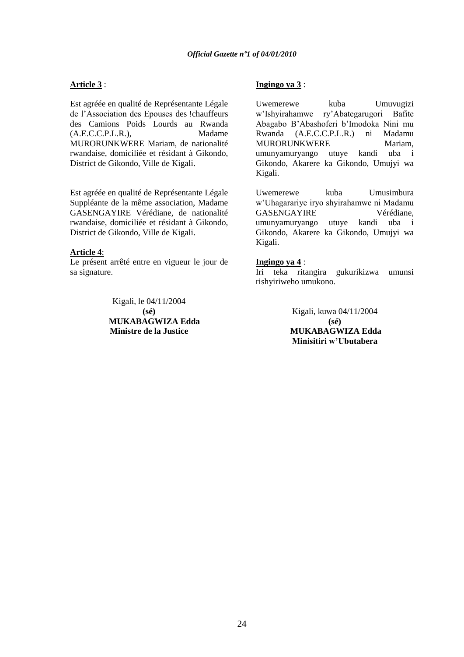### **Article 3** :

Est agréée en qualité de Représentante Légale de l"Association des Epouses des !chauffeurs des Camions Poids Lourds au Rwanda (A.E.C.C.P.L.R.), Madame MURORUNKWERE Mariam, de nationalité rwandaise, domiciliée et résidant à Gikondo, District de Gikondo, Ville de Kigali.

Est agréée en qualité de Représentante Légale Suppléante de la même association, Madame GASENGAYIRE Vérédiane, de nationalité rwandaise, domiciliée et résidant à Gikondo, District de Gikondo, Ville de Kigali.

### **Article 4**:

Le présent arrêté entre en vigueur le jour de sa signature.

> Kigali, le 04/11/2004 **(sé) MUKABAGWIZA Edda Ministre de la Justice**

### **Ingingo ya 3** :

Uwemerewe kuba Umuvugizi w"Ishyirahamwe ry"Abategarugori Bafite Abagabo B"Abashoferi b"Imodoka Nini mu Rwanda (A.E.C.C.P.L.R.) ni Madamu MURORUNKWERE Mariam. umunyamuryango utuye kandi uba i Gikondo, Akarere ka Gikondo, Umujyi wa Kigali.

Uwemerewe kuba Umusimbura w"Uhagarariye iryo shyirahamwe ni Madamu GASENGAYIRE Vérédiane, umunyamuryango utuye kandi uba i Gikondo, Akarere ka Gikondo, Umujyi wa Kigali.

#### **Ingingo ya 4** :

Iri teka ritangira gukurikizwa umunsi rishyiriweho umukono.

> Kigali, kuwa 04/11/2004 **(sé) MUKABAGWIZA Edda Minisitiri w"Ubutabera**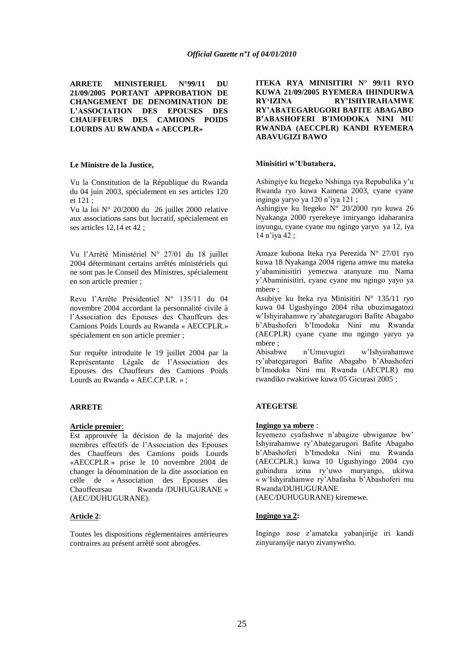**ARRETE MINISTERIEL N°99/11 DU 21/09/2005 PORTANT APPROBATION DE CHANGEMENT DE DENOMINATION DE L"ASSOCIATION DES EPOUSES DES CHAUFFEURS DES CAMIONS POIDS LOURDS AU RWANDA « AECCPLR»**

#### **Le Ministre de la Justice,**

Vu la Constitution de la République du Rwanda du 04 juin 2003, spécialement en ses articles 120 et 121 ;

Vu la loi N° 20/2000 du 26 juillet 2000 relative aux associations sans but lucratif, spécialement en ses articles 12,14 et 42 ;

Vu l"Arrêté Ministériel N° 27/01 du 18 juillet 2004 déterminant certains arrêtés ministériels qui ne sont pas le Conseil des Ministres, spécialement en son article premier ;

Revu l"Arrête Présidentiel N° 135/11 du 04 novembre 2004 accordant la personnalité civile à l"Association des Epouses des Chauffeurs des Camions Poids Lourds au Rwanda « AECCPLR.» spécialement en son article premier ;

Sur requête introduite le 19 juillet 2004 par la Représentante Légale de l"Association des Epouses des Chauffeurs des Camions Poids Lourds au Rwanda « AEC.CP.LR. » ;

#### **ARRETE**

#### **Article premier**:

Est approuvée la décision de la majorité des membres effectifs de l"Association des Epouses des Chauffeurs des Camions poids Lourds «AECCPLR » prise le 10 novembre 2004 de changer la dénomination de la dite association en celle de « Association des Epouses des Chauffeursau Rwanda /DUHUGURANE » (AEC/DUHUGURANE).

#### **Article 2**:

Toutes les dispositions réglementaires antérieures contraires au présent arrêté sont abrogées.

**ITEKA RYA MINISITIRI N° 99/11 RYO KUWA 21/09/2005 RYEMERA IHINDURWA RY"IZINA RY"ISHYIRAHAMWE RY"ABATEGARUGORI BAFITE ABAGABO B"ABASHOFERI B"IMODOKA NINI MU RWANDA (AECCPLR) KANDI RYEMERA ABAVUGIZI BAWO**

#### **Minisitiri w"Ubutabera,**

Ashingiye ku Itegeko Nshinga rya Repubulika y"u Rwanda ryo kuwa Kamena 2003, cyane cyane ingingo yaryo ya 120 n"iya 121 ;

Ashingiye ku Itegeko N° 20/2000 ryo kuwa 26 Nyakanga 2000 ryerekeye imiryango idaharanira inyungu, cyane cyane mu ngingo yaryo ya 12, iya 14 n"iya 42 ;

Amaze kubona Iteka rya Perezida N° 27/01 ryo kuwa 18 Nyakanga 2004 rigena amwe mu mateka y"abaminisitiri yemezwa atanyuze mu Nama y"Abaminisitiri, cyane cyane mu ngingo yayo ya mbere ;

Asubiye ku Iteka rya Minisitiri N° 135/11 ryo kuwa 04 Ugushyingo 2004 riha ubuzimagatozi w"Ishyirahamwe ry"abategarugori Bafite Abagabo b"Abashoferi b"Imodoka Nini mu Rwanda (AECPLR) cyane cyane mu ngingo yaryo ya mbere ;

Abisabwe n"Umuvugizi w"Ishyirahamwe ry"abategarugori Bafite Abagabo b"Abashoferi b"Imodoka Nini mu Rwanda (AECPLR) mu rwandiko rwakiriwe kuwa 05 Gicurasi 2005 ;

#### **ATEGETSE**

#### **Ingingo ya mbere** :

Icyemezo cyafashwe n"abagize ubwiganze bw" Ishyirahamwe ry"Abategarugori Bafite Abagabo b"Abashoferi b"Imodoka Nini mu Rwanda (AECCPLR.) kuwa 10 Ugushyingo 2004 cyo guhindura izina ry"uwo muryango, ukitwa « w"Ishyirahamwe ry"Abafasha b"Abashoferi mu Rwanda/DUHUGURANE

(AEC/DUHUGURANE) kiremewe.

#### **Ingingo ya 2:**

Ingingo zose z"amateka yabanjirije iri kandi zinyuranyije naryo zivanyweho.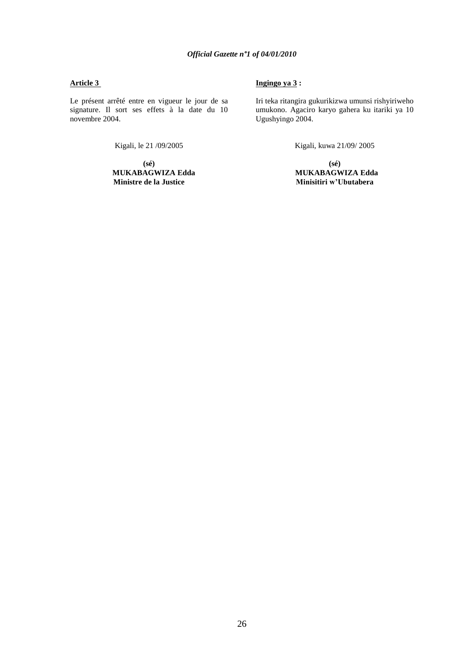### **Article 3**

Le présent arrêté entre en vigueur le jour de sa signature. Il sort ses effets à la date du 10 novembre 2004.

Kigali, le 21 /09/2005

**(sé)**

 **MUKABAGWIZA Edda Ministre de la Justice**

### **Ingingo ya 3 :**

Iri teka ritangira gukurikizwa umunsi rishyiriweho umukono. Agaciro karyo gahera ku itariki ya 10 Ugushyingo 2004.

Kigali, kuwa 21/09/ 2005

**(sé) MUKABAGWIZA Edda Minisitiri w"Ubutabera**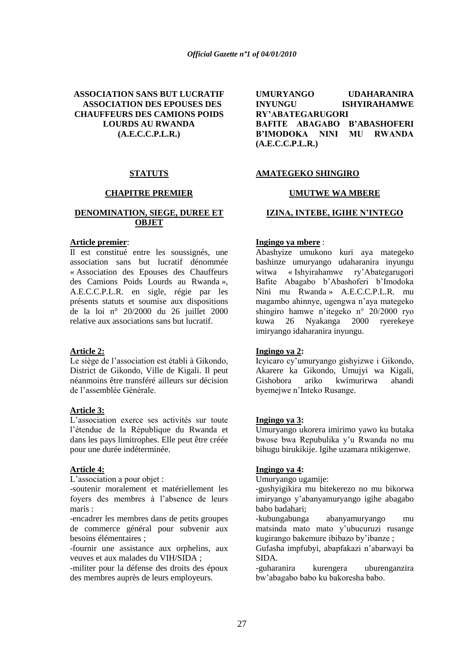### **ASSOCIATION SANS BUT LUCRATIF ASSOCIATION DES EPOUSES DES CHAUFFEURS DES CAMIONS POIDS LOURDS AU RWANDA (A.E.C.C.P.L.R.)**

### **STATUTS**

#### **CHAPITRE PREMIER**

### **DENOMINATION, SIEGE, DUREE ET OBJET**

#### **Article premier**:

Il est constitué entre les soussignés, une association sans but lucratif dénommée « Association des Epouses des Chauffeurs des Camions Poids Lourds au Rwanda », A.E.C.C.P.L.R. en sigle, régie par les présents statuts et soumise aux dispositions de la loi n° 20/2000 du 26 juillet 2000 relative aux associations sans but lucratif.

### **Article 2:**

Le siège de l"association est établi à Gikondo, District de Gikondo, Ville de Kigali. Il peut néanmoins être transféré ailleurs sur décision de l"assemblée Générale.

### **Article 3:**

L"association exerce ses activités sur toute l"étendue de la République du Rwanda et dans les pays limitrophes. Elle peut être créée pour une durée indéterminée.

### **Article 4:**

L"association a pour objet :

-soutenir moralement et matériellement les foyers des membres à l"absence de leurs maris :

-encadrer les membres dans de petits groupes de commerce général pour subvenir aux besoins élémentaires ;

-fournir une assistance aux orphelins, aux veuves et aux malades du VIH/SIDA ;

-militer pour la défense des droits des époux des membres auprès de leurs employeurs.

| <b>UMURYANGO</b>                   | <b>UDAHARANIRA</b>  |
|------------------------------------|---------------------|
| <b>INYUNGU</b>                     | <b>ISHYIRAHAMWE</b> |
| <b>RY'ABATEGARUGORI</b>            |                     |
| <b>BAFITE ABAGABO B'ABASHOFERI</b> |                     |
| B'IMODOKA NINI MU RWANDA           |                     |
| (A.E.C.C.P.L.R.)                   |                     |

### **AMATEGEKO SHINGIRO**

### **UMUTWE WA MBERE**

### **IZINA, INTEBE, IGIHE N"INTEGO**

### **Ingingo ya mbere** :

Abashyize umukono kuri aya mategeko bashinze umuryango udaharanira inyungu witwa « Ishyirahamwe ry"Abategarugori Bafite Abagabo b"Abashoferi b"Imodoka Nini mu Rwanda » A.E.C.C.P.L.R. mu magambo ahinnye, ugengwa n"aya mategeko shingiro hamwe n"itegeko n° 20/2000 ryo kuwa 26 Nyakanga 2000 ryerekeye imiryango idaharanira inyungu.

### **Ingingo ya 2:**

Icyicaro cy"umuryango gishyizwe i Gikondo, Akarere ka Gikondo, Umujyi wa Kigali, Gishobora ariko kwimurirwa ahandi byemejwe n"Inteko Rusange.

#### **Ingingo ya 3:**

Umuryango ukorera imirimo yawo ku butaka bwose bwa Repubulika y"u Rwanda no mu bihugu birukikije. Igihe uzamara ntikigenwe.

### **Ingingo ya 4:**

Umuryango ugamije:

-gushyigikira mu bitekerezo no mu bikorwa imiryango y"abanyamuryango igihe abagabo babo badahari;

-kubungabunga abanyamuryango mu matsinda mato mato y"ubucuruzi rusange kugirango bakemure ibibazo by"ibanze ;

Gufasha impfubyi, abapfakazi n"abarwayi ba SIDA.

-guharanira kurengera uburenganzira bw"abagabo babo ku bakoresha babo.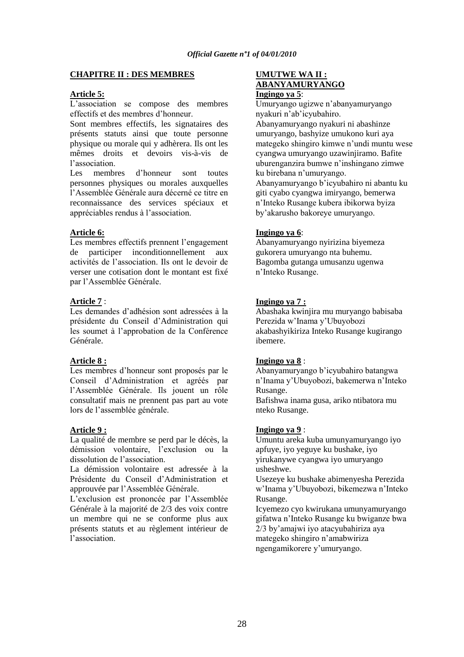### **CHAPITRE II : DES MEMBRES**

### **Article 5:**

L"association se compose des membres effectifs et des membres d"honneur.

Sont membres effectifs, les signataires des présents statuts ainsi que toute personne physique ou morale qui y adhèrera. Ils ont les mêmes droits et devoirs vis-à-vis de l"association.

Les membres d"honneur sont toutes personnes physiques ou morales auxquelles l"Assemblée Générale aura décerné ce titre en reconnaissance des services spéciaux et appréciables rendus à l"association.

### **Article 6:**

Les membres effectifs prennent l'engagement de participer inconditionnellement aux activités de l"association. Ils ont le devoir de verser une cotisation dont le montant est fixé par l"Assemblée Générale.

### **Article 7** :

Les demandes d"adhésion sont adressées à la présidente du Conseil d"Administration qui les soumet à l"approbation de la Conférence Générale.

### **Article 8 :**

Les membres d"honneur sont proposés par le Conseil d"Administration et agréés par l"Assemblée Générale. Ils jouent un rôle consultatif mais ne prennent pas part au vote lors de l"assemblée générale.

### **Article 9 :**

La qualité de membre se perd par le décès, la démission volontaire, l'exclusion ou la dissolution de l"association.

La démission volontaire est adressée à la Présidente du Conseil d"Administration et approuvée par l"Assemblée Générale.

L"exclusion est prononcée par l"Assemblée Générale à la majorité de 2/3 des voix contre un membre qui ne se conforme plus aux présents statuts et au règlement intérieur de l"association.

### **UMUTWE WA II : ABANYAMURYANGO Ingingo ya 5**:

Umuryango ugizwe n"abanyamuryango nyakuri n"ab"icyubahiro. Abanyamuryango nyakuri ni abashinze umuryango, bashyize umukono kuri aya mategeko shingiro kimwe n"undi muntu wese cyangwa umuryango uzawinjiramo. Bafite uburenganzira bumwe n"inshingano zimwe ku birebana n"umuryango.

Abanyamuryango b"icyubahiro ni abantu ku giti cyabo cyangwa imiryango, bemerwa n"Inteko Rusange kubera ibikorwa byiza by"akarusho bakoreye umuryango.

### **Ingingo ya 6**:

Abanyamuryango nyirizina biyemeza gukorera umuryango nta buhemu. Bagomba gutanga umusanzu ugenwa n"Inteko Rusange.

### **Ingingo ya 7 :**

Abashaka kwinjira mu muryango babisaba Perezida w"Inama y"Ubuyobozi akabashyikiriza Inteko Rusange kugirango ibemere.

### **Ingingo ya 8** :

Abanyamuryango b"icyubahiro batangwa n"Inama y"Ubuyobozi, bakemerwa n"Inteko Rusange.

Bafishwa inama gusa, ariko ntibatora mu nteko Rusange.

### **Ingingo ya 9** :

Umuntu areka kuba umunyamuryango iyo apfuye, iyo yeguye ku bushake, iyo yirukanywe cyangwa iyo umuryango usheshwe.

Usezeye ku bushake abimenyesha Perezida w"Inama y"Ubuyobozi, bikemezwa n"Inteko Rusange.

Icyemezo cyo kwirukana umunyamuryango gifatwa n"Inteko Rusange ku bwiganze bwa 2/3 by"amajwi iyo atacyubahiriza aya mategeko shingiro n"amabwiriza ngengamikorere y"umuryango.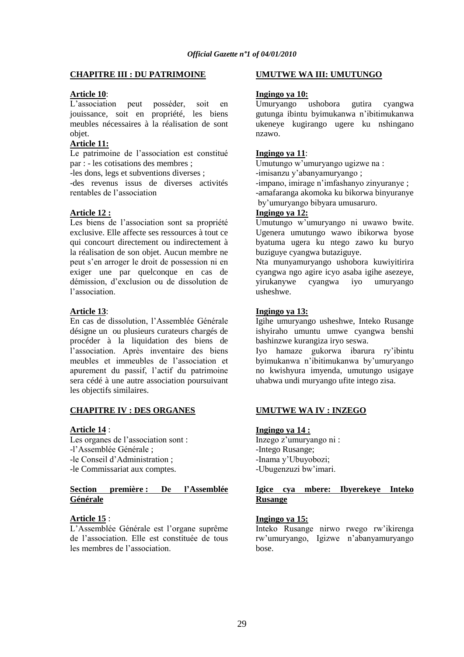### **CHAPITRE III : DU PATRIMOINE**

### **Article 10**:

L"association peut posséder, soit en jouissance, soit en propriété, les biens meubles nécessaires à la réalisation de sont objet.

### **Article 11:**

Le patrimoine de l"association est constitué par : - les cotisations des membres ;

-les dons, legs et subventions diverses ;

-des revenus issus de diverses activités rentables de l"association

### **Article 12 :**

Les biens de l'association sont sa propriété exclusive. Elle affecte ses ressources à tout ce qui concourt directement ou indirectement à la réalisation de son objet. Aucun membre ne peut s"en arroger le droit de possession ni en exiger une par quelconque en cas de démission, d"exclusion ou de dissolution de l"association.

### **Article 13**:

En cas de dissolution, l"Assemblée Générale désigne un ou plusieurs curateurs chargés de procéder à la liquidation des biens de l"association. Après inventaire des biens meubles et immeubles de l"association et apurement du passif, l"actif du patrimoine sera cédé à une autre association poursuivant les objectifs similaires.

### **CHAPITRE IV : DES ORGANES**

### **Article 14** :

Les organes de l'association sont : -l"Assemblée Générale ; -le Conseil d"Administration ; -le Commissariat aux comptes.

### **Section première : De l"Assemblée Générale**

### **Article 15** :

L"Assemblée Générale est l"organe suprême de l"association. Elle est constituée de tous les membres de l"association.

### **UMUTWE WA III: UMUTUNGO**

### **Ingingo ya 10:**

Umuryango ushobora gutira cyangwa gutunga ibintu byimukanwa n"ibitimukanwa ukeneye kugirango ugere ku nshingano nzawo.

### **Ingingo ya 11**:

Umutungo w"umuryango ugizwe na :

-imisanzu y"abanyamuryango ;

-impano, imirage n"imfashanyo zinyuranye ; -amafaranga akomoka ku bikorwa binyuranye by"umuryango bibyara umusaruro.

### **Ingingo ya 12:**

Umutungo w"umuryango ni uwawo bwite. Ugenera umutungo wawo ibikorwa byose byatuma ugera ku ntego zawo ku buryo buziguye cyangwa butaziguye.

Nta munyamuryango ushobora kuwiyitirira cyangwa ngo agire icyo asaba igihe asezeye, yirukanywe cyangwa iyo umuryango usheshwe.

### **Ingingo ya 13:**

Igihe umuryango usheshwe, Inteko Rusange ishyiraho umuntu umwe cyangwa benshi bashinzwe kurangiza iryo seswa.

Iyo hamaze gukorwa ibarura ry"ibintu byimukanwa n"ibitimukanwa by"umuryango no kwishyura imyenda, umutungo usigaye uhabwa undi muryango ufite intego zisa.

### **UMUTWE WA IV : INZEGO**

## **Ingingo ya 14 :**

Inzego z"umuryango ni : -Intego Rusange; -Inama y"Ubuyobozi; -Ubugenzuzi bw"imari.

### **Igice cya mbere: Ibyerekeye Inteko Rusange**

### **Ingingo ya 15:**

Inteko Rusange nirwo rwego rw"ikirenga rw"umuryango, Igizwe n"abanyamuryango bose.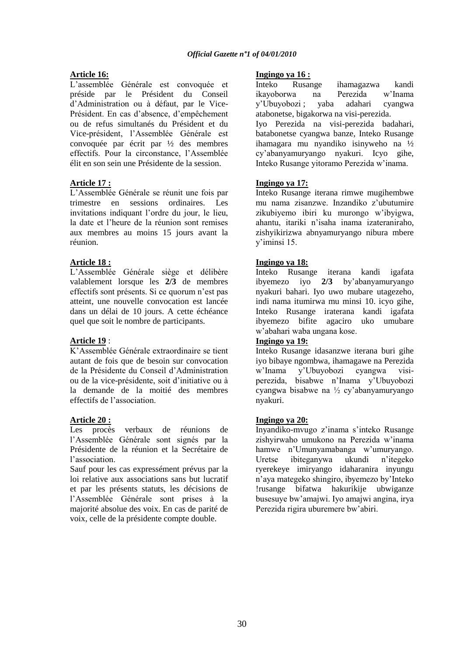### **Article 16:**

L"assemblée Générale est convoquée et préside par le Président du Conseil d"Administration ou à défaut, par le Vice-Président. En cas d"absence, d"empêchement ou de refus simultanés du Président et du Vice-président, l"Assemblée Générale est convoquée par écrit par ½ des membres effectifs. Pour la circonstance, l"Assemblée élit en son sein une Présidente de la session.

### **Article 17 :**

L"Assemblée Générale se réunit une fois par trimestre en sessions ordinaires. Les invitations indiquant l"ordre du jour, le lieu, la date et l"heure de la réunion sont remises aux membres au moins 15 jours avant la réunion.

### **Article 18 :**

L"Assemblée Générale siège et délibère valablement lorsque les **2/3** de membres effectifs sont présents. Si ce quorum n"est pas atteint, une nouvelle convocation est lancée dans un délai de 10 jours. A cette échéance quel que soit le nombre de participants.

### **Article 19** :

K"Assemblée Générale extraordinaire se tient autant de fois que de besoin sur convocation de la Présidente du Conseil d"Administration ou de la vice-présidente, soit d"initiative ou à la demande de la moitié des membres effectifs de l"association.

### **Article 20 :**

Les procès verbaux de réunions de l"Assemblée Générale sont signés par la Présidente de la réunion et la Secrétaire de l"association.

Sauf pour les cas expressément prévus par la loi relative aux associations sans but lucratif et par les présents statuts, les décisions de l"Assemblée Générale sont prises à la majorité absolue des voix. En cas de parité de voix, celle de la présidente compte double.

### **Ingingo ya 16 :**

Inteko Rusange ihamagazwa kandi ikayoborwa na Perezida w"Inama y"Ubuyobozi ; yaba adahari cyangwa atabonetse, bigakorwa na visi-perezida. Iyo Perezida na visi-perezida badahari, batabonetse cyangwa banze, Inteko Rusange ihamagara mu nyandiko isinyweho na ½ cy"abanyamuryango nyakuri. Icyo gihe, Inteko Rusange yitoramo Perezida w"inama.

### **Ingingo ya 17:**

Inteko Rusange iterana rimwe mugihembwe mu nama zisanzwe. Inzandiko z"ubutumire zikubiyemo ibiri ku murongo w"ibyigwa, ahantu, itariki n"isaha inama izateraniraho, zishyikirizwa abnyamuryango nibura mbere y"iminsi 15.

### **Ingingo ya 18:**

Inteko Rusange iterana kandi igafata ibyemezo iyo **2/3** by"abanyamuryango nyakuri bahari. Iyo uwo mubare utagezeho, indi nama itumirwa mu minsi 10. icyo gihe, Inteko Rusange iraterana kandi igafata ibyemezo bifite agaciro uko umubare w"abahari waba ungana kose.

### **Ingingo ya 19:**

Inteko Rusange idasanzwe iterana buri gihe iyo bibaye ngombwa, ihamagawe na Perezida w"Inama y"Ubuyobozi cyangwa visiperezida, bisabwe n"Inama y"Ubuyobozi cyangwa bisabwe na ½ cy"abanyamuryango nyakuri.

### **Ingingo ya 20:**

Inyandiko-mvugo z"inama s"inteko Rusange zishyirwaho umukono na Perezida w"inama hamwe n"Umunyamabanga w"umuryango. Uretse ibiteganywa ukundi n"itegeko ryerekeye imiryango idaharanira inyungu n"aya mategeko shingiro, ibyemezo by"Inteko !rusange bifatwa hakurikije ubwiganze busesuye bw"amajwi. Iyo amajwi angina, irya Perezida rigira uburemere bw"abiri.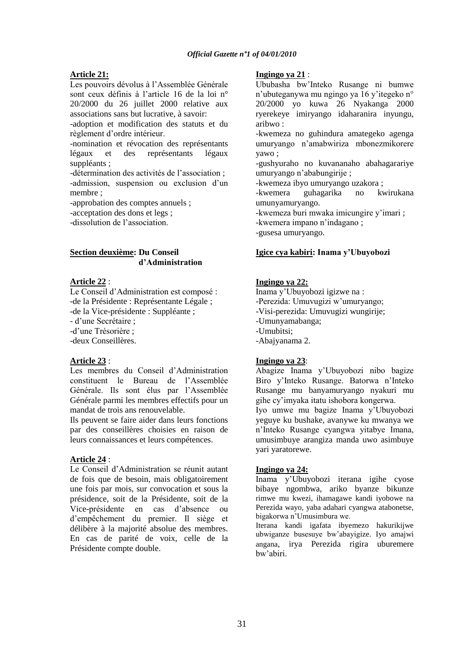### **Article 21:**

Les pouvoirs dévolus à l"Assemblée Générale sont ceux définis à l'article 16 de la loi n° 20/2000 du 26 juillet 2000 relative aux associations sans but lucrative, à savoir:

-adoption et modification des statuts et du règlement d"ordre intérieur.

-nomination et révocation des représentants légaux et des représentants légaux suppléants ;

-détermination des activités de l"association ; -admission, suspension ou exclusion d'un membre ;

-approbation des comptes annuels ;

-acceptation des dons et legs ;

-dissolution de l"association.

### **Section deuxième: Du Conseil d"Administration**

### **Article 22** :

Le Conseil d"Administration est composé : -de la Présidente : Représentante Légale ;

-de la Vice-présidente : Suppléante ;

- d"une Secrétaire ;

-d"une Trésorière ;

-deux Conseillères.

### **Article 23** :

Les membres du Conseil d"Administration constituent le Bureau de l"Assemblée Générale. Ils sont élus par l"Assemblée Générale parmi les membres effectifs pour un mandat de trois ans renouvelable.

Ils peuvent se faire aider dans leurs fonctions par des conseillères choisies en raison de leurs connaissances et leurs compétences.

### **Article 24** :

Le Conseil d"Administration se réunit autant de fois que de besoin, mais obligatoirement une fois par mois, sur convocation et sous la présidence, soit de la Présidente, soit de la Vice-présidente en cas d"absence ou d"empêchement du premier. Il siège et délibère à la majorité absolue des membres. En cas de parité de voix, celle de la Présidente compte double.

### **Ingingo ya 21** :

Ububasha bw"Inteko Rusange ni bumwe n"ubuteganywa mu ngingo ya 16 y"itegeko n° 20/2000 yo kuwa 26 Nyakanga 2000 ryerekeye imiryango idaharanira inyungu, aribwo :

-kwemeza no guhindura amategeko agenga umuryango n"amabwiriza mbonezmikorere yawo ;

-gushyuraho no kuvananaho abahagarariye umuryango n"ababungirije ;

-kwemeza ibyo umuryango uzakora ;

-kwemera guhagarika no kwirukana umunyamuryango.

-kwemeza buri mwaka imicungire y"imari ;

-kwemera impano n"indagano ;

-gusesa umuryango.

### **Igice cya kabiri: Inama y"Ubuyobozi**

### **Ingingo ya 22:**

Inama y"Ubuyobozi igizwe na : -Perezida: Umuvugizi w'umuryango; -Visi-perezida: Umuvugizi wungirije; -Umunyamabanga; -Umubitsi; -Abajyanama 2.

### **Ingingo ya 23**:

Abagize Inama y"Ubuyobozi nibo bagize Biro y"Inteko Rusange. Batorwa n"Inteko Rusange mu banyamuryango nyakuri mu gihe cy"imyaka itatu ishobora kongerwa.

Iyo umwe mu bagize Inama y"Ubuyobozi yeguye ku bushake, avanywe ku mwanya we n"Inteko Rusange cyangwa yitabye Imana, umusimbuye arangiza manda uwo asimbuye yari yaratorewe.

### **Ingingo ya 24:**

Inama y"Ubuyobozi iterana igihe cyose bibaye ngombwa, ariko byanze bikunze rimwe mu kwezi, ihamagawe kandi iyobowe na Perezida wayo, yaba adahari cyangwa atabonetse, bigakorwa n"Umusimbura we.

Iterana kandi igafata ibyemezo hakurikijwe ubwiganze busesuye bw"abayigize. Iyo amajwi angana, irya Perezida rigira uburemere bw"abiri.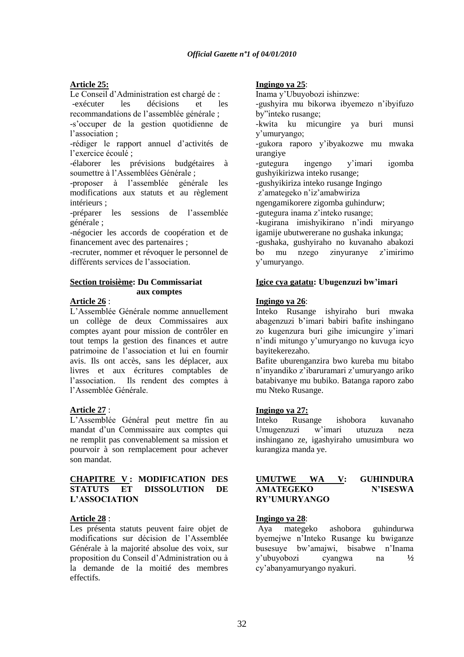### **Article 25:**

Le Conseil d"Administration est chargé de : -exécuter les décisions et les recommandations de l"assemblée générale ;

-s"occuper de la gestion quotidienne de l"association ;

-rédiger le rapport annuel d"activités de l"exercice écoulé ;

-élaborer les prévisions budgétaires à soumettre à l"Assemblées Générale ;

-proposer à l"assemblée générale les modifications aux statuts et au règlement intérieurs ;

-préparer les sessions de l"assemblée générale ;

-négocier les accords de coopération et de financement avec des partenaires ;

-recruter, nommer et révoquer le personnel de différents services de l"association.

### **Section troisième: Du Commissariat aux comptes**

### **Article 26** :

L"Assemblée Générale nomme annuellement un collège de deux Commissaires aux comptes ayant pour mission de contrôler en tout temps la gestion des finances et autre patrimoine de l"association et lui en fournir avis. Ils ont accès, sans les déplacer, aux livres et aux écritures comptables de l'association. Ils rendent des comptes à l"Assemblée Générale.

### **Article 27** :

L"Assemblée Général peut mettre fin au mandat d"un Commissaire aux comptes qui ne remplit pas convenablement sa mission et pourvoir à son remplacement pour achever son mandat.

### **CHAPITRE V : MODIFICATION DES STATUTS ET DISSOLUTION DE L"ASSOCIATION**

### **Article 28** :

Les présenta statuts peuvent faire objet de modifications sur décision de l"Assemblée Générale à la majorité absolue des voix, sur proposition du Conseil d"Administration ou à la demande de la moitié des membres effectifs.

### **Ingingo ya 25**:

Inama y"Ubuyobozi ishinzwe:

-gushyira mu bikorwa ibyemezo n"ibyifuzo by"inteko rusange;

-kwita ku micungire ya buri munsi y"umuryango;

-gukora raporo y"ibyakozwe mu mwaka urangiye

-gutegura ingengo y"imari igomba gushyikirizwa inteko rusange;

-gushyikiriza inteko rusange Ingingo

z"amategeko n"iz"amabwiriza

ngengamikorere zigomba guhindurw;

-gutegura inama z"inteko rusange;

-kugirana imishyikirano n"indi miryango

igamije ubutwererane no gushaka inkunga;

-gushaka, gushyiraho no kuvanaho abakozi bo mu nzego zinyuranye z"imirimo y"umuryango.

### **Igice cya gatatu: Ubugenzuzi bw"imari**

### **Ingingo ya 26**:

Inteko Rusange ishyiraho buri mwaka abagenzuzi b'imari babiri bafite inshingano zo kugenzura buri gihe imicungire y"imari n"indi mitungo y"umuryango no kuvuga icyo bayitekerezaho.

Bafite uburenganzira bwo kureba mu bitabo n"inyandiko z"ibaruramari z"umuryango ariko batabivanye mu bubiko. Batanga raporo zabo mu Nteko Rusange.

### **Ingingo ya 27:**

Inteko Rusange ishobora kuvanaho Umugenzuzi w"imari utuzuza neza inshingano ze, igashyiraho umusimbura wo kurangiza manda ye.

### **UMUTWE WA V: GUHINDURA AMATEGEKO N"ISESWA RY"UMURYANGO**

### **Ingingo ya 28**:

Aya mategeko ashobora guhindurwa byemejwe n"Inteko Rusange ku bwiganze busesuye bw"amajwi, bisabwe n"Inama y"ubuyobozi cyangwa na **½**  cy"abanyamuryango nyakuri.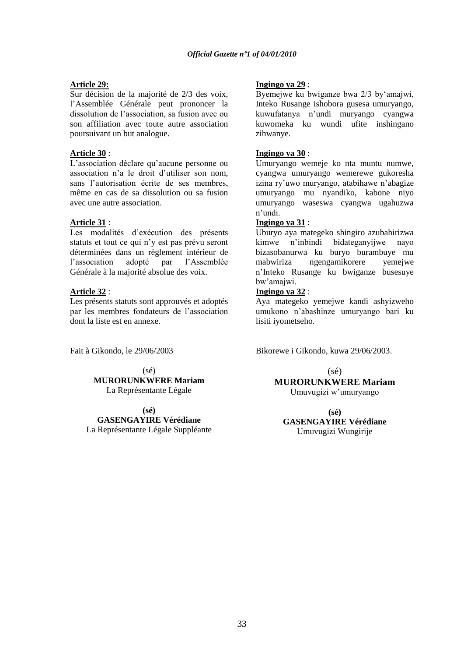### **Article 29:**

Sur décision de la majorité de 2/3 des voix, l"Assemblée Générale peut prononcer la dissolution de l"association, sa fusion avec ou son affiliation avec toute autre association poursuivant un but analogue.

### **Article 30** :

L"association déclare qu"aucune personne ou association n"a le droit d"utiliser son nom, sans l"autorisation écrite de ses membres, même en cas de sa dissolution ou sa fusion avec une autre association.

### **Article 31** :

Les modalités d"exécution des présents statuts et tout ce qui n"y est pas prévu seront déterminées dans un règlement intérieur de l"association adopté par l"Assemblée Générale à la majorité absolue des voix.

### **Article 32** :

Les présents statuts sont approuvés et adoptés par les membres fondateurs de l"association dont la liste est en annexe.

Fait à Gikondo, le 29/06/2003

(sé) **MURORUNKWERE Mariam** La Représentante Légale

**(sé) GASENGAYIRE Vérédiane** La Représentante Légale Suppléante

### **Ingingo ya 29** :

Byemejwe ku bwiganze bwa 2/3 by"amajwi, Inteko Rusange ishobora gusesa umuryango, kuwufatanya n"undi muryango cyangwa kuwomeka ku wundi ufite inshingano zihwanye.

### **Ingingo ya 30** :

Umuryango wemeje ko nta muntu numwe, cyangwa umuryango wemerewe gukoresha izina ry"uwo muryango, atabihawe n"abagize umuryango mu nyandiko, kabone niyo umuryango waseswa cyangwa ugahuzwa n"undi.

### **Ingingo ya 31** :

Uburyo aya mategeko shingiro azubahirizwa kimwe n"inbindi bidateganyijwe nayo bizasobanurwa ku buryo burambuye mu mabwiriza ngengamikorere yemejwe n"Inteko Rusange ku bwiganze busesuye bw"amajwi.

### **Ingingo ya 32** :

Aya mategeko yemejwe kandi ashyizweho umukono n"abashinze umuryango bari ku lisiti iyometseho.

Bikorewe i Gikondo, kuwa 29/06/2003.

(sé)

**MURORUNKWERE Mariam** Umuvugizi w"umuryango

**(sé) GASENGAYIRE Vérédiane** Umuvugizi Wungirije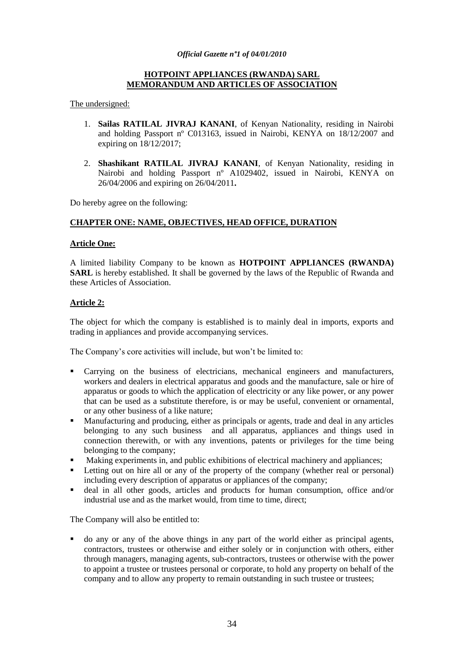### **HOTPOINT APPLIANCES (RWANDA) SARL MEMORANDUM AND ARTICLES OF ASSOCIATION**

The undersigned:

- 1. **Sailas RATILAL JIVRAJ KANANI**, of Kenyan Nationality, residing in Nairobi and holding Passport nº C013163, issued in Nairobi, KENYA on 18/12/2007 and expiring on 18/12/2017;
- 2. **Shashikant RATILAL JIVRAJ KANANI**, of Kenyan Nationality, residing in Nairobi and holding Passport nº A1029402, issued in Nairobi, KENYA on 26/04/2006 and expiring on 26/04/2011**.**

Do hereby agree on the following:

### **CHAPTER ONE: NAME, OBJECTIVES, HEAD OFFICE, DURATION**

### **Article One:**

A limited liability Company to be known as **HOTPOINT APPLIANCES (RWANDA) SARL** is hereby established. It shall be governed by the laws of the Republic of Rwanda and these Articles of Association.

### **Article 2:**

The object for which the company is established is to mainly deal in imports, exports and trading in appliances and provide accompanying services.

The Company's core activities will include, but won't be limited to:

- Carrying on the business of electricians, mechanical engineers and manufacturers, workers and dealers in electrical apparatus and goods and the manufacture, sale or hire of apparatus or goods to which the application of electricity or any like power, or any power that can be used as a substitute therefore, is or may be useful, convenient or ornamental, or any other business of a like nature;
- Manufacturing and producing, either as principals or agents, trade and deal in any articles belonging to any such business and all apparatus, appliances and things used in connection therewith, or with any inventions, patents or privileges for the time being belonging to the company;
- Making experiments in, and public exhibitions of electrical machinery and appliances;
- Letting out on hire all or any of the property of the company (whether real or personal) including every description of apparatus or appliances of the company;
- deal in all other goods, articles and products for human consumption, office and/or industrial use and as the market would, from time to time, direct;

The Company will also be entitled to:

 do any or any of the above things in any part of the world either as principal agents, contractors, trustees or otherwise and either solely or in conjunction with others, either through managers, managing agents, sub-contractors, trustees or otherwise with the power to appoint a trustee or trustees personal or corporate, to hold any property on behalf of the company and to allow any property to remain outstanding in such trustee or trustees;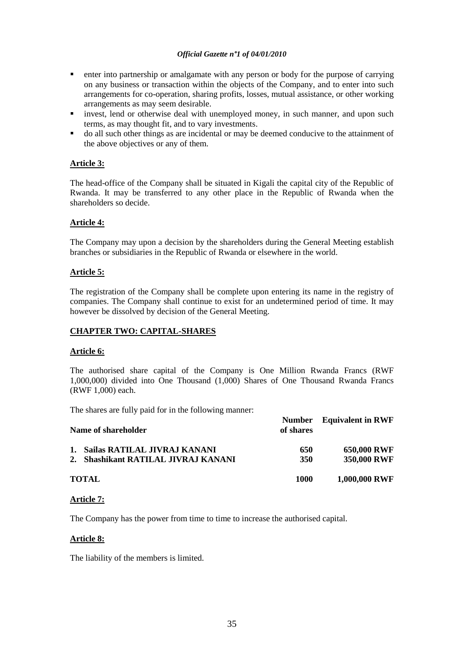- enter into partnership or amalgamate with any person or body for the purpose of carrying on any business or transaction within the objects of the Company, and to enter into such arrangements for co-operation, sharing profits, losses, mutual assistance, or other working arrangements as may seem desirable.
- invest, lend or otherwise deal with unemployed money, in such manner, and upon such terms, as may thought fit, and to vary investments.
- do all such other things as are incidental or may be deemed conducive to the attainment of the above objectives or any of them.

### **Article 3:**

The head-office of the Company shall be situated in Kigali the capital city of the Republic of Rwanda. It may be transferred to any other place in the Republic of Rwanda when the shareholders so decide.

### **Article 4:**

The Company may upon a decision by the shareholders during the General Meeting establish branches or subsidiaries in the Republic of Rwanda or elsewhere in the world.

### **Article 5:**

The registration of the Company shall be complete upon entering its name in the registry of companies. The Company shall continue to exist for an undetermined period of time. It may however be dissolved by decision of the General Meeting.

### **CHAPTER TWO: CAPITAL-SHARES**

### **Article 6:**

The authorised share capital of the Company is One Million Rwanda Francs (RWF 1,000,000) divided into One Thousand (1,000) Shares of One Thousand Rwanda Francs (RWF 1,000) each.

The shares are fully paid for in the following manner:

| Name of shareholder                                                    | of shares  | <b>Number</b> Equivalent in RWF   |
|------------------------------------------------------------------------|------------|-----------------------------------|
| 1. Sailas RATILAL JIVRAJ KANANI<br>2. Shashikant RATILAL JIVRAJ KANANI | 650<br>350 | <b>650,000 RWF</b><br>350,000 RWF |
| <b>TOTAL</b>                                                           | 1000       | 1,000,000 RWF                     |

### **Article 7:**

The Company has the power from time to time to increase the authorised capital.

### **Article 8:**

The liability of the members is limited.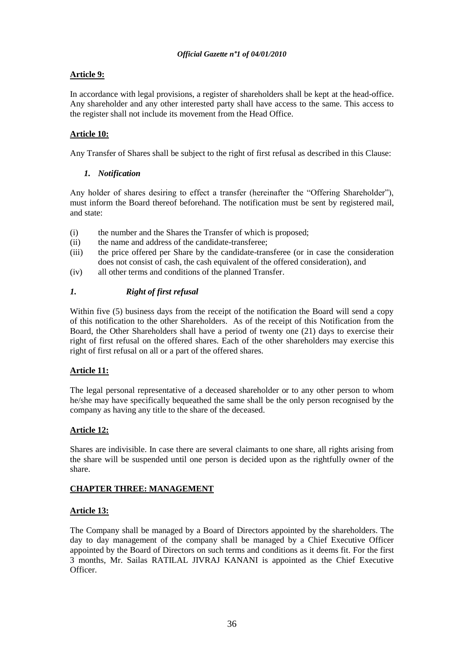### **Article 9:**

In accordance with legal provisions, a register of shareholders shall be kept at the head-office. Any shareholder and any other interested party shall have access to the same. This access to the register shall not include its movement from the Head Office.

### **Article 10:**

Any Transfer of Shares shall be subject to the right of first refusal as described in this Clause:

### *1. Notification*

Any holder of shares desiring to effect a transfer (hereinafter the "Offering Shareholder"), must inform the Board thereof beforehand. The notification must be sent by registered mail, and state:

- (i) the number and the Shares the Transfer of which is proposed;
- (ii) the name and address of the candidate-transferee;
- (iii) the price offered per Share by the candidate-transferee (or in case the consideration does not consist of cash, the cash equivalent of the offered consideration), and
- (iv) all other terms and conditions of the planned Transfer.

### *1. Right of first refusal*

Within five (5) business days from the receipt of the notification the Board will send a copy of this notification to the other Shareholders. As of the receipt of this Notification from the Board, the Other Shareholders shall have a period of twenty one (21) days to exercise their right of first refusal on the offered shares. Each of the other shareholders may exercise this right of first refusal on all or a part of the offered shares.

### **Article 11:**

The legal personal representative of a deceased shareholder or to any other person to whom he/she may have specifically bequeathed the same shall be the only person recognised by the company as having any title to the share of the deceased.

### **Article 12:**

Shares are indivisible. In case there are several claimants to one share, all rights arising from the share will be suspended until one person is decided upon as the rightfully owner of the share.

### **CHAPTER THREE: MANAGEMENT**

### **Article 13:**

The Company shall be managed by a Board of Directors appointed by the shareholders. The day to day management of the company shall be managed by a Chief Executive Officer appointed by the Board of Directors on such terms and conditions as it deems fit. For the first 3 months, Mr. Sailas RATILAL JIVRAJ KANANI is appointed as the Chief Executive **Officer**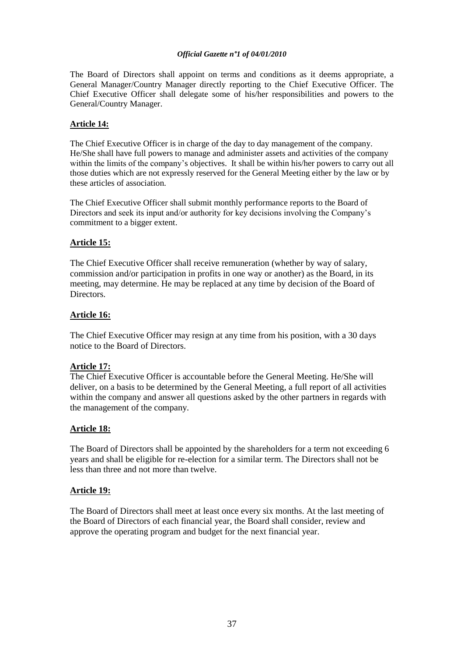The Board of Directors shall appoint on terms and conditions as it deems appropriate, a General Manager/Country Manager directly reporting to the Chief Executive Officer. The Chief Executive Officer shall delegate some of his/her responsibilities and powers to the General/Country Manager.

# **Article 14:**

The Chief Executive Officer is in charge of the day to day management of the company. He/She shall have full powers to manage and administer assets and activities of the company within the limits of the company's objectives. It shall be within his/her powers to carry out all those duties which are not expressly reserved for the General Meeting either by the law or by these articles of association.

The Chief Executive Officer shall submit monthly performance reports to the Board of Directors and seek its input and/or authority for key decisions involving the Company's commitment to a bigger extent.

# **Article 15:**

The Chief Executive Officer shall receive remuneration (whether by way of salary, commission and/or participation in profits in one way or another) as the Board, in its meeting, may determine. He may be replaced at any time by decision of the Board of **Directors** 

# **Article 16:**

The Chief Executive Officer may resign at any time from his position, with a 30 days notice to the Board of Directors.

# **Article 17:**

The Chief Executive Officer is accountable before the General Meeting. He/She will deliver, on a basis to be determined by the General Meeting, a full report of all activities within the company and answer all questions asked by the other partners in regards with the management of the company.

# **Article 18:**

The Board of Directors shall be appointed by the shareholders for a term not exceeding 6 years and shall be eligible for re-election for a similar term. The Directors shall not be less than three and not more than twelve.

# **Article 19:**

The Board of Directors shall meet at least once every six months. At the last meeting of the Board of Directors of each financial year, the Board shall consider, review and approve the operating program and budget for the next financial year.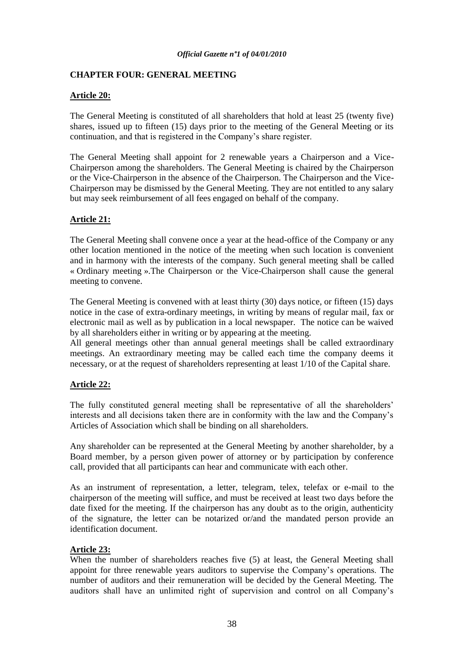# **CHAPTER FOUR: GENERAL MEETING**

# **Article 20:**

The General Meeting is constituted of all shareholders that hold at least 25 (twenty five) shares, issued up to fifteen (15) days prior to the meeting of the General Meeting or its continuation, and that is registered in the Company"s share register.

The General Meeting shall appoint for 2 renewable years a Chairperson and a Vice-Chairperson among the shareholders. The General Meeting is chaired by the Chairperson or the Vice-Chairperson in the absence of the Chairperson. The Chairperson and the Vice-Chairperson may be dismissed by the General Meeting. They are not entitled to any salary but may seek reimbursement of all fees engaged on behalf of the company.

# **Article 21:**

The General Meeting shall convene once a year at the head-office of the Company or any other location mentioned in the notice of the meeting when such location is convenient and in harmony with the interests of the company. Such general meeting shall be called « Ordinary meeting ».The Chairperson or the Vice-Chairperson shall cause the general meeting to convene.

The General Meeting is convened with at least thirty (30) days notice, or fifteen (15) days notice in the case of extra-ordinary meetings, in writing by means of regular mail, fax or electronic mail as well as by publication in a local newspaper. The notice can be waived by all shareholders either in writing or by appearing at the meeting.

All general meetings other than annual general meetings shall be called extraordinary meetings. An extraordinary meeting may be called each time the company deems it necessary, or at the request of shareholders representing at least 1/10 of the Capital share.

# **Article 22:**

The fully constituted general meeting shall be representative of all the shareholders' interests and all decisions taken there are in conformity with the law and the Company"s Articles of Association which shall be binding on all shareholders.

Any shareholder can be represented at the General Meeting by another shareholder, by a Board member, by a person given power of attorney or by participation by conference call, provided that all participants can hear and communicate with each other.

As an instrument of representation, a letter, telegram, telex, telefax or e-mail to the chairperson of the meeting will suffice, and must be received at least two days before the date fixed for the meeting. If the chairperson has any doubt as to the origin, authenticity of the signature, the letter can be notarized or/and the mandated person provide an identification document.

# **Article 23:**

When the number of shareholders reaches five (5) at least, the General Meeting shall appoint for three renewable years auditors to supervise the Company"s operations. The number of auditors and their remuneration will be decided by the General Meeting. The auditors shall have an unlimited right of supervision and control on all Company"s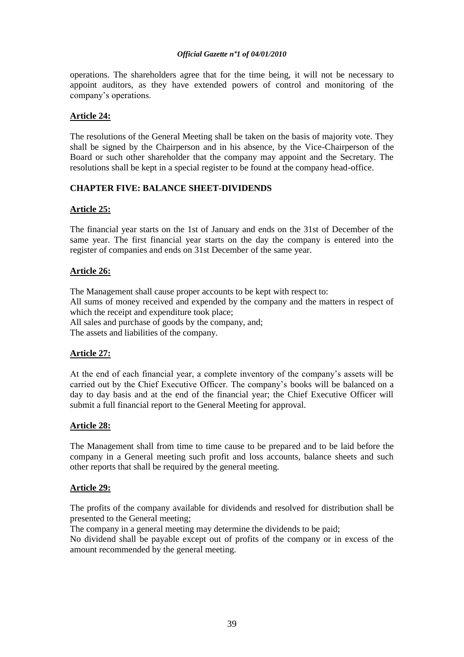operations. The shareholders agree that for the time being, it will not be necessary to appoint auditors, as they have extended powers of control and monitoring of the company"s operations.

# **Article 24:**

The resolutions of the General Meeting shall be taken on the basis of majority vote. They shall be signed by the Chairperson and in his absence, by the Vice-Chairperson of the Board or such other shareholder that the company may appoint and the Secretary. The resolutions shall be kept in a special register to be found at the company head-office.

# **CHAPTER FIVE: BALANCE SHEET-DIVIDENDS**

# **Article 25:**

The financial year starts on the 1st of January and ends on the 31st of December of the same year. The first financial year starts on the day the company is entered into the register of companies and ends on 31st December of the same year.

# **Article 26:**

The Management shall cause proper accounts to be kept with respect to: All sums of money received and expended by the company and the matters in respect of which the receipt and expenditure took place; All sales and purchase of goods by the company, and;

The assets and liabilities of the company.

# **Article 27:**

At the end of each financial year, a complete inventory of the company"s assets will be carried out by the Chief Executive Officer. The company"s books will be balanced on a day to day basis and at the end of the financial year; the Chief Executive Officer will submit a full financial report to the General Meeting for approval.

# **Article 28:**

The Management shall from time to time cause to be prepared and to be laid before the company in a General meeting such profit and loss accounts, balance sheets and such other reports that shall be required by the general meeting.

# **Article 29:**

The profits of the company available for dividends and resolved for distribution shall be presented to the General meeting;

The company in a general meeting may determine the dividends to be paid;

No dividend shall be payable except out of profits of the company or in excess of the amount recommended by the general meeting.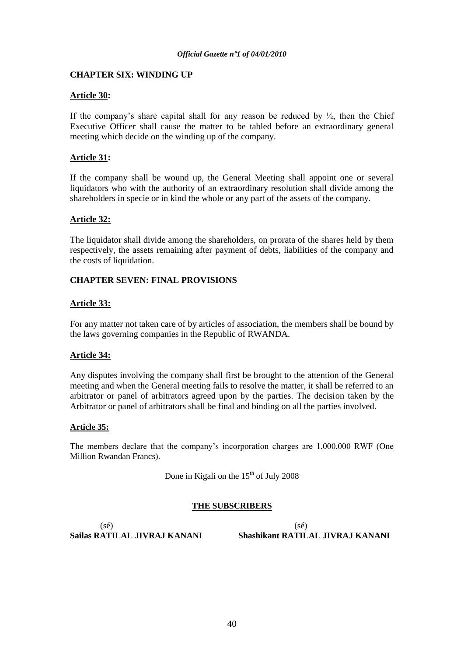# **CHAPTER SIX: WINDING UP**

# **Article 30:**

If the company's share capital shall for any reason be reduced by  $\frac{1}{2}$ , then the Chief Executive Officer shall cause the matter to be tabled before an extraordinary general meeting which decide on the winding up of the company.

# **Article 31:**

If the company shall be wound up, the General Meeting shall appoint one or several liquidators who with the authority of an extraordinary resolution shall divide among the shareholders in specie or in kind the whole or any part of the assets of the company.

# **Article 32:**

The liquidator shall divide among the shareholders, on prorata of the shares held by them respectively, the assets remaining after payment of debts, liabilities of the company and the costs of liquidation.

# **CHAPTER SEVEN: FINAL PROVISIONS**

# **Article 33:**

For any matter not taken care of by articles of association, the members shall be bound by the laws governing companies in the Republic of RWANDA.

# **Article 34:**

Any disputes involving the company shall first be brought to the attention of the General meeting and when the General meeting fails to resolve the matter, it shall be referred to an arbitrator or panel of arbitrators agreed upon by the parties. The decision taken by the Arbitrator or panel of arbitrators shall be final and binding on all the parties involved.

# **Article 35:**

The members declare that the company"s incorporation charges are 1,000,000 RWF (One Million Rwandan Francs).

Done in Kigali on the  $15<sup>th</sup>$  of July 2008

# **THE SUBSCRIBERS**

 $(s\acute{e})$  (sé)

**Sailas RATILAL JIVRAJ KANANI Shashikant RATILAL JIVRAJ KANANI**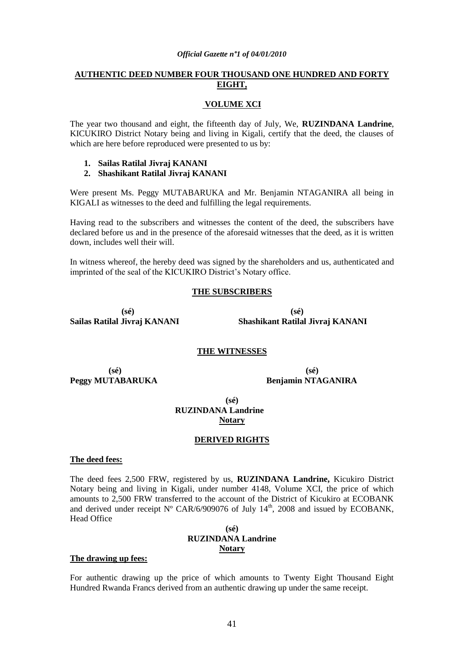# **AUTHENTIC DEED NUMBER FOUR THOUSAND ONE HUNDRED AND FORTY EIGHT,**

### **VOLUME XCI**

The year two thousand and eight, the fifteenth day of July, We, **RUZINDANA Landrine**, KICUKIRO District Notary being and living in Kigali, certify that the deed, the clauses of which are here before reproduced were presented to us by:

- **1. Sailas Ratilal Jivraj KANANI**
- **2. Shashikant Ratilal Jivraj KANANI**

Were present Ms. Peggy MUTABARUKA and Mr. Benjamin NTAGANIRA all being in KIGALI as witnesses to the deed and fulfilling the legal requirements.

Having read to the subscribers and witnesses the content of the deed, the subscribers have declared before us and in the presence of the aforesaid witnesses that the deed, as it is written down, includes well their will.

In witness whereof, the hereby deed was signed by the shareholders and us, authenticated and imprinted of the seal of the KICUKIRO District's Notary office.

### **THE SUBSCRIBERS**

 **(sé) (sé)** 

**Sailas Ratilal Jivraj KANANI Shashikant Ratilal Jivraj KANANI** 

#### **THE WITNESSES**

 **(sé) (sé) Peggy MUTABARUKA Benjamin NTAGANIRA**

**(sé) RUZINDANA Landrine Notary**

#### **DERIVED RIGHTS**

#### **The deed fees:**

The deed fees 2,500 FRW, registered by us, **RUZINDANA Landrine,** Kicukiro District Notary being and living in Kigali, under number 4148, Volume XCI, the price of which amounts to 2,500 FRW transferred to the account of the District of Kicukiro at ECOBANK and derived under receipt  $N^{\circ}$  CAR/6/909076 of July 14<sup>th</sup>, 2008 and issued by ECOBANK, Head Office

# **(sé) RUZINDANA Landrine Notary**

#### **The drawing up fees:**

For authentic drawing up the price of which amounts to Twenty Eight Thousand Eight Hundred Rwanda Francs derived from an authentic drawing up under the same receipt.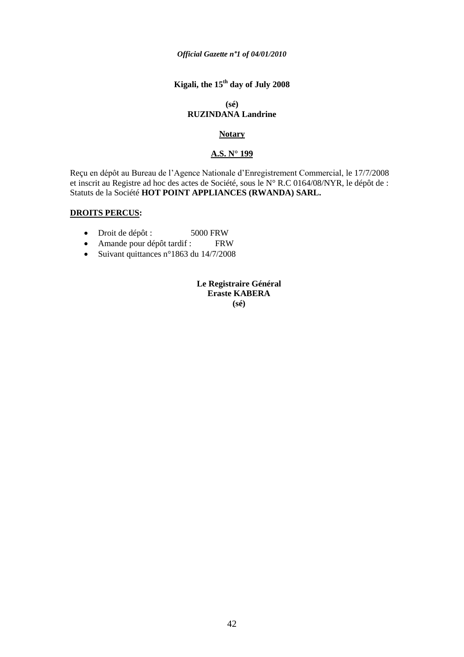# **Kigali, the 15th day of July 2008**

#### **(sé) RUZINDANA Landrine**

# **Notary**

# **A.S. N° 199**

Reçu en dépôt au Bureau de l"Agence Nationale d"Enregistrement Commercial, le 17/7/2008 et inscrit au Registre ad hoc des actes de Société, sous le N° R.C 0164/08/NYR, le dépôt de : Statuts de la Société **HOT POINT APPLIANCES (RWANDA) SARL.**

# **DROITS PERCUS:**

- Droit de dépôt : 5000 FRW
- Amande pour dépôt tardif : FRW
- Suivant quittances n°1863 du 14/7/2008

**Le Registraire Général Eraste KABERA (sé)**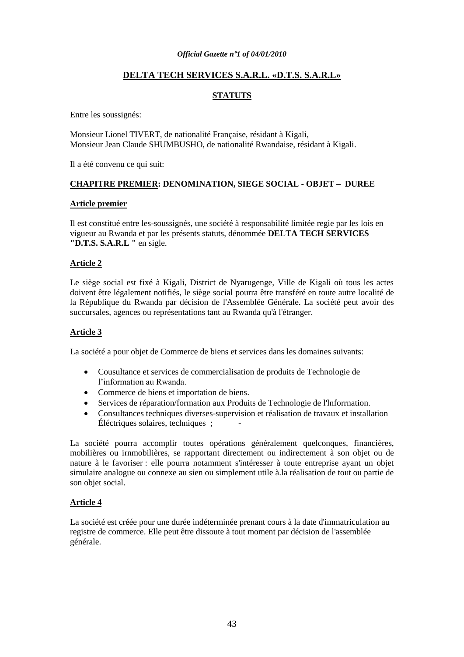# **DELTA TECH SERVICES S.A.R.L. «D.T.S. S.A.R.L»**

# **STATUTS**

Entre les soussignés:

Monsieur Lionel TIVERT, de nationalité Française, résidant à Kigali, Monsieur Jean Claude SHUMBUSHO, de nationalité Rwandaise, résidant à Kigali.

Il a été convenu ce qui suit:

# **CHAPITRE PREMIER: DENOMINATION, SIEGE SOCIAL - OBJET – DUREE**

#### **Article premier**

Il est constitué entre les-soussignés, une société à responsabilité limitée regie par les lois en vigueur au Rwanda et par les présents statuts, dénommée **DELTA TECH SERVICES "D.T.S. S.A.R.L "** en sigle.

# **Article 2**

Le siège social est fixé à Kigali, District de Nyarugenge, Ville de Kigali où tous les actes doivent être légalement notifiés, le siège social pourra être transféré en toute autre localité de la République du Rwanda par décision de l'Assemblée Générale. La société peut avoir des succursales, agences ou représentations tant au Rwanda qu'à l'étranger.

# **Article 3**

La société a pour objet de Commerce de biens et services dans les domaines suivants:

- Cousultance et services de commercialisation de produits de Technologie de l"information au Rwanda.
- Commerce de biens et importation de biens.
- Services de réparation/formation aux Produits de Technologie de l'lnforrnation.
- Consultances techniques diverses-supervision et réalisation de travaux et installation Éléctriques solaires, techniques ; -

La société pourra accomplir toutes opérations généralement quelconques, financières, mobilières ou irnmobilières, se rapportant directement ou indirectement à son objet ou de nature à le favoriser : elle pourra notamment s'intéresser à toute entreprise ayant un objet simulaire analogue ou connexe au sien ou simplement utile à.la réalisation de tout ou partie de son objet social.

# **Article 4**

La société est créée pour une durée indéterminée prenant cours à la date d'immatriculation au registre de commerce. Elle peut être dissoute à tout moment par décision de l'assemblée générale.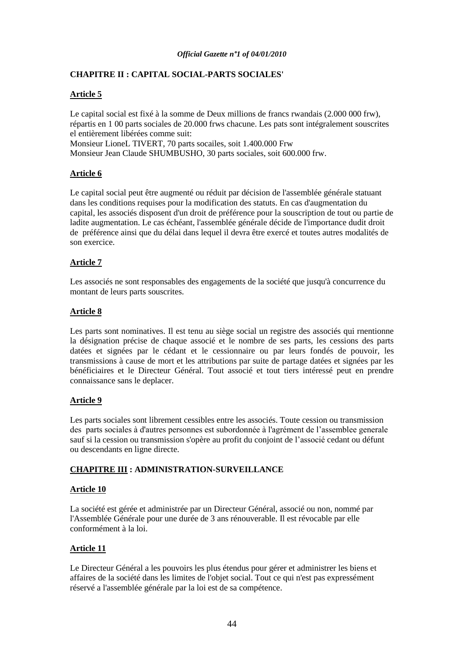# **CHAPITRE II : CAPITAL SOCIAL-PARTS SOCIALES'**

# **Article 5**

Le capital social est fixé à la somme de Deux millions de francs rwandais (2.000 000 frw), répartis en 1 00 parts sociales de 20.000 frws chacune. Les pats sont intégralement souscrites el entièrement libérées comme suit: Monsieur LioneL TIVERT, 70 parts socailes, soit 1.400.000 Frw Monsieur Jean Claude SHUMBUSHO, 30 parts sociales, soit 600.000 frw.

# **Article 6**

Le capital social peut être augmenté ou réduit par décision de l'assemblée générale statuant dans les conditions requises pour la modification des statuts. En cas d'augmentation du capital, les associés disposent d'un droit de préférence pour la souscription de tout ou partie de ladite augmentation. Le cas échéant, l'assemblée générale décide de l'importance dudit droit de préférence ainsi que du délai dans lequel il devra être exercé et toutes autres modalités de son exercice.

# **Article 7**

Les associés ne sont responsables des engagements de la société que jusqu'à concurrence du montant de leurs parts souscrites.

# **Article 8**

Les parts sont nominatives. Il est tenu au siège social un registre des associés qui rnentionne la désignation précise de chaque associé et le nombre de ses parts, les cessions des parts datées et signées par le cédant et le cessionnaire ou par leurs fondés de pouvoir, les transmissions à cause de mort et les attributions par suite de partage datées et signées par les bénéficiaires et le Directeur Général. Tout associé et tout tiers intéressé peut en prendre connaissance sans le deplacer.

# **Article 9**

Les parts sociales sont librement cessibles entre les associés. Toute cession ou transmission des parts sociales à d'autres personnes est subordonnée à l'agrément de l"assemblee generale sauf si la cession ou transmission s'opère au profit du conjoint de l"associé cedant ou défunt ou descendants en ligne directe.

# **CHAPITRE III : ADMINISTRATION-SURVEILLANCE**

# **Article 10**

La société est gérée et administrée par un Directeur Général, associé ou non, nommé par l'Assemblée Générale pour une durée de 3 ans rénouverable. Il est révocable par elle conformément à la loi.

# **Article 11**

Le Directeur Général a les pouvoirs les plus étendus pour gérer et administrer les biens et affaires de la société dans les limites de l'objet social. Tout ce qui n'est pas expressément réservé a l'assemblée générale par la loi est de sa compétence.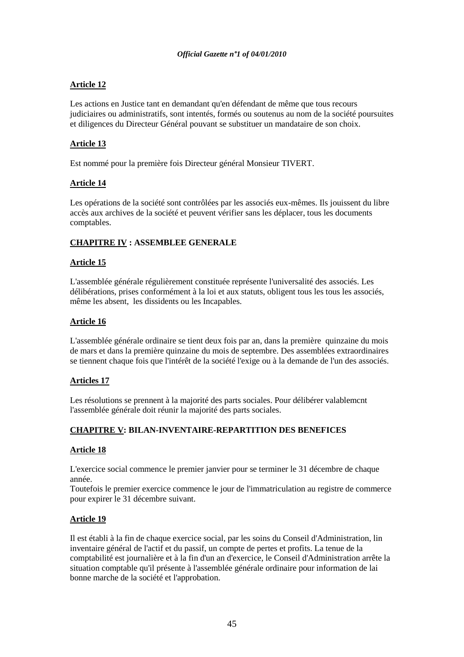# **Article 12**

Les actions en Justice tant en demandant qu'en défendant de même que tous recours judiciaires ou administratifs, sont intentés, formés ou soutenus au nom de la société poursuites et diligences du Directeur Général pouvant se substituer un mandataire de son choix.

# **Article 13**

Est nommé pour la première fois Directeur général Monsieur TIVERT.

# **Article 14**

Les opérations de la société sont contrôlées par les associés eux-mêmes. Ils jouissent du libre accès aux archives de la société et peuvent vérifier sans les déplacer, tous les documents comptables.

# **CHAPITRE IV : ASSEMBLEE GENERALE**

# **Article 15**

L'assemblée générale régulièrement constituée représente l'universalité des associés. Les délibérations, prises conformément à la loi et aux statuts, obligent tous les tous les associés, même les absent, les dissidents ou les Incapables.

# **Article 16**

L'assemblée générale ordinaire se tient deux fois par an, dans la première quinzaine du mois de mars et dans la première quinzaine du mois de septembre. Des assemblées extraordinaires se tiennent chaque fois que l'intérêt de la société l'exige ou à la demande de l'un des associés.

# **Articles 17**

Les résolutions se prennent à la majorité des parts sociales. Pour délibérer valablemcnt l'assemblée générale doit réunir la majorité des parts sociales.

# **CHAPITRE V: BILAN-INVENTAIRE-REPARTITION DES BENEFICES**

# **Article 18**

L'exercice social commence le premier janvier pour se terminer le 31 décembre de chaque année.

Toutefois le premier exercice commence le jour de l'immatriculation au registre de commerce pour expirer le 31 décembre suivant.

# **Article 19**

Il est établi à la fin de chaque exercice social, par les soins du Conseil d'Administration, lin inventaire général de l'actif et du passif, un compte de pertes et profits. La tenue de la comptabilité est journalière et à la fin d'un an d'exercice, le Conseil d'Administration arrête la situation comptable qu'il présente à l'assemblée générale ordinaire pour information de lai bonne marche de la société et l'approbation.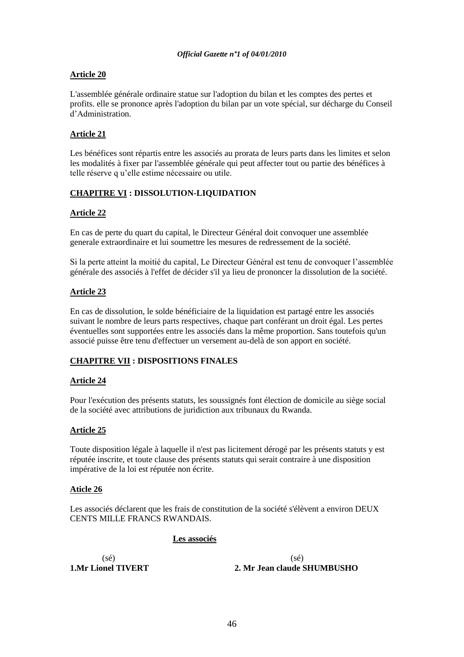# **Article 20**

L'assemblée générale ordinaire statue sur l'adoption du bilan et les comptes des pertes et profits. elle se prononce après l'adoption du bilan par un vote spécial, sur décharge du Conseil d"Administration.

# **Article 21**

Les bénéfices sont répartis entre les associés au prorata de leurs parts dans les limites et selon les modalités à fixer par l'assemblée générale qui peut affecter tout ou partie des bénéfices à telle réserve q u"elle estime nécessaire ou utile.

# **CHAPITRE VI : DISSOLUTION-LIQUIDATION**

# **Article 22**

En cas de perte du quart du capital, le Directeur Général doit convoquer une assemblée generale extraordinaire et lui soumettre les mesures de redressement de la société.

Si la perte atteint la moitié du capital, Le Directeur Général est tenu de convoquer l"assemblée générale des associés à l'effet de décider s'il ya lieu de prononcer la dissolution de la société.

# **Article 23**

En cas de dissolution, le solde bénéficiaire de la liquidation est partagé entre les associés suivant le nombre de leurs parts respectives, chaque part conférant un droit égal. Les pertes éventuelles sont supportées entre les associés dans la même proportion. Sans toutefois qu'un associé puisse être tenu d'effectuer un versement au-delà de son apport en société.

# **CHAPITRE VII : DISPOSITIONS FINALES**

# **Article 24**

Pour l'exécution des présents statuts, les soussignés font élection de domicile au siège social de la société avec attributions de juridiction aux tribunaux du Rwanda.

# **Article 25**

Toute disposition légale à laquelle il n'est pas licitement dérogé par les présents statuts y est réputée inscrite, et toute clause des présents statuts qui serait contraire à une disposition impérative de la loi est réputée non écrite.

# **Aticle 26**

Les associés déclarent que les frais de constitution de la société s'élèvent a environ DEUX CENTS MILLE FRANCS RWANDAIS.

# **Les associés**

 $(s\acute{e})$  (sé)

**1.Mr Lionel TIVERT 2. Mr Jean claude SHUMBUSHO**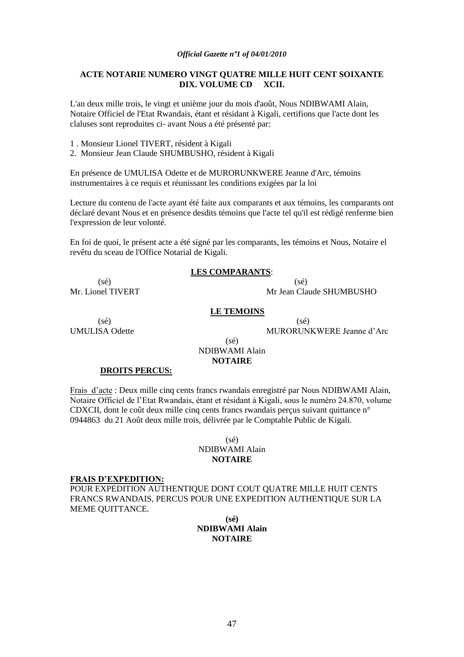# **ACTE NOTARIE NUMERO VINGT QUATRE MILLE HUIT CENT SOIXANTE DIX. VOLUME CD XCII.**

L'an deux mille trois, le vingt et unième jour du mois d'août, Nous NDIBWAMI Alain, Notaire Officiel de l'Etat Rwandais, étant et résidant à Kigali, certifions que l'acte dont les claluses sont reproduites ci- avant Nous a été présenté par:

1 . Monsieur Lionel TIVERT, résident à Kigali

2. Monsieur Jean Claude SHUMBUSHO, résident à Kigali

En présence de UMULISA Odette et de MURORUNKWERE Jeanne d'Arc, témoins instrumentaires à ce requis et réunissant les conditions exigées par la loi

Lecture du contenu de l'acte ayant été faite aux comparants et aux témoins, les cornparants ont déclaré devant Nous et en présence desdits témoins que l'acte tel qu'il est rédigé renferme bien l'expression de leur volonté.

En foi de quoi, le présent acte a été signé par les comparants, les témoins et Nous, Notaire el revêtu du sceau de l'Office Notarial de Kigali.

# **LES COMPARANTS**:

 $(s\acute{e})$  (sé)

Mr. Lionel TIVERT Mr. Jean Claude SHUMBUSHO

#### **LE TEMOINS**

 $(s\acute{e})$  (sé) UMULISA Odette MURORUNKWERE Jeanne d'Arc

### $(sé)$ NDIBWAMI Alain **NOTAIRE**

#### **DROITS PERCUS:**

Frais d"acte : Deux mille cinq cents francs rwandais enregistré par Nous NDIBWAMI Alain, Notaire Officiel de l"Etat Rwandais, étant et résidant à Kigali, sous le numéro 24.870, volume CDXCII, dont le coût deux mille cinq cents francs rwandais perçus suivant quittance n° 0944863 du 21 Août deux mille trois, délivrée par le Comptable Public de Kigali.

### $(sé)$ NDIBWAMI Alain **NOTAIRE**

#### **FRAIS D"EXPEDITION:**

POUR EXPEDITION AUTHENTIQUE DONT COUT QUATRE MILLE HUIT CENTS FRANCS RWANDAIS, PERCUS POUR UNE EXPEDITION AUTHENTIQUE SUR LA MEME QUITTANCE.

# **(sé) NDIBWAMI Alain NOTAIRE**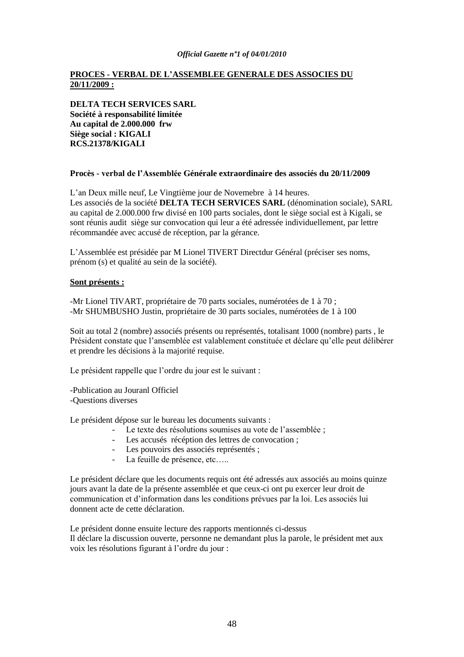# **PROCES - VERBAL DE L"ASSEMBLEE GENERALE DES ASSOCIES DU 20/11/2009 :**

**DELTA TECH SERVICES SARL Société à responsabilité limitée Au capital de 2.000.000 frw Siège social : KIGALI RCS.21378/KIGALI**

#### **Procès - verbal de l"Assemblée Générale extraordinaire des associés du 20/11/2009**

L"an Deux mille neuf, Le Vingtième jour de Novemebre à 14 heures. Les associés de la société **DELTA TECH SERVICES SARL** (dénomination sociale), SARL au capital de 2.000.000 frw divisé en 100 parts sociales, dont le siège social est à Kigali, se sont réunis audit siège sur convocation qui leur a été adressée individuellement, par lettre récommandée avec accusé de réception, par la gérance.

L"Assemblée est présidée par M Lionel TIVERT Directdur Général (préciser ses noms, prénom (s) et qualité au sein de la société).

#### **Sont présents :**

-Mr Lionel TIVART, propriétaire de 70 parts sociales, numérotées de 1 à 70 ; -Mr SHUMBUSHO Justin, propriétaire de 30 parts sociales, numérotées de 1 à 100

Soit au total 2 (nombre) associés présents ou représentés, totalisant 1000 (nombre) parts , le Président constate que l"ansemblée est valablement constituée et déclare qu"elle peut délibérer et prendre les décisions à la majorité requise.

Le président rappelle que l'ordre du jour est le suivant :

-Publication au Jouranl Officiel -Questions diverses

Le président dépose sur le bureau les documents suivants :

- Le texte des résolutions soumises au vote de l'assemblée ;
- Les accusés récéption des lettres de convocation ;
- Les pouvoirs des associés représentés ;
- La feuille de présence, etc…..

Le président déclare que les documents requis ont été adressés aux associés au moins quinze jours avant la date de la présente assemblée et que ceux-ci ont pu exercer leur droit de communication et d"information dans les conditions prévues par la loi. Les associés lui donnent acte de cette déclaration.

Le président donne ensuite lecture des rapports mentionnés ci-dessus Il déclare la discussion ouverte, personne ne demandant plus la parole, le président met aux voix les résolutions figurant à l"ordre du jour :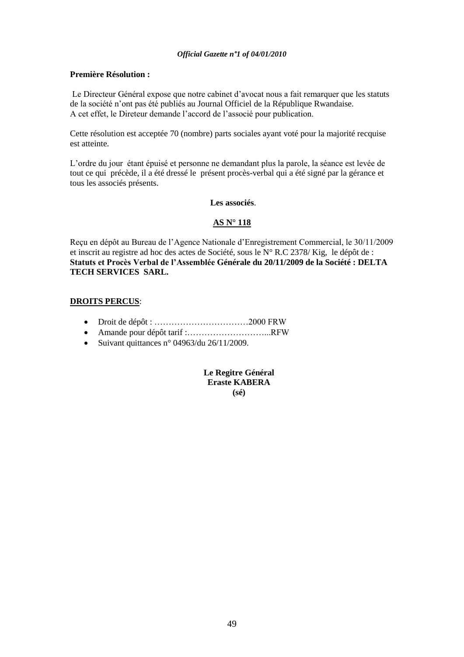# **Première Résolution :**

Le Directeur Général expose que notre cabinet d"avocat nous a fait remarquer que les statuts de la société n"ont pas été publiés au Journal Officiel de la République Rwandaise. A cet effet, le Direteur demande l"accord de l"associé pour publication.

Cette résolution est acceptée 70 (nombre) parts sociales ayant voté pour la majorité recquise est atteinte.

L"ordre du jour étant épuisé et personne ne demandant plus la parole, la séance est levée de tout ce qui précède, il a été dressé le présent procès-verbal qui a été signé par la gérance et tous les associés présents.

# **Les associés**.

# **AS N° 118**

Reçu en dépôt au Bureau de l"Agence Nationale d"Enregistrement Commercial, le 30/11/2009 et inscrit au registre ad hoc des actes de Société, sous le N° R.C 2378/ Kig, le dépôt de : **Statuts et Procès Verbal de l"Assemblée Générale du 20/11/2009 de la Société : DELTA TECH SERVICES SARL.**

# **DROITS PERCUS**:

- Droit de dépôt : ……………………………2000 FRW
- Amande pour dépôt tarif :………………………...RFW
- Suivant quittances n° 04963/du 26/11/2009.

**Le Regitre Général Eraste KABERA (sé)**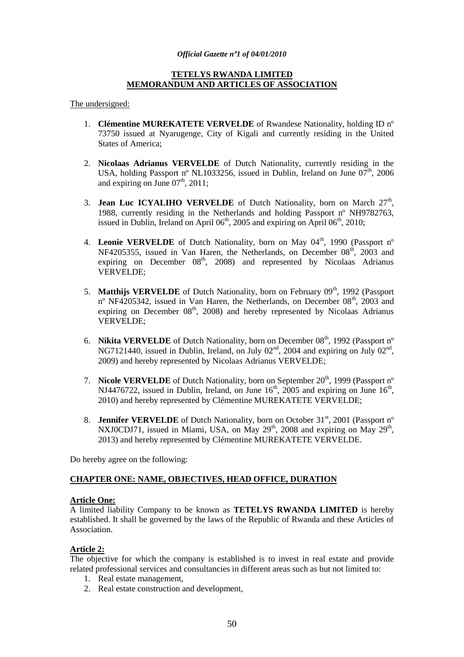# **TETELYS RWANDA LIMITED MEMORANDUM AND ARTICLES OF ASSOCIATION**

#### The undersigned:

- 1. **Clémentine MUREKATETE VERVELDE** of Rwandese Nationality, holding ID nº 73750 issued at Nyarugenge, City of Kigali and currently residing in the United States of America;
- 2. **Nicolaas Adrianus VERVELDE** of Dutch Nationality, currently residing in the USA, holding Passport n° NL1033256, issued in Dublin, Ireland on June  $07<sup>th</sup>$ , 2006 and expiring on June  $07<sup>th</sup>$ , 2011;
- 3. **Jean Luc ICYALIHO VERVELDE** of Dutch Nationality, born on March  $27<sup>th</sup>$ , 1988, currently residing in the Netherlands and holding Passport nº NH9782763, issued in Dublin, Ireland on April  $06<sup>th</sup>$ , 2005 and expiring on April  $06<sup>th</sup>$ , 2010;
- 4. Leonie VERVELDE of Dutch Nationality, born on May 04<sup>th</sup>, 1990 (Passport n° NF4205355, issued in Van Haren, the Netherlands, on December  $08<sup>th</sup>$ , 2003 and expiring on December  $08<sup>th</sup>$ , 2008) and represented by Nicolaas Adrianus VERVELDE;
- 5. **Matthijs VERVELDE** of Dutch Nationality, born on February 09<sup>th</sup>, 1992 (Passport nº NF4205342, issued in Van Haren, the Netherlands, on December 08<sup>th</sup>, 2003 and expiring on December  $08<sup>th</sup>$ , 2008) and hereby represented by Nicolaas Adrianus VERVELDE;
- 6. **Nikita VERVELDE** of Dutch Nationality, born on December 08<sup>th</sup>, 1992 (Passport n° NG7121440, issued in Dublin, Ireland, on July  $02<sup>nd</sup>$ , 2004 and expiring on July  $02<sup>nd</sup>$ , 2009) and hereby represented by Nicolaas Adrianus VERVELDE;
- 7. **Nicole VERVELDE** of Dutch Nationality, born on September 20<sup>th</sup>, 1999 (Passport n° NJ4476722, issued in Dublin, Ireland, on June  $16<sup>th</sup>$ , 2005 and expiring on June  $16<sup>th</sup>$ , 2010) and hereby represented by Clémentine MUREKATETE VERVELDE;
- 8. **Jennifer VERVELDE** of Dutch Nationality, born on October 31<sup>st</sup>, 2001 (Passport n<sup>o</sup> NXJ0CDJ71, issued in Miami, USA, on May  $29<sup>th</sup>$ , 2008 and expiring on May  $29<sup>th</sup>$ , 2013) and hereby represented by Clémentine MUREKATETE VERVELDE.

Do hereby agree on the following:

# **CHAPTER ONE: NAME, OBJECTIVES, HEAD OFFICE, DURATION**

#### **Article One:**

A limited liability Company to be known as **TETELYS RWANDA LIMITED** is hereby established. It shall be governed by the laws of the Republic of Rwanda and these Articles of Association.

# **Article 2:**

The objective for which the company is established is to invest in real estate and provide related professional services and consultancies in different areas such as but not limited to:

- 1. Real estate management,
- 2. Real estate construction and development,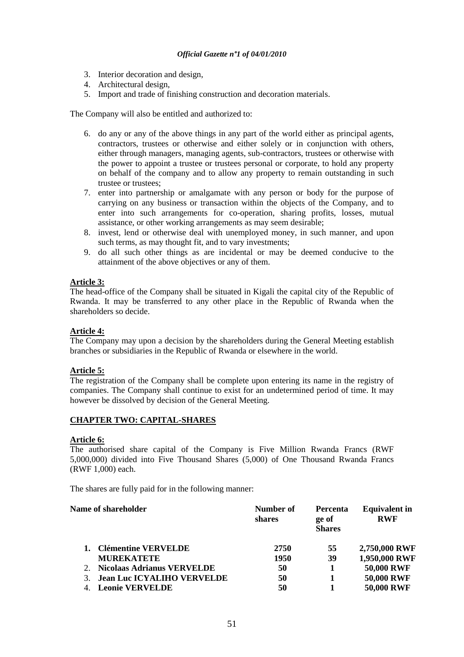- 3. Interior decoration and design,
- 4. Architectural design,
- 5. Import and trade of finishing construction and decoration materials.

The Company will also be entitled and authorized to:

- 6. do any or any of the above things in any part of the world either as principal agents, contractors, trustees or otherwise and either solely or in conjunction with others, either through managers, managing agents, sub-contractors, trustees or otherwise with the power to appoint a trustee or trustees personal or corporate, to hold any property on behalf of the company and to allow any property to remain outstanding in such trustee or trustees;
- 7. enter into partnership or amalgamate with any person or body for the purpose of carrying on any business or transaction within the objects of the Company, and to enter into such arrangements for co-operation, sharing profits, losses, mutual assistance, or other working arrangements as may seem desirable;
- 8. invest, lend or otherwise deal with unemployed money, in such manner, and upon such terms, as may thought fit, and to vary investments;
- 9. do all such other things as are incidental or may be deemed conducive to the attainment of the above objectives or any of them.

# **Article 3:**

The head-office of the Company shall be situated in Kigali the capital city of the Republic of Rwanda. It may be transferred to any other place in the Republic of Rwanda when the shareholders so decide.

# **Article 4:**

The Company may upon a decision by the shareholders during the General Meeting establish branches or subsidiaries in the Republic of Rwanda or elsewhere in the world.

# **Article 5:**

The registration of the Company shall be complete upon entering its name in the registry of companies. The Company shall continue to exist for an undetermined period of time. It may however be dissolved by decision of the General Meeting.

# **CHAPTER TWO: CAPITAL-SHARES**

#### **Article 6:**

The authorised share capital of the Company is Five Million Rwanda Francs (RWF 5,000,000) divided into Five Thousand Shares (5,000) of One Thousand Rwanda Francs (RWF 1,000) each.

The shares are fully paid for in the following manner:

# **Name of shareholder Number of Number of**

|                                   | shares | ge of<br><b>Shares</b> | <b>RWF</b>        |
|-----------------------------------|--------|------------------------|-------------------|
| <b>Clémentine VERVELDE</b>        | 2750   | 55                     | 2,750,000 RWF     |
| <b>MUREKATETE</b>                 | 1950   | 39                     | 1,950,000 RWF     |
| Nicolaas Adrianus VERVELDE        | 50     |                        | 50,000 RWF        |
| <b>Jean Luc ICYALIHO VERVELDE</b> | 50     |                        | 50,000 RWF        |
| <b>Leonie VERVELDE</b>            | 50     |                        | <b>50,000 RWF</b> |
|                                   |        |                        |                   |

**Percenta**

**Equivalent in**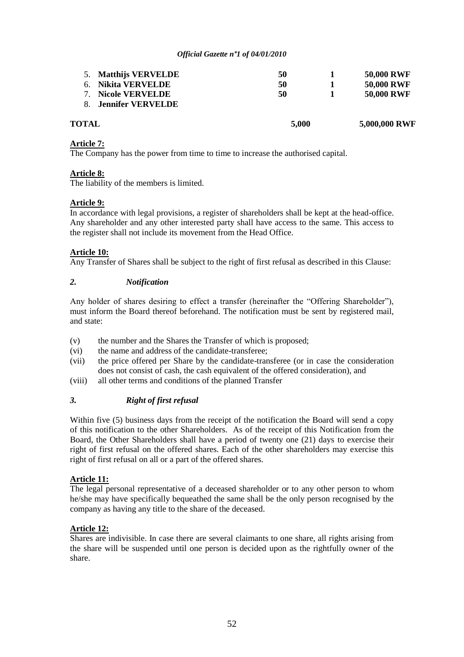| <b>TOTAL</b>           | 5,000 | 5,000,000 RWF     |
|------------------------|-------|-------------------|
| 8. Jennifer VERVELDE   |       |                   |
| <b>Nicole VERVELDE</b> | 50    | <b>50,000 RWF</b> |
| 6. Nikita VERVELDE     | 50    | <b>50,000 RWF</b> |
| 5. Matthijs VERVELDE   | 50    | <b>50,000 RWF</b> |
|                        |       |                   |

# **Article 7:**

The Company has the power from time to time to increase the authorised capital.

# **Article 8:**

The liability of the members is limited.

# **Article 9:**

In accordance with legal provisions, a register of shareholders shall be kept at the head-office. Any shareholder and any other interested party shall have access to the same. This access to the register shall not include its movement from the Head Office.

# **Article 10:**

Any Transfer of Shares shall be subject to the right of first refusal as described in this Clause:

# *2. Notification*

Any holder of shares desiring to effect a transfer (hereinafter the "Offering Shareholder"), must inform the Board thereof beforehand. The notification must be sent by registered mail, and state:

- (v) the number and the Shares the Transfer of which is proposed;
- (vi) the name and address of the candidate-transferee;
- (vii) the price offered per Share by the candidate-transferee (or in case the consideration does not consist of cash, the cash equivalent of the offered consideration), and
- (viii) all other terms and conditions of the planned Transfer

# *3. Right of first refusal*

Within five (5) business days from the receipt of the notification the Board will send a copy of this notification to the other Shareholders. As of the receipt of this Notification from the Board, the Other Shareholders shall have a period of twenty one (21) days to exercise their right of first refusal on the offered shares. Each of the other shareholders may exercise this right of first refusal on all or a part of the offered shares.

# **Article 11:**

The legal personal representative of a deceased shareholder or to any other person to whom he/she may have specifically bequeathed the same shall be the only person recognised by the company as having any title to the share of the deceased.

# **Article 12:**

Shares are indivisible. In case there are several claimants to one share, all rights arising from the share will be suspended until one person is decided upon as the rightfully owner of the share.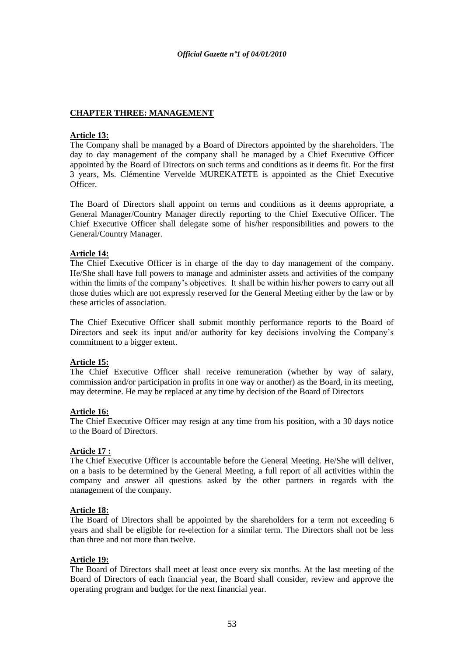# **CHAPTER THREE: MANAGEMENT**

# **Article 13:**

The Company shall be managed by a Board of Directors appointed by the shareholders. The day to day management of the company shall be managed by a Chief Executive Officer appointed by the Board of Directors on such terms and conditions as it deems fit. For the first 3 years, Ms. Clémentine Vervelde MUREKATETE is appointed as the Chief Executive Officer.

The Board of Directors shall appoint on terms and conditions as it deems appropriate, a General Manager/Country Manager directly reporting to the Chief Executive Officer. The Chief Executive Officer shall delegate some of his/her responsibilities and powers to the General/Country Manager.

# **Article 14:**

The Chief Executive Officer is in charge of the day to day management of the company. He/She shall have full powers to manage and administer assets and activities of the company within the limits of the company's objectives. It shall be within his/her powers to carry out all those duties which are not expressly reserved for the General Meeting either by the law or by these articles of association.

The Chief Executive Officer shall submit monthly performance reports to the Board of Directors and seek its input and/or authority for key decisions involving the Company's commitment to a bigger extent.

# **Article 15:**

The Chief Executive Officer shall receive remuneration (whether by way of salary, commission and/or participation in profits in one way or another) as the Board, in its meeting, may determine. He may be replaced at any time by decision of the Board of Directors

# **Article 16:**

The Chief Executive Officer may resign at any time from his position, with a 30 days notice to the Board of Directors.

# **Article 17 :**

The Chief Executive Officer is accountable before the General Meeting. He/She will deliver, on a basis to be determined by the General Meeting, a full report of all activities within the company and answer all questions asked by the other partners in regards with the management of the company.

# **Article 18:**

The Board of Directors shall be appointed by the shareholders for a term not exceeding 6 years and shall be eligible for re-election for a similar term. The Directors shall not be less than three and not more than twelve.

# **Article 19:**

The Board of Directors shall meet at least once every six months. At the last meeting of the Board of Directors of each financial year, the Board shall consider, review and approve the operating program and budget for the next financial year.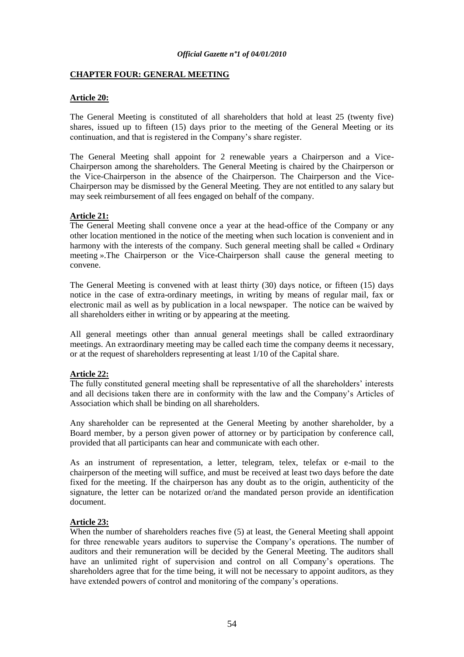# **CHAPTER FOUR: GENERAL MEETING**

# **Article 20:**

The General Meeting is constituted of all shareholders that hold at least 25 (twenty five) shares, issued up to fifteen (15) days prior to the meeting of the General Meeting or its continuation, and that is registered in the Company"s share register.

The General Meeting shall appoint for 2 renewable years a Chairperson and a Vice-Chairperson among the shareholders. The General Meeting is chaired by the Chairperson or the Vice-Chairperson in the absence of the Chairperson. The Chairperson and the Vice-Chairperson may be dismissed by the General Meeting. They are not entitled to any salary but may seek reimbursement of all fees engaged on behalf of the company.

# **Article 21:**

The General Meeting shall convene once a year at the head-office of the Company or any other location mentioned in the notice of the meeting when such location is convenient and in harmony with the interests of the company. Such general meeting shall be called « Ordinary meeting ».The Chairperson or the Vice-Chairperson shall cause the general meeting to convene.

The General Meeting is convened with at least thirty (30) days notice, or fifteen (15) days notice in the case of extra-ordinary meetings, in writing by means of regular mail, fax or electronic mail as well as by publication in a local newspaper. The notice can be waived by all shareholders either in writing or by appearing at the meeting.

All general meetings other than annual general meetings shall be called extraordinary meetings. An extraordinary meeting may be called each time the company deems it necessary, or at the request of shareholders representing at least 1/10 of the Capital share.

# **Article 22:**

The fully constituted general meeting shall be representative of all the shareholders" interests and all decisions taken there are in conformity with the law and the Company"s Articles of Association which shall be binding on all shareholders.

Any shareholder can be represented at the General Meeting by another shareholder, by a Board member, by a person given power of attorney or by participation by conference call, provided that all participants can hear and communicate with each other.

As an instrument of representation, a letter, telegram, telex, telefax or e-mail to the chairperson of the meeting will suffice, and must be received at least two days before the date fixed for the meeting. If the chairperson has any doubt as to the origin, authenticity of the signature, the letter can be notarized or/and the mandated person provide an identification document.

# **Article 23:**

When the number of shareholders reaches five (5) at least, the General Meeting shall appoint for three renewable years auditors to supervise the Company"s operations. The number of auditors and their remuneration will be decided by the General Meeting. The auditors shall have an unlimited right of supervision and control on all Company's operations. The shareholders agree that for the time being, it will not be necessary to appoint auditors, as they have extended powers of control and monitoring of the company"s operations.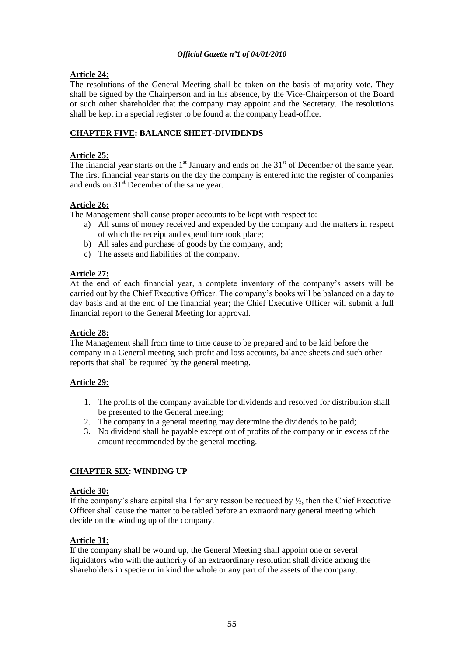# **Article 24:**

The resolutions of the General Meeting shall be taken on the basis of majority vote. They shall be signed by the Chairperson and in his absence, by the Vice-Chairperson of the Board or such other shareholder that the company may appoint and the Secretary. The resolutions shall be kept in a special register to be found at the company head-office.

# **CHAPTER FIVE: BALANCE SHEET-DIVIDENDS**

# **Article 25:**

The financial year starts on the  $1<sup>st</sup>$  January and ends on the  $31<sup>st</sup>$  of December of the same year. The first financial year starts on the day the company is entered into the register of companies and ends on  $31<sup>st</sup>$  December of the same year.

# **Article 26:**

The Management shall cause proper accounts to be kept with respect to:

- a) All sums of money received and expended by the company and the matters in respect of which the receipt and expenditure took place;
- b) All sales and purchase of goods by the company, and;
- c) The assets and liabilities of the company.

# **Article 27:**

At the end of each financial year, a complete inventory of the company"s assets will be carried out by the Chief Executive Officer. The company"s books will be balanced on a day to day basis and at the end of the financial year; the Chief Executive Officer will submit a full financial report to the General Meeting for approval.

# **Article 28:**

The Management shall from time to time cause to be prepared and to be laid before the company in a General meeting such profit and loss accounts, balance sheets and such other reports that shall be required by the general meeting.

# **Article 29:**

- 1. The profits of the company available for dividends and resolved for distribution shall be presented to the General meeting;
- 2. The company in a general meeting may determine the dividends to be paid;
- 3. No dividend shall be payable except out of profits of the company or in excess of the amount recommended by the general meeting.

# **CHAPTER SIX: WINDING UP**

# **Article 30:**

If the company's share capital shall for any reason be reduced by  $\frac{1}{2}$ , then the Chief Executive Officer shall cause the matter to be tabled before an extraordinary general meeting which decide on the winding up of the company.

# **Article 31:**

If the company shall be wound up, the General Meeting shall appoint one or several liquidators who with the authority of an extraordinary resolution shall divide among the shareholders in specie or in kind the whole or any part of the assets of the company.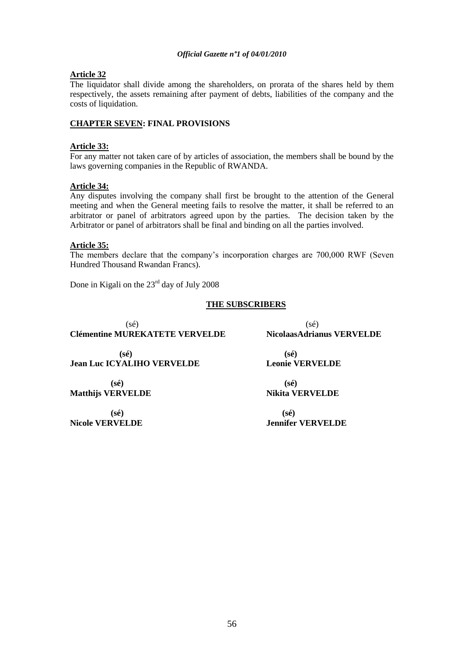# **Article 32**

The liquidator shall divide among the shareholders, on prorata of the shares held by them respectively, the assets remaining after payment of debts, liabilities of the company and the costs of liquidation.

# **CHAPTER SEVEN: FINAL PROVISIONS**

# **Article 33:**

For any matter not taken care of by articles of association, the members shall be bound by the laws governing companies in the Republic of RWANDA.

# **Article 34:**

Any disputes involving the company shall first be brought to the attention of the General meeting and when the General meeting fails to resolve the matter, it shall be referred to an arbitrator or panel of arbitrators agreed upon by the parties. The decision taken by the Arbitrator or panel of arbitrators shall be final and binding on all the parties involved.

# **Article 35:**

The members declare that the company"s incorporation charges are 700,000 RWF (Seven Hundred Thousand Rwandan Francs).

Done in Kigali on the  $23<sup>rd</sup>$  day of July 2008

# **THE SUBSCRIBERS**

 $(s\acute{e})$  (sé) **Clémentine MUREKATETE VERVELDE NicolaasAdrianus VERVELDE**

 **(sé) (sé) Jean Luc ICYALIHO VERVELDE Leonie VERVELDE**

 **(sé) (sé) Matthijs VERVELDE Nikita VERVELDE** 

 **(sé) (sé)**

**Nicole VERVELDE Jennifer VERVELDE**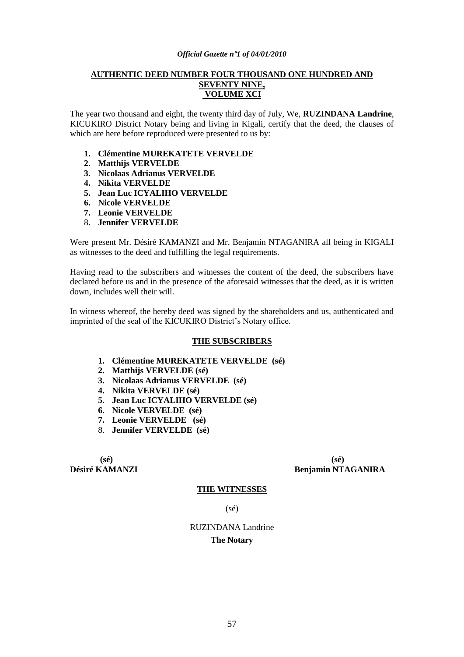# **AUTHENTIC DEED NUMBER FOUR THOUSAND ONE HUNDRED AND SEVENTY NINE, VOLUME XCI**

The year two thousand and eight, the twenty third day of July, We, **RUZINDANA Landrine**, KICUKIRO District Notary being and living in Kigali, certify that the deed, the clauses of which are here before reproduced were presented to us by:

- **1. Clémentine MUREKATETE VERVELDE**
- **2. Matthijs VERVELDE**
- **3. Nicolaas Adrianus VERVELDE**
- **4. Nikita VERVELDE**
- **5. Jean Luc ICYALIHO VERVELDE**
- **6. Nicole VERVELDE**
- **7. Leonie VERVELDE**
- 8. **Jennifer VERVELDE**

Were present Mr. Désiré KAMANZI and Mr. Benjamin NTAGANIRA all being in KIGALI as witnesses to the deed and fulfilling the legal requirements.

Having read to the subscribers and witnesses the content of the deed, the subscribers have declared before us and in the presence of the aforesaid witnesses that the deed, as it is written down, includes well their will.

In witness whereof, the hereby deed was signed by the shareholders and us, authenticated and imprinted of the seal of the KICUKIRO District's Notary office.

#### **THE SUBSCRIBERS**

- **1. Clémentine MUREKATETE VERVELDE (sé)**
- **2. Matthijs VERVELDE (sé)**
- **3. Nicolaas Adrianus VERVELDE (sé)**
- **4. Nikita VERVELDE (sé)**
- **5. Jean Luc ICYALIHO VERVELDE (sé)**
- **6. Nicole VERVELDE (sé)**
- **7. Leonie VERVELDE (sé)**
- 8. **Jennifer VERVELDE (sé)**

**(sé) (sé)**

**Désiré KAMANZI Benjamin NTAGANIRA**

#### **THE WITNESSES**

(sé)

RUZINDANA Landrine **The Notary**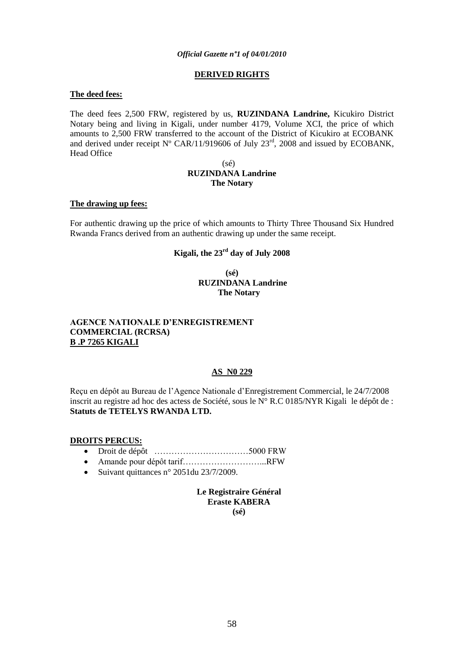# **DERIVED RIGHTS**

#### **The deed fees:**

The deed fees 2,500 FRW, registered by us, **RUZINDANA Landrine,** Kicukiro District Notary being and living in Kigali, under number 4179, Volume XCI, the price of which amounts to 2,500 FRW transferred to the account of the District of Kicukiro at ECOBANK and derived under receipt  $N^{\circ}$  CAR/11/919606 of July 23<sup>rd</sup>, 2008 and issued by ECOBANK, Head Office

### (sé) **RUZINDANA Landrine The Notary**

#### **The drawing up fees:**

For authentic drawing up the price of which amounts to Thirty Three Thousand Six Hundred Rwanda Francs derived from an authentic drawing up under the same receipt.

# **Kigali, the 23rd day of July 2008**

**(sé) RUZINDANA Landrine The Notary**

# **AGENCE NATIONALE D"ENREGISTREMENT COMMERCIAL (RCRSA) B .P 7265 KIGALI**

# **AS N0 229**

Reçu en dépôt au Bureau de l"Agence Nationale d"Enregistrement Commercial, le 24/7/2008 inscrit au registre ad hoc des actess de Société, sous le N° R.C 0185/NYR Kigali le dépôt de : **Statuts de TETELYS RWANDA LTD.**

#### **DROITS PERCUS:**

- Droit de dépôt ……………………………5000 FRW
- Amande pour dépôt tarif………………………...RFW
- Suivant quittances n° 2051 du  $23/7/2009$ .

**Le Registraire Général Eraste KABERA (sé)**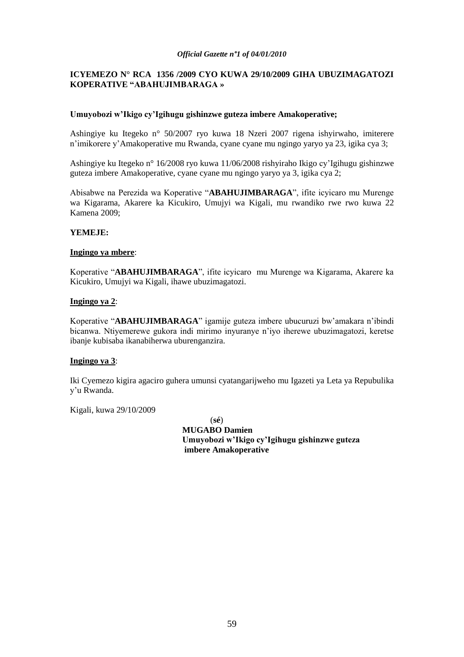# **ICYEMEZO N° RCA 1356 /2009 CYO KUWA 29/10/2009 GIHA UBUZIMAGATOZI KOPERATIVE "ABAHUJIMBARAGA »**

# **Umuyobozi w"Ikigo cy"Igihugu gishinzwe guteza imbere Amakoperative;**

Ashingiye ku Itegeko n° 50/2007 ryo kuwa 18 Nzeri 2007 rigena ishyirwaho, imiterere n"imikorere y"Amakoperative mu Rwanda, cyane cyane mu ngingo yaryo ya 23, igika cya 3;

Ashingiye ku Itegeko n° 16/2008 ryo kuwa 11/06/2008 rishyiraho Ikigo cy"Igihugu gishinzwe guteza imbere Amakoperative, cyane cyane mu ngingo yaryo ya 3, igika cya 2;

Abisabwe na Perezida wa Koperative "**ABAHUJIMBARAGA**", ifite icyicaro mu Murenge wa Kigarama, Akarere ka Kicukiro, Umujyi wa Kigali, mu rwandiko rwe rwo kuwa 22 Kamena 2009;

#### **YEMEJE:**

#### **Ingingo ya mbere**:

Koperative "**ABAHUJIMBARAGA**", ifite icyicaro mu Murenge wa Kigarama, Akarere ka Kicukiro, Umujyi wa Kigali, ihawe ubuzimagatozi.

#### **Ingingo ya 2**:

Koperative "**ABAHUJIMBARAGA**" igamije guteza imbere ubucuruzi bw"amakara n"ibindi bicanwa. Ntiyemerewe gukora indi mirimo inyuranye n"iyo iherewe ubuzimagatozi, keretse ibanje kubisaba ikanabiherwa uburenganzira.

# **Ingingo ya 3**:

Iki Cyemezo kigira agaciro guhera umunsi cyatangarijweho mu Igazeti ya Leta ya Repubulika y"u Rwanda.

Kigali, kuwa 29/10/2009

(**sé**)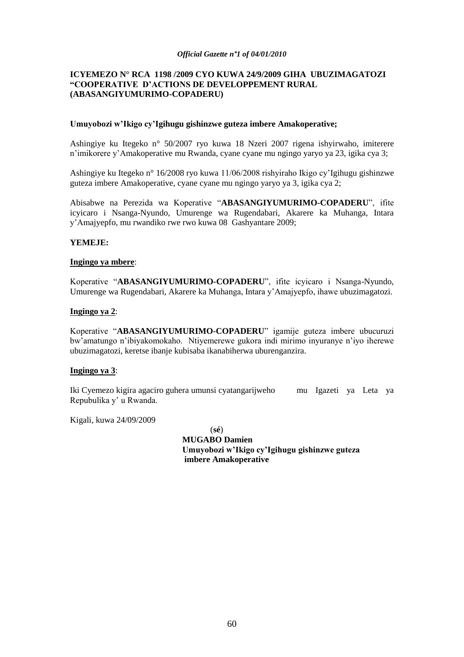# **ICYEMEZO N° RCA 1198 /2009 CYO KUWA 24/9/2009 GIHA UBUZIMAGATOZI "COOPERATIVE D"ACTIONS DE DEVELOPPEMENT RURAL (ABASANGIYUMURIMO-COPADERU)**

#### **Umuyobozi w"Ikigo cy"Igihugu gishinzwe guteza imbere Amakoperative;**

Ashingiye ku Itegeko n° 50/2007 ryo kuwa 18 Nzeri 2007 rigena ishyirwaho, imiterere n"imikorere y"Amakoperative mu Rwanda, cyane cyane mu ngingo yaryo ya 23, igika cya 3;

Ashingiye ku Itegeko n° 16/2008 ryo kuwa 11/06/2008 rishyiraho Ikigo cy"Igihugu gishinzwe guteza imbere Amakoperative, cyane cyane mu ngingo yaryo ya 3, igika cya 2;

Abisabwe na Perezida wa Koperative "**ABASANGIYUMURIMO-COPADERU**", ifite icyicaro i Nsanga-Nyundo, Umurenge wa Rugendabari, Akarere ka Muhanga, Intara y"Amajyepfo, mu rwandiko rwe rwo kuwa 08 Gashyantare 2009;

# **YEMEJE:**

#### **Ingingo ya mbere**:

Koperative "**ABASANGIYUMURIMO-COPADERU**", ifite icyicaro i Nsanga-Nyundo, Umurenge wa Rugendabari, Akarere ka Muhanga, Intara y"Amajyepfo, ihawe ubuzimagatozi.

#### **Ingingo ya 2**:

Koperative "**ABASANGIYUMURIMO-COPADERU**" igamije guteza imbere ubucuruzi bw"amatungo n"ibiyakomokaho. Ntiyemerewe gukora indi mirimo inyuranye n"iyo iherewe ubuzimagatozi, keretse ibanje kubisaba ikanabiherwa uburenganzira.

# **Ingingo ya 3**:

Iki Cyemezo kigira agaciro guhera umunsi cyatangarijweho mu Igazeti ya Leta ya Repubulika y" u Rwanda.

Kigali, kuwa 24/09/2009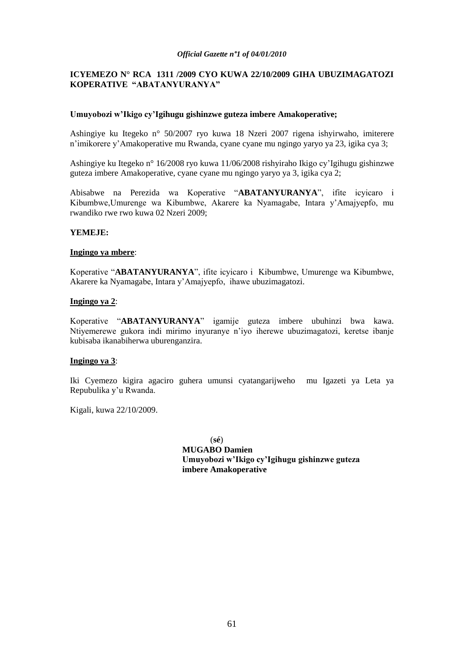# **ICYEMEZO N° RCA 1311 /2009 CYO KUWA 22/10/2009 GIHA UBUZIMAGATOZI KOPERATIVE "ABATANYURANYA"**

### **Umuyobozi w"Ikigo cy"Igihugu gishinzwe guteza imbere Amakoperative;**

Ashingiye ku Itegeko n° 50/2007 ryo kuwa 18 Nzeri 2007 rigena ishyirwaho, imiterere n"imikorere y"Amakoperative mu Rwanda, cyane cyane mu ngingo yaryo ya 23, igika cya 3;

Ashingiye ku Itegeko n° 16/2008 ryo kuwa 11/06/2008 rishyiraho Ikigo cy"Igihugu gishinzwe guteza imbere Amakoperative, cyane cyane mu ngingo yaryo ya 3, igika cya 2;

Abisabwe na Perezida wa Koperative "**ABATANYURANYA**", ifite icyicaro i Kibumbwe,Umurenge wa Kibumbwe, Akarere ka Nyamagabe, Intara y"Amajyepfo, mu rwandiko rwe rwo kuwa 02 Nzeri 2009;

#### **YEMEJE:**

#### **Ingingo ya mbere**:

Koperative "**ABATANYURANYA**", ifite icyicaro i Kibumbwe, Umurenge wa Kibumbwe, Akarere ka Nyamagabe, Intara y"Amajyepfo, ihawe ubuzimagatozi.

#### **Ingingo ya 2**:

Koperative "**ABATANYURANYA**" igamije guteza imbere ubuhinzi bwa kawa. Ntiyemerewe gukora indi mirimo inyuranye n"iyo iherewe ubuzimagatozi, keretse ibanje kubisaba ikanabiherwa uburenganzira.

# **Ingingo ya 3**:

Iki Cyemezo kigira agaciro guhera umunsi cyatangarijweho mu Igazeti ya Leta ya Repubulika y"u Rwanda.

Kigali, kuwa 22/10/2009.

(**sé**)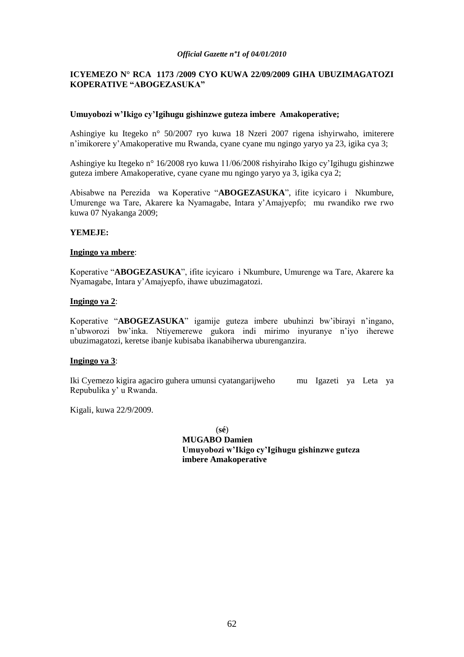# **ICYEMEZO N° RCA 1173 /2009 CYO KUWA 22/09/2009 GIHA UBUZIMAGATOZI KOPERATIVE "ABOGEZASUKA"**

### **Umuyobozi w"Ikigo cy"Igihugu gishinzwe guteza imbere Amakoperative;**

Ashingiye ku Itegeko n° 50/2007 ryo kuwa 18 Nzeri 2007 rigena ishyirwaho, imiterere n"imikorere y"Amakoperative mu Rwanda, cyane cyane mu ngingo yaryo ya 23, igika cya 3;

Ashingiye ku Itegeko n° 16/2008 ryo kuwa 11/06/2008 rishyiraho Ikigo cy"Igihugu gishinzwe guteza imbere Amakoperative, cyane cyane mu ngingo yaryo ya 3, igika cya 2;

Abisabwe na Perezida wa Koperative "**ABOGEZASUKA**", ifite icyicaro i Nkumbure, Umurenge wa Tare, Akarere ka Nyamagabe, Intara y"Amajyepfo; mu rwandiko rwe rwo kuwa 07 Nyakanga 2009;

#### **YEMEJE:**

#### **Ingingo ya mbere**:

Koperative "**ABOGEZASUKA**", ifite icyicaro i Nkumbure, Umurenge wa Tare, Akarere ka Nyamagabe, Intara y"Amajyepfo, ihawe ubuzimagatozi.

#### **Ingingo ya 2**:

Koperative "**ABOGEZASUKA**" igamije guteza imbere ubuhinzi bw"ibirayi n"ingano, n"ubworozi bw"inka. Ntiyemerewe gukora indi mirimo inyuranye n"iyo iherewe ubuzimagatozi, keretse ibanje kubisaba ikanabiherwa uburenganzira.

#### **Ingingo ya 3**:

Iki Cyemezo kigira agaciro guhera umunsi cyatangarijweho mu Igazeti ya Leta ya Repubulika y" u Rwanda.

Kigali, kuwa 22/9/2009.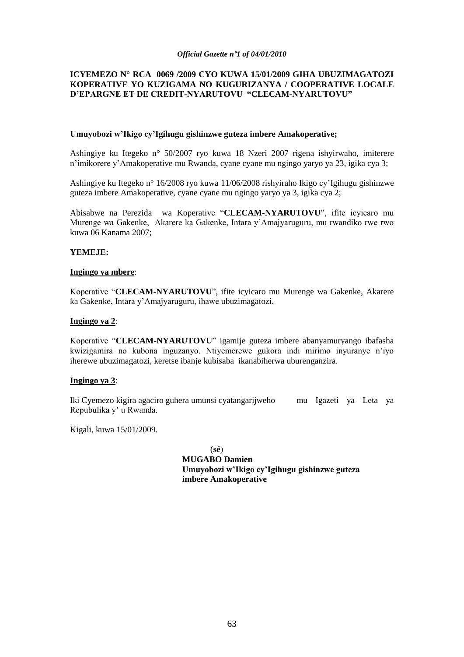# **ICYEMEZO N° RCA 0069 /2009 CYO KUWA 15/01/2009 GIHA UBUZIMAGATOZI KOPERATIVE YO KUZIGAMA NO KUGURIZANYA / COOPERATIVE LOCALE D"EPARGNE ET DE CREDIT-NYARUTOVU "CLECAM-NYARUTOVU"**

#### **Umuyobozi w"Ikigo cy"Igihugu gishinzwe guteza imbere Amakoperative;**

Ashingiye ku Itegeko n° 50/2007 ryo kuwa 18 Nzeri 2007 rigena ishyirwaho, imiterere n"imikorere y"Amakoperative mu Rwanda, cyane cyane mu ngingo yaryo ya 23, igika cya 3;

Ashingiye ku Itegeko n° 16/2008 ryo kuwa 11/06/2008 rishyiraho Ikigo cy"Igihugu gishinzwe guteza imbere Amakoperative, cyane cyane mu ngingo yaryo ya 3, igika cya 2;

Abisabwe na Perezida wa Koperative "**CLECAM-NYARUTOVU**", ifite icyicaro mu Murenge wa Gakenke, Akarere ka Gakenke, Intara y"Amajyaruguru, mu rwandiko rwe rwo kuwa 06 Kanama 2007;

#### **YEMEJE:**

#### **Ingingo ya mbere**:

Koperative "**CLECAM-NYARUTOVU**", ifite icyicaro mu Murenge wa Gakenke, Akarere ka Gakenke, Intara y"Amajyaruguru, ihawe ubuzimagatozi.

### **Ingingo ya 2**:

Koperative "**CLECAM-NYARUTOVU**" igamije guteza imbere abanyamuryango ibafasha kwizigamira no kubona inguzanyo. Ntiyemerewe gukora indi mirimo inyuranye n"iyo iherewe ubuzimagatozi, keretse ibanje kubisaba ikanabiherwa uburenganzira.

#### **Ingingo ya 3**:

Iki Cyemezo kigira agaciro guhera umunsi cyatangarijweho mu Igazeti ya Leta ya Repubulika y" u Rwanda.

Kigali, kuwa 15/01/2009.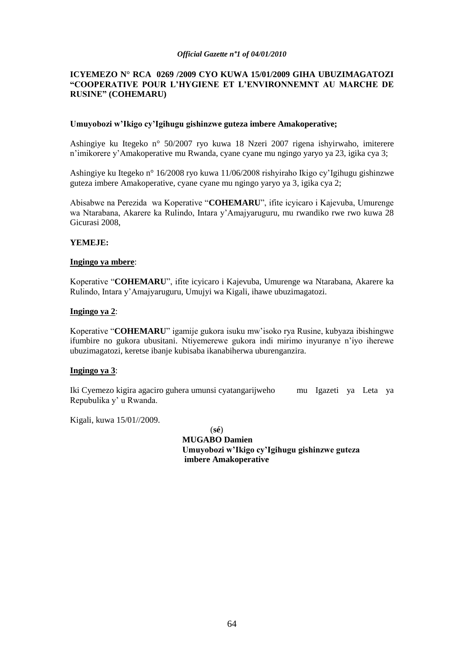# **ICYEMEZO N° RCA 0269 /2009 CYO KUWA 15/01/2009 GIHA UBUZIMAGATOZI "COOPERATIVE POUR L"HYGIENE ET L"ENVIRONNEMNT AU MARCHE DE RUSINE" (COHEMARU)**

#### **Umuyobozi w"Ikigo cy"Igihugu gishinzwe guteza imbere Amakoperative;**

Ashingiye ku Itegeko n° 50/2007 ryo kuwa 18 Nzeri 2007 rigena ishyirwaho, imiterere n"imikorere y"Amakoperative mu Rwanda, cyane cyane mu ngingo yaryo ya 23, igika cya 3;

Ashingiye ku Itegeko n° 16/2008 ryo kuwa 11/06/2008 rishyiraho Ikigo cy"Igihugu gishinzwe guteza imbere Amakoperative, cyane cyane mu ngingo yaryo ya 3, igika cya 2;

Abisabwe na Perezida wa Koperative "**COHEMARU**", ifite icyicaro i Kajevuba, Umurenge wa Ntarabana, Akarere ka Rulindo, Intara y"Amajyaruguru, mu rwandiko rwe rwo kuwa 28 Gicurasi 2008,

#### **YEMEJE:**

#### **Ingingo ya mbere**:

Koperative "**COHEMARU**", ifite icyicaro i Kajevuba, Umurenge wa Ntarabana, Akarere ka Rulindo, Intara y"Amajyaruguru, Umujyi wa Kigali, ihawe ubuzimagatozi.

#### **Ingingo ya 2**:

Koperative "**COHEMARU**" igamije gukora isuku mw"isoko rya Rusine, kubyaza ibishingwe ifumbire no gukora ubusitani. Ntiyemerewe gukora indi mirimo inyuranye n"iyo iherewe ubuzimagatozi, keretse ibanje kubisaba ikanabiherwa uburenganzira.

# **Ingingo ya 3**:

Iki Cyemezo kigira agaciro guhera umunsi cyatangarijweho mu Igazeti ya Leta ya Repubulika y" u Rwanda.

Kigali, kuwa 15/01//2009.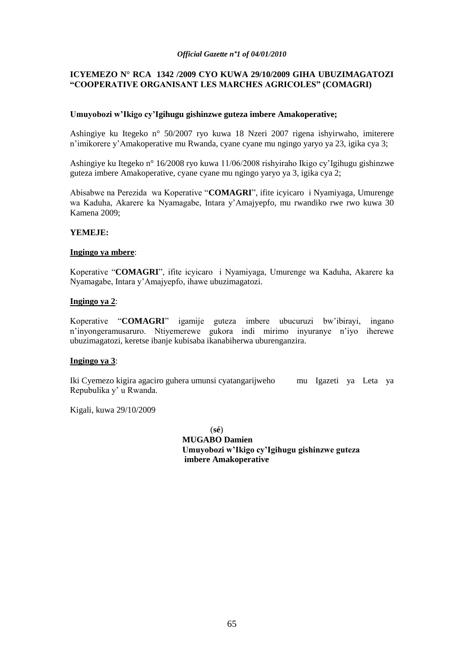# **ICYEMEZO N° RCA 1342 /2009 CYO KUWA 29/10/2009 GIHA UBUZIMAGATOZI "COOPERATIVE ORGANISANT LES MARCHES AGRICOLES" (COMAGRI)**

# **Umuyobozi w"Ikigo cy"Igihugu gishinzwe guteza imbere Amakoperative;**

Ashingiye ku Itegeko n° 50/2007 ryo kuwa 18 Nzeri 2007 rigena ishyirwaho, imiterere n"imikorere y"Amakoperative mu Rwanda, cyane cyane mu ngingo yaryo ya 23, igika cya 3;

Ashingiye ku Itegeko n° 16/2008 ryo kuwa 11/06/2008 rishyiraho Ikigo cy"Igihugu gishinzwe guteza imbere Amakoperative, cyane cyane mu ngingo yaryo ya 3, igika cya 2;

Abisabwe na Perezida wa Koperative "**COMAGRI**", ifite icyicaro i Nyamiyaga, Umurenge wa Kaduha, Akarere ka Nyamagabe, Intara y"Amajyepfo, mu rwandiko rwe rwo kuwa 30 Kamena 2009;

#### **YEMEJE:**

#### **Ingingo ya mbere**:

Koperative "**COMAGRI**", ifite icyicaro i Nyamiyaga, Umurenge wa Kaduha, Akarere ka Nyamagabe, Intara y"Amajyepfo, ihawe ubuzimagatozi.

#### **Ingingo ya 2**:

Koperative "**COMAGRI**" igamije guteza imbere ubucuruzi bw"ibirayi, ingano n"inyongeramusaruro. Ntiyemerewe gukora indi mirimo inyuranye n"iyo iherewe ubuzimagatozi, keretse ibanje kubisaba ikanabiherwa uburenganzira.

# **Ingingo ya 3**:

Iki Cyemezo kigira agaciro guhera umunsi cyatangarijweho mu Igazeti ya Leta ya Repubulika y" u Rwanda.

Kigali, kuwa 29/10/2009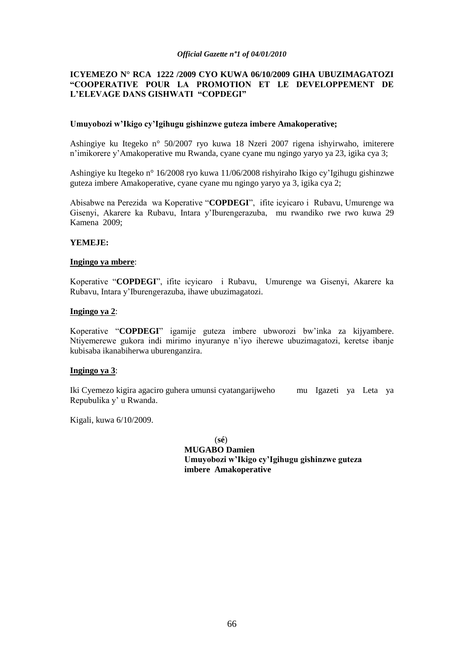# **ICYEMEZO N° RCA 1222 /2009 CYO KUWA 06/10/2009 GIHA UBUZIMAGATOZI "COOPERATIVE POUR LA PROMOTION ET LE DEVELOPPEMENT DE L"ELEVAGE DANS GISHWATI "COPDEGI"**

#### **Umuyobozi w"Ikigo cy"Igihugu gishinzwe guteza imbere Amakoperative;**

Ashingiye ku Itegeko n° 50/2007 ryo kuwa 18 Nzeri 2007 rigena ishyirwaho, imiterere n"imikorere y"Amakoperative mu Rwanda, cyane cyane mu ngingo yaryo ya 23, igika cya 3;

Ashingiye ku Itegeko n° 16/2008 ryo kuwa 11/06/2008 rishyiraho Ikigo cy"Igihugu gishinzwe guteza imbere Amakoperative, cyane cyane mu ngingo yaryo ya 3, igika cya 2;

Abisabwe na Perezida wa Koperative "**COPDEGI**", ifite icyicaro i Rubavu, Umurenge wa Gisenyi, Akarere ka Rubavu, Intara y"Iburengerazuba, mu rwandiko rwe rwo kuwa 29 Kamena 2009;

#### **YEMEJE:**

#### **Ingingo ya mbere**:

Koperative "**COPDEGI**", ifite icyicaro i Rubavu, Umurenge wa Gisenyi, Akarere ka Rubavu, Intara y"Iburengerazuba, ihawe ubuzimagatozi.

#### **Ingingo ya 2**:

Koperative "**COPDEGI**" igamije guteza imbere ubworozi bw"inka za kijyambere. Ntiyemerewe gukora indi mirimo inyuranye n"iyo iherewe ubuzimagatozi, keretse ibanje kubisaba ikanabiherwa uburenganzira.

# **Ingingo ya 3**:

Iki Cyemezo kigira agaciro guhera umunsi cyatangarijweho mu Igazeti ya Leta ya Repubulika y" u Rwanda.

Kigali, kuwa 6/10/2009.

(**sé**)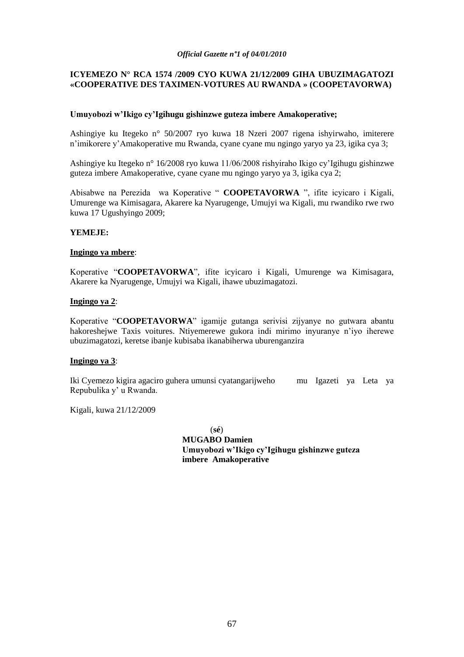# **ICYEMEZO N° RCA 1574 /2009 CYO KUWA 21/12/2009 GIHA UBUZIMAGATOZI «COOPERATIVE DES TAXIMEN-VOTURES AU RWANDA » (COOPETAVORWA)**

# **Umuyobozi w"Ikigo cy"Igihugu gishinzwe guteza imbere Amakoperative;**

Ashingiye ku Itegeko n° 50/2007 ryo kuwa 18 Nzeri 2007 rigena ishyirwaho, imiterere n"imikorere y"Amakoperative mu Rwanda, cyane cyane mu ngingo yaryo ya 23, igika cya 3;

Ashingiye ku Itegeko n° 16/2008 ryo kuwa 11/06/2008 rishyiraho Ikigo cy"Igihugu gishinzwe guteza imbere Amakoperative, cyane cyane mu ngingo yaryo ya 3, igika cya 2;

Abisabwe na Perezida wa Koperative " **COOPETAVORWA** ", ifite icyicaro i Kigali, Umurenge wa Kimisagara, Akarere ka Nyarugenge, Umujyi wa Kigali, mu rwandiko rwe rwo kuwa 17 Ugushyingo 2009;

#### **YEMEJE:**

#### **Ingingo ya mbere**:

Koperative "**COOPETAVORWA**", ifite icyicaro i Kigali, Umurenge wa Kimisagara, Akarere ka Nyarugenge, Umujyi wa Kigali, ihawe ubuzimagatozi.

#### **Ingingo ya 2**:

Koperative "**COOPETAVORWA**" igamije gutanga serivisi zijyanye no gutwara abantu hakoreshejwe Taxis voitures. Ntiyemerewe gukora indi mirimo inyuranye n"iyo iherewe ubuzimagatozi, keretse ibanje kubisaba ikanabiherwa uburenganzira

#### **Ingingo ya 3**:

Iki Cyemezo kigira agaciro guhera umunsi cyatangarijweho mu Igazeti ya Leta ya Repubulika y" u Rwanda.

Kigali, kuwa 21/12/2009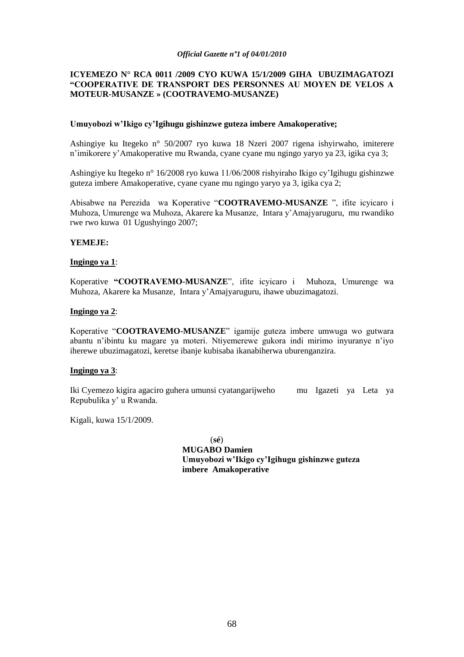# **ICYEMEZO N° RCA 0011 /2009 CYO KUWA 15/1/2009 GIHA UBUZIMAGATOZI "COOPERATIVE DE TRANSPORT DES PERSONNES AU MOYEN DE VELOS A MOTEUR-MUSANZE » (COOTRAVEMO-MUSANZE)**

#### **Umuyobozi w"Ikigo cy"Igihugu gishinzwe guteza imbere Amakoperative;**

Ashingiye ku Itegeko n° 50/2007 ryo kuwa 18 Nzeri 2007 rigena ishyirwaho, imiterere n"imikorere y"Amakoperative mu Rwanda, cyane cyane mu ngingo yaryo ya 23, igika cya 3;

Ashingiye ku Itegeko n° 16/2008 ryo kuwa 11/06/2008 rishyiraho Ikigo cy"Igihugu gishinzwe guteza imbere Amakoperative, cyane cyane mu ngingo yaryo ya 3, igika cya 2;

Abisabwe na Perezida wa Koperative "**COOTRAVEMO-MUSANZE** ", ifite icyicaro i Muhoza, Umurenge wa Muhoza, Akarere ka Musanze, Intara y"Amajyaruguru, mu rwandiko rwe rwo kuwa 01 Ugushyingo 2007;

# **YEMEJE:**

#### **Ingingo ya 1**:

Koperative **"COOTRAVEMO-MUSANZE**", ifite icyicaro i Muhoza, Umurenge wa Muhoza, Akarere ka Musanze, Intara y"Amajyaruguru, ihawe ubuzimagatozi.

#### **Ingingo ya 2**:

Koperative "**COOTRAVEMO-MUSANZE**" igamije guteza imbere umwuga wo gutwara abantu n"ibintu ku magare ya moteri. Ntiyemerewe gukora indi mirimo inyuranye n"iyo iherewe ubuzimagatozi, keretse ibanje kubisaba ikanabiherwa uburenganzira.

# **Ingingo ya 3**:

Iki Cyemezo kigira agaciro guhera umunsi cyatangarijweho mu Igazeti ya Leta ya Repubulika y" u Rwanda.

Kigali, kuwa 15/1/2009.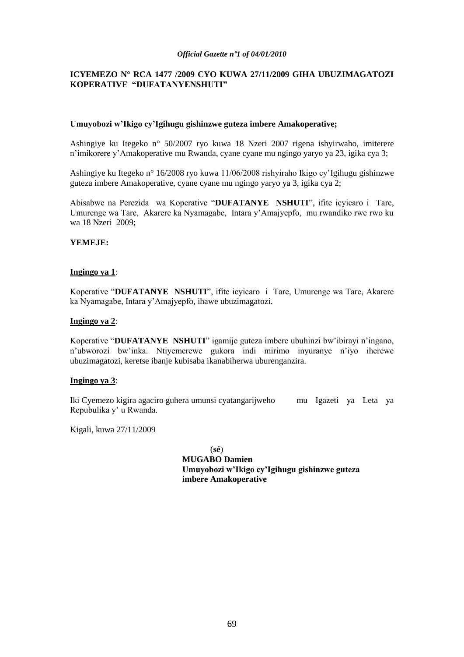# **ICYEMEZO N° RCA 1477 /2009 CYO KUWA 27/11/2009 GIHA UBUZIMAGATOZI KOPERATIVE "DUFATANYENSHUTI"**

### **Umuyobozi w"Ikigo cy"Igihugu gishinzwe guteza imbere Amakoperative;**

Ashingiye ku Itegeko n° 50/2007 ryo kuwa 18 Nzeri 2007 rigena ishyirwaho, imiterere n"imikorere y"Amakoperative mu Rwanda, cyane cyane mu ngingo yaryo ya 23, igika cya 3;

Ashingiye ku Itegeko n° 16/2008 ryo kuwa 11/06/2008 rishyiraho Ikigo cy"Igihugu gishinzwe guteza imbere Amakoperative, cyane cyane mu ngingo yaryo ya 3, igika cya 2;

Abisabwe na Perezida wa Koperative "**DUFATANYE NSHUTI**", ifite icyicaro i Tare, Umurenge wa Tare, Akarere ka Nyamagabe, Intara y"Amajyepfo, mu rwandiko rwe rwo ku wa 18 Nzeri 2009;

# **YEMEJE:**

#### **Ingingo ya 1**:

Koperative "**DUFATANYE NSHUTI**", ifite icyicaro i Tare, Umurenge wa Tare, Akarere ka Nyamagabe, Intara y"Amajyepfo, ihawe ubuzimagatozi.

### **Ingingo ya 2**:

Koperative "**DUFATANYE NSHUTI**" igamije guteza imbere ubuhinzi bw"ibirayi n"ingano, n"ubworozi bw"inka. Ntiyemerewe gukora indi mirimo inyuranye n"iyo iherewe ubuzimagatozi, keretse ibanje kubisaba ikanabiherwa uburenganzira.

#### **Ingingo ya 3**:

Iki Cyemezo kigira agaciro guhera umunsi cyatangarijweho mu Igazeti ya Leta ya Repubulika y" u Rwanda.

Kigali, kuwa 27/11/2009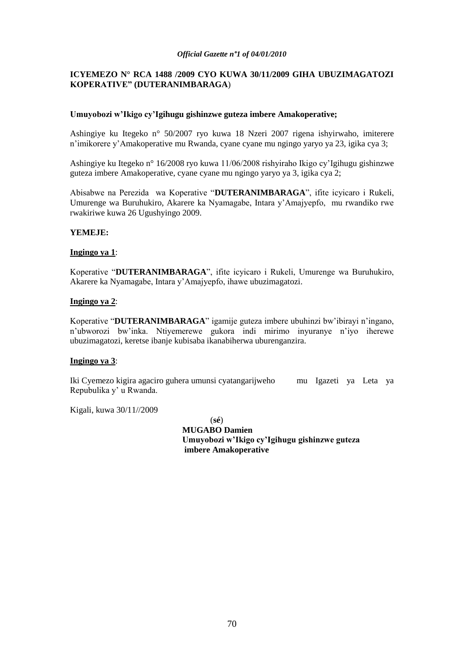# **ICYEMEZO N° RCA 1488 /2009 CYO KUWA 30/11/2009 GIHA UBUZIMAGATOZI KOPERATIVE" (DUTERANIMBARAGA**)

# **Umuyobozi w"Ikigo cy"Igihugu gishinzwe guteza imbere Amakoperative;**

Ashingiye ku Itegeko n° 50/2007 ryo kuwa 18 Nzeri 2007 rigena ishyirwaho, imiterere n"imikorere y"Amakoperative mu Rwanda, cyane cyane mu ngingo yaryo ya 23, igika cya 3;

Ashingiye ku Itegeko n° 16/2008 ryo kuwa 11/06/2008 rishyiraho Ikigo cy"Igihugu gishinzwe guteza imbere Amakoperative, cyane cyane mu ngingo yaryo ya 3, igika cya 2;

Abisabwe na Perezida wa Koperative "**DUTERANIMBARAGA**", ifite icyicaro i Rukeli, Umurenge wa Buruhukiro, Akarere ka Nyamagabe, Intara y"Amajyepfo, mu rwandiko rwe rwakiriwe kuwa 26 Ugushyingo 2009.

#### **YEMEJE:**

#### **Ingingo ya 1**:

Koperative "**DUTERANIMBARAGA**", ifite icyicaro i Rukeli, Umurenge wa Buruhukiro, Akarere ka Nyamagabe, Intara y"Amajyepfo, ihawe ubuzimagatozi.

#### **Ingingo ya 2**:

Koperative "**DUTERANIMBARAGA**" igamije guteza imbere ubuhinzi bw"ibirayi n"ingano, n"ubworozi bw"inka. Ntiyemerewe gukora indi mirimo inyuranye n"iyo iherewe ubuzimagatozi, keretse ibanje kubisaba ikanabiherwa uburenganzira.

# **Ingingo ya 3**:

Iki Cyemezo kigira agaciro guhera umunsi cyatangarijweho mu Igazeti ya Leta ya Repubulika y" u Rwanda.

Kigali, kuwa 30/11//2009

(**sé**)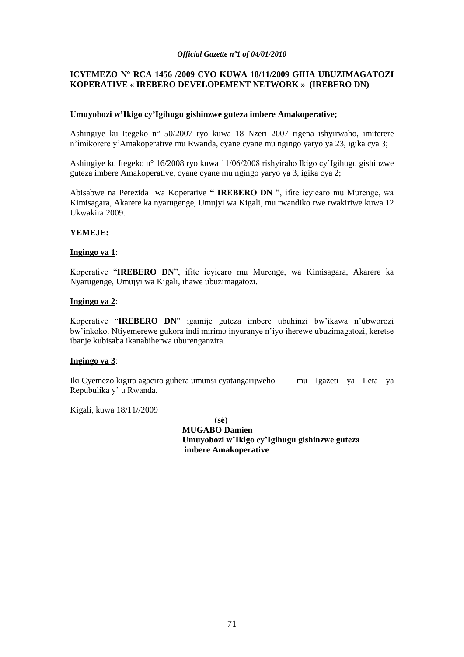# **ICYEMEZO N° RCA 1456 /2009 CYO KUWA 18/11/2009 GIHA UBUZIMAGATOZI KOPERATIVE « IREBERO DEVELOPEMENT NETWORK » (IREBERO DN)**

### **Umuyobozi w"Ikigo cy"Igihugu gishinzwe guteza imbere Amakoperative;**

Ashingiye ku Itegeko n° 50/2007 ryo kuwa 18 Nzeri 2007 rigena ishyirwaho, imiterere n"imikorere y"Amakoperative mu Rwanda, cyane cyane mu ngingo yaryo ya 23, igika cya 3;

Ashingiye ku Itegeko n° 16/2008 ryo kuwa 11/06/2008 rishyiraho Ikigo cy"Igihugu gishinzwe guteza imbere Amakoperative, cyane cyane mu ngingo yaryo ya 3, igika cya 2;

Abisabwe na Perezida wa Koperative **" IREBERO DN** ", ifite icyicaro mu Murenge, wa Kimisagara, Akarere ka nyarugenge, Umujyi wa Kigali, mu rwandiko rwe rwakiriwe kuwa 12 Ukwakira 2009.

#### **YEMEJE:**

#### **Ingingo ya 1**:

Koperative "**IREBERO DN**", ifite icyicaro mu Murenge, wa Kimisagara, Akarere ka Nyarugenge, Umujyi wa Kigali, ihawe ubuzimagatozi.

#### **Ingingo ya 2**:

Koperative "**IREBERO DN**" igamije guteza imbere ubuhinzi bw"ikawa n"ubworozi bw"inkoko. Ntiyemerewe gukora indi mirimo inyuranye n"iyo iherewe ubuzimagatozi, keretse ibanje kubisaba ikanabiherwa uburenganzira.

#### **Ingingo ya 3**:

Iki Cyemezo kigira agaciro guhera umunsi cyatangarijweho mu Igazeti ya Leta ya Repubulika y" u Rwanda.

Kigali, kuwa 18/11//2009

(**sé**)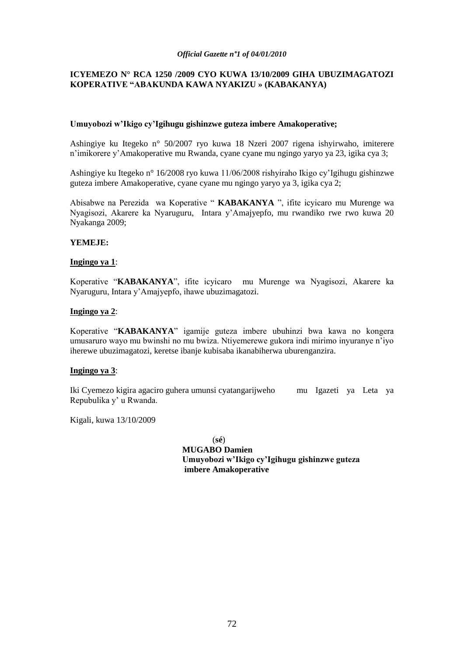# **ICYEMEZO N° RCA 1250 /2009 CYO KUWA 13/10/2009 GIHA UBUZIMAGATOZI KOPERATIVE "ABAKUNDA KAWA NYAKIZU » (KABAKANYA)**

#### **Umuyobozi w"Ikigo cy"Igihugu gishinzwe guteza imbere Amakoperative;**

Ashingiye ku Itegeko n° 50/2007 ryo kuwa 18 Nzeri 2007 rigena ishyirwaho, imiterere n"imikorere y"Amakoperative mu Rwanda, cyane cyane mu ngingo yaryo ya 23, igika cya 3;

Ashingiye ku Itegeko n° 16/2008 ryo kuwa 11/06/2008 rishyiraho Ikigo cy"Igihugu gishinzwe guteza imbere Amakoperative, cyane cyane mu ngingo yaryo ya 3, igika cya 2;

Abisabwe na Perezida wa Koperative " **KABAKANYA** ", ifite icyicaro mu Murenge wa Nyagisozi, Akarere ka Nyaruguru, Intara y"Amajyepfo, mu rwandiko rwe rwo kuwa 20 Nyakanga 2009;

# **YEMEJE:**

#### **Ingingo ya 1**:

Koperative "**KABAKANYA**", ifite icyicaro mu Murenge wa Nyagisozi, Akarere ka Nyaruguru, Intara y"Amajyepfo, ihawe ubuzimagatozi.

#### **Ingingo ya 2**:

Koperative "**KABAKANYA**" igamije guteza imbere ubuhinzi bwa kawa no kongera umusaruro wayo mu bwinshi no mu bwiza. Ntiyemerewe gukora indi mirimo inyuranye n"iyo iherewe ubuzimagatozi, keretse ibanje kubisaba ikanabiherwa uburenganzira.

# **Ingingo ya 3**:

Iki Cyemezo kigira agaciro guhera umunsi cyatangarijweho mu Igazeti ya Leta ya Repubulika y" u Rwanda.

Kigali, kuwa 13/10/2009

(**sé**)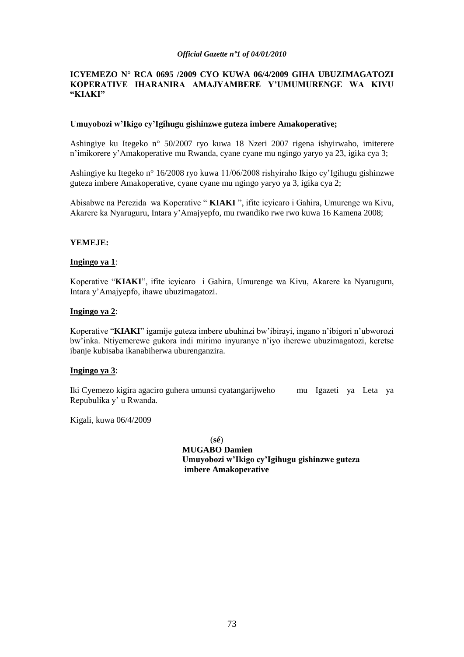## **ICYEMEZO N° RCA 0695 /2009 CYO KUWA 06/4/2009 GIHA UBUZIMAGATOZI KOPERATIVE IHARANIRA AMAJYAMBERE Y"UMUMURENGE WA KIVU "KIAKI"**

## **Umuyobozi w"Ikigo cy"Igihugu gishinzwe guteza imbere Amakoperative;**

Ashingiye ku Itegeko n° 50/2007 ryo kuwa 18 Nzeri 2007 rigena ishyirwaho, imiterere n"imikorere y"Amakoperative mu Rwanda, cyane cyane mu ngingo yaryo ya 23, igika cya 3;

Ashingiye ku Itegeko n° 16/2008 ryo kuwa 11/06/2008 rishyiraho Ikigo cy"Igihugu gishinzwe guteza imbere Amakoperative, cyane cyane mu ngingo yaryo ya 3, igika cya 2;

Abisabwe na Perezida wa Koperative " **KIAKI** ", ifite icyicaro i Gahira, Umurenge wa Kivu, Akarere ka Nyaruguru, Intara y"Amajyepfo, mu rwandiko rwe rwo kuwa 16 Kamena 2008;

## **YEMEJE:**

## **Ingingo ya 1**:

Koperative "**KIAKI**", ifite icyicaro i Gahira, Umurenge wa Kivu, Akarere ka Nyaruguru, Intara y"Amajyepfo, ihawe ubuzimagatozi.

#### **Ingingo ya 2**:

Koperative "**KIAKI**" igamije guteza imbere ubuhinzi bw"ibirayi, ingano n"ibigori n"ubworozi bw"inka. Ntiyemerewe gukora indi mirimo inyuranye n"iyo iherewe ubuzimagatozi, keretse ibanje kubisaba ikanabiherwa uburenganzira.

#### **Ingingo ya 3**:

Iki Cyemezo kigira agaciro guhera umunsi cyatangarijweho mu Igazeti ya Leta ya Repubulika y" u Rwanda.

Kigali, kuwa 06/4/2009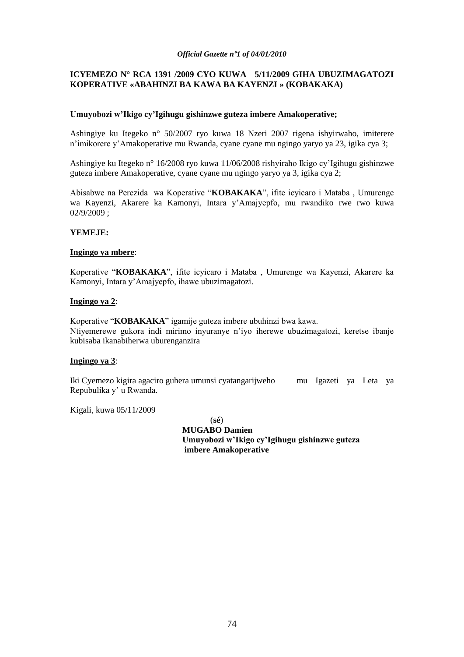## **ICYEMEZO N° RCA 1391 /2009 CYO KUWA 5/11/2009 GIHA UBUZIMAGATOZI KOPERATIVE «ABAHINZI BA KAWA BA KAYENZI » (KOBAKAKA)**

## **Umuyobozi w"Ikigo cy"Igihugu gishinzwe guteza imbere Amakoperative;**

Ashingiye ku Itegeko n° 50/2007 ryo kuwa 18 Nzeri 2007 rigena ishyirwaho, imiterere n"imikorere y"Amakoperative mu Rwanda, cyane cyane mu ngingo yaryo ya 23, igika cya 3;

Ashingiye ku Itegeko n° 16/2008 ryo kuwa 11/06/2008 rishyiraho Ikigo cy"Igihugu gishinzwe guteza imbere Amakoperative, cyane cyane mu ngingo yaryo ya 3, igika cya 2;

Abisabwe na Perezida wa Koperative "**KOBAKAKA**", ifite icyicaro i Mataba , Umurenge wa Kayenzi, Akarere ka Kamonyi, Intara y"Amajyepfo, mu rwandiko rwe rwo kuwa 02/9/2009 ;

## **YEMEJE:**

#### **Ingingo ya mbere**:

Koperative "**KOBAKAKA**", ifite icyicaro i Mataba , Umurenge wa Kayenzi, Akarere ka Kamonyi, Intara y"Amajyepfo, ihawe ubuzimagatozi.

## **Ingingo ya 2**:

Koperative "**KOBAKAKA**" igamije guteza imbere ubuhinzi bwa kawa. Ntiyemerewe gukora indi mirimo inyuranye n"iyo iherewe ubuzimagatozi, keretse ibanje kubisaba ikanabiherwa uburenganzira

## **Ingingo ya 3**:

Iki Cyemezo kigira agaciro guhera umunsi cyatangarijweho mu Igazeti ya Leta ya Repubulika y" u Rwanda.

Kigali, kuwa 05/11/2009

(**sé**)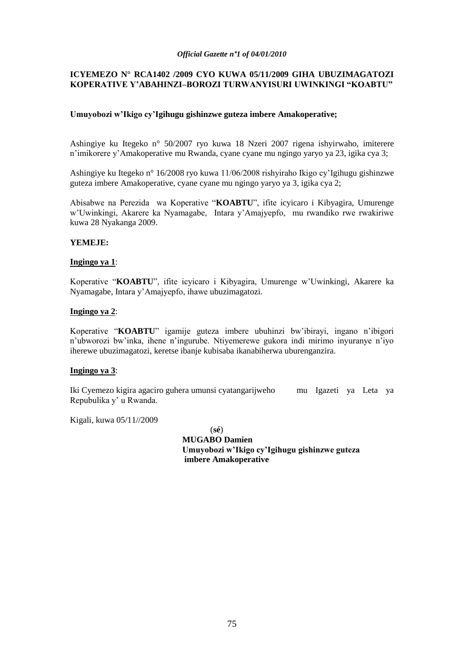## **ICYEMEZO N° RCA1402 /2009 CYO KUWA 05/11/2009 GIHA UBUZIMAGATOZI KOPERATIVE Y"ABAHINZI–BOROZI TURWANYISURI UWINKINGI "KOABTU"**

## **Umuyobozi w"Ikigo cy"Igihugu gishinzwe guteza imbere Amakoperative;**

Ashingiye ku Itegeko n° 50/2007 ryo kuwa 18 Nzeri 2007 rigena ishyirwaho, imiterere n"imikorere y"Amakoperative mu Rwanda, cyane cyane mu ngingo yaryo ya 23, igika cya 3;

Ashingiye ku Itegeko n° 16/2008 ryo kuwa 11/06/2008 rishyiraho Ikigo cy"Igihugu gishinzwe guteza imbere Amakoperative, cyane cyane mu ngingo yaryo ya 3, igika cya 2;

Abisabwe na Perezida wa Koperative "**KOABTU**", ifite icyicaro i Kibyagira, Umurenge w"Uwinkingi, Akarere ka Nyamagabe, Intara y"Amajyepfo, mu rwandiko rwe rwakiriwe kuwa 28 Nyakanga 2009.

## **YEMEJE:**

## **Ingingo ya 1**:

Koperative "**KOABTU**", ifite icyicaro i Kibyagira, Umurenge w"Uwinkingi, Akarere ka Nyamagabe, Intara y"Amajyepfo, ihawe ubuzimagatozi.

## **Ingingo ya 2**:

Koperative "**KOABTU**" igamije guteza imbere ubuhinzi bw"ibirayi, ingano n"ibigori n"ubworozi bw"inka, ihene n"ingurube. Ntiyemerewe gukora indi mirimo inyuranye n"iyo iherewe ubuzimagatozi, keretse ibanje kubisaba ikanabiherwa uburenganzira.

## **Ingingo ya 3**:

Iki Cyemezo kigira agaciro guhera umunsi cyatangarijweho mu Igazeti ya Leta ya Repubulika y" u Rwanda.

Kigali, kuwa 05/11//2009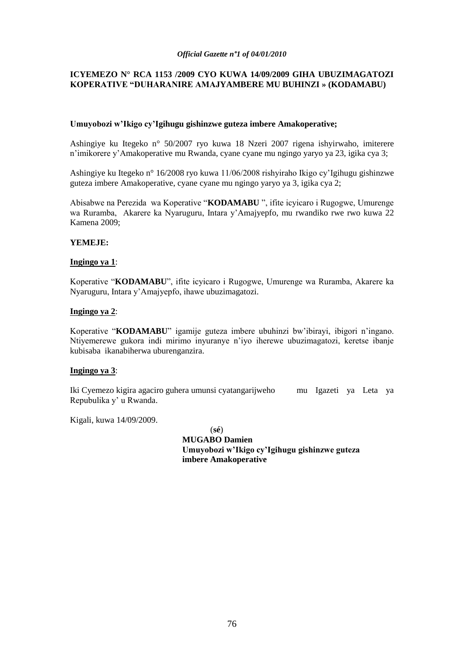## **ICYEMEZO N° RCA 1153 /2009 CYO KUWA 14/09/2009 GIHA UBUZIMAGATOZI KOPERATIVE "DUHARANIRE AMAJYAMBERE MU BUHINZI » (KODAMABU)**

## **Umuyobozi w"Ikigo cy"Igihugu gishinzwe guteza imbere Amakoperative;**

Ashingiye ku Itegeko n° 50/2007 ryo kuwa 18 Nzeri 2007 rigena ishyirwaho, imiterere n"imikorere y"Amakoperative mu Rwanda, cyane cyane mu ngingo yaryo ya 23, igika cya 3;

Ashingiye ku Itegeko n° 16/2008 ryo kuwa 11/06/2008 rishyiraho Ikigo cy"Igihugu gishinzwe guteza imbere Amakoperative, cyane cyane mu ngingo yaryo ya 3, igika cya 2;

Abisabwe na Perezida wa Koperative "**KODAMABU** ", ifite icyicaro i Rugogwe, Umurenge wa Ruramba, Akarere ka Nyaruguru, Intara y"Amajyepfo, mu rwandiko rwe rwo kuwa 22 Kamena 2009;

## **YEMEJE:**

## **Ingingo ya 1**:

Koperative "**KODAMABU**", ifite icyicaro i Rugogwe, Umurenge wa Ruramba, Akarere ka Nyaruguru, Intara y"Amajyepfo, ihawe ubuzimagatozi.

## **Ingingo ya 2**:

Koperative "**KODAMABU**" igamije guteza imbere ubuhinzi bw"ibirayi, ibigori n"ingano. Ntiyemerewe gukora indi mirimo inyuranye n"iyo iherewe ubuzimagatozi, keretse ibanje kubisaba ikanabiherwa uburenganzira.

## **Ingingo ya 3**:

Iki Cyemezo kigira agaciro guhera umunsi cyatangarijweho mu Igazeti ya Leta ya Repubulika y" u Rwanda.

Kigali, kuwa 14/09/2009.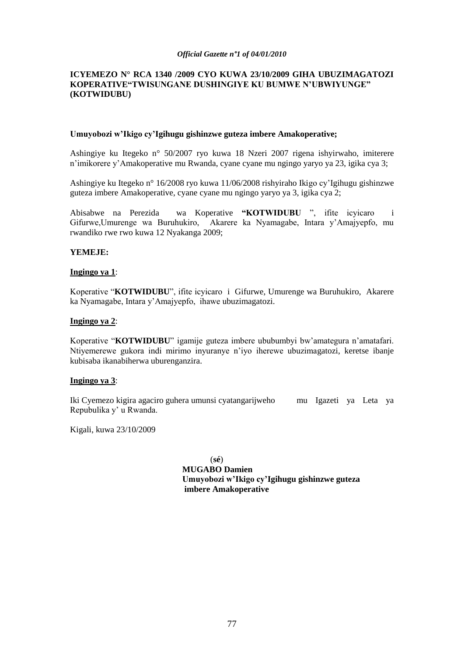## **ICYEMEZO N° RCA 1340 /2009 CYO KUWA 23/10/2009 GIHA UBUZIMAGATOZI KOPERATIVE"TWISUNGANE DUSHINGIYE KU BUMWE N"UBWIYUNGE" (KOTWIDUBU)**

## **Umuyobozi w"Ikigo cy"Igihugu gishinzwe guteza imbere Amakoperative;**

Ashingiye ku Itegeko n° 50/2007 ryo kuwa 18 Nzeri 2007 rigena ishyirwaho, imiterere n"imikorere y"Amakoperative mu Rwanda, cyane cyane mu ngingo yaryo ya 23, igika cya 3;

Ashingiye ku Itegeko n° 16/2008 ryo kuwa 11/06/2008 rishyiraho Ikigo cy"Igihugu gishinzwe guteza imbere Amakoperative, cyane cyane mu ngingo yaryo ya 3, igika cya 2;

Abisabwe na Perezida wa Koperative **"KOTWIDUBU** ", ifite icyicaro i Gifurwe,Umurenge wa Buruhukiro, Akarere ka Nyamagabe, Intara y"Amajyepfo, mu rwandiko rwe rwo kuwa 12 Nyakanga 2009;

## **YEMEJE:**

## **Ingingo ya 1**:

Koperative "**KOTWIDUBU**", ifite icyicaro i Gifurwe, Umurenge wa Buruhukiro, Akarere ka Nyamagabe, Intara y"Amajyepfo, ihawe ubuzimagatozi.

## **Ingingo ya 2**:

Koperative "**KOTWIDUBU**" igamije guteza imbere ububumbyi bw"amategura n"amatafari. Ntiyemerewe gukora indi mirimo inyuranye n"iyo iherewe ubuzimagatozi, keretse ibanje kubisaba ikanabiherwa uburenganzira.

#### **Ingingo ya 3**:

Iki Cyemezo kigira agaciro guhera umunsi cyatangarijweho mu Igazeti ya Leta ya Repubulika y" u Rwanda.

Kigali, kuwa 23/10/2009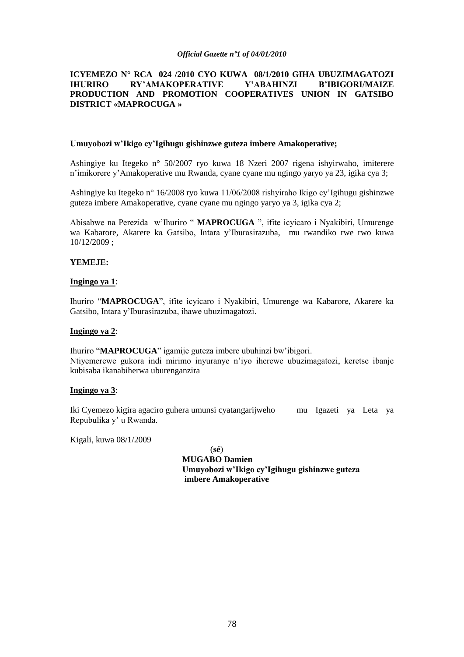## **ICYEMEZO N° RCA 024 /2010 CYO KUWA 08/1/2010 GIHA UBUZIMAGATOZI IHURIRO RY"AMAKOPERATIVE Y"ABAHINZI B"IBIGORI/MAIZE PRODUCTION AND PROMOTION COOPERATIVES UNION IN GATSIBO DISTRICT «MAPROCUGA »**

## **Umuyobozi w"Ikigo cy"Igihugu gishinzwe guteza imbere Amakoperative;**

Ashingiye ku Itegeko n° 50/2007 ryo kuwa 18 Nzeri 2007 rigena ishyirwaho, imiterere n"imikorere y"Amakoperative mu Rwanda, cyane cyane mu ngingo yaryo ya 23, igika cya 3;

Ashingiye ku Itegeko n° 16/2008 ryo kuwa 11/06/2008 rishyiraho Ikigo cy"Igihugu gishinzwe guteza imbere Amakoperative, cyane cyane mu ngingo yaryo ya 3, igika cya 2;

Abisabwe na Perezida w"Ihuriro " **MAPROCUGA** ", ifite icyicaro i Nyakibiri, Umurenge wa Kabarore, Akarere ka Gatsibo, Intara y"Iburasirazuba, mu rwandiko rwe rwo kuwa 10/12/2009 ;

## **YEMEJE:**

## **Ingingo ya 1**:

Ihuriro "**MAPROCUGA**", ifite icyicaro i Nyakibiri, Umurenge wa Kabarore, Akarere ka Gatsibo, Intara y"Iburasirazuba, ihawe ubuzimagatozi.

#### **Ingingo ya 2**:

Ihuriro "**MAPROCUGA**" igamije guteza imbere ubuhinzi bw"ibigori. Ntiyemerewe gukora indi mirimo inyuranye n"iyo iherewe ubuzimagatozi, keretse ibanje kubisaba ikanabiherwa uburenganzira

#### **Ingingo ya 3**:

Iki Cyemezo kigira agaciro guhera umunsi cyatangarijweho mu Igazeti ya Leta ya Repubulika y" u Rwanda.

Kigali, kuwa 08/1/2009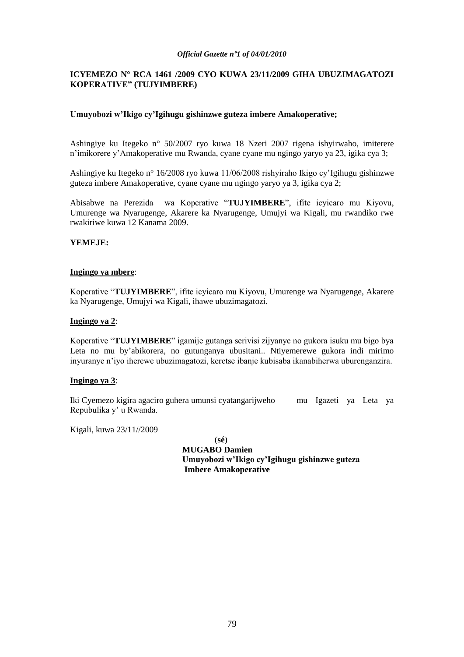## **ICYEMEZO N° RCA 1461 /2009 CYO KUWA 23/11/2009 GIHA UBUZIMAGATOZI KOPERATIVE" (TUJYIMBERE)**

## **Umuyobozi w"Ikigo cy"Igihugu gishinzwe guteza imbere Amakoperative;**

Ashingiye ku Itegeko n° 50/2007 ryo kuwa 18 Nzeri 2007 rigena ishyirwaho, imiterere n"imikorere y"Amakoperative mu Rwanda, cyane cyane mu ngingo yaryo ya 23, igika cya 3;

Ashingiye ku Itegeko n° 16/2008 ryo kuwa 11/06/2008 rishyiraho Ikigo cy"Igihugu gishinzwe guteza imbere Amakoperative, cyane cyane mu ngingo yaryo ya 3, igika cya 2;

Abisabwe na Perezida wa Koperative "**TUJYIMBERE**", ifite icyicaro mu Kiyovu, Umurenge wa Nyarugenge, Akarere ka Nyarugenge, Umujyi wa Kigali, mu rwandiko rwe rwakiriwe kuwa 12 Kanama 2009.

## **YEMEJE:**

## **Ingingo ya mbere**:

Koperative "**TUJYIMBERE**", ifite icyicaro mu Kiyovu, Umurenge wa Nyarugenge, Akarere ka Nyarugenge, Umujyi wa Kigali, ihawe ubuzimagatozi.

## **Ingingo ya 2**:

Koperative "**TUJYIMBERE**" igamije gutanga serivisi zijyanye no gukora isuku mu bigo bya Leta no mu by"abikorera, no gutunganya ubusitani.. Ntiyemerewe gukora indi mirimo inyuranye n"iyo iherewe ubuzimagatozi, keretse ibanje kubisaba ikanabiherwa uburenganzira.

## **Ingingo ya 3**:

Iki Cyemezo kigira agaciro guhera umunsi cyatangarijweho mu Igazeti ya Leta ya Repubulika y" u Rwanda.

Kigali, kuwa 23/11//2009

(**sé**)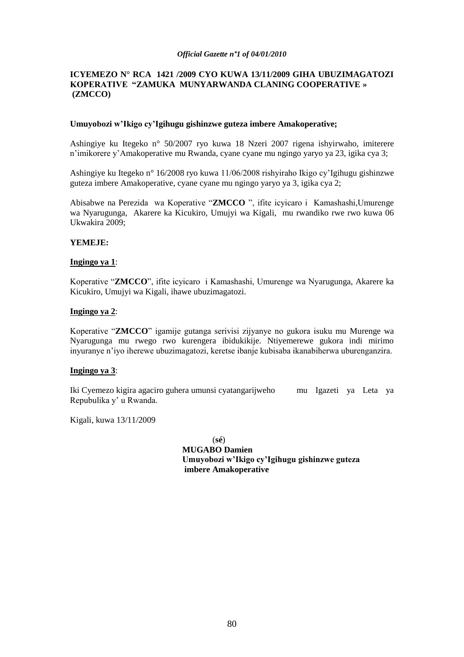## **ICYEMEZO N° RCA 1421 /2009 CYO KUWA 13/11/2009 GIHA UBUZIMAGATOZI KOPERATIVE "ZAMUKA MUNYARWANDA CLANING COOPERATIVE » (ZMCCO)**

## **Umuyobozi w"Ikigo cy"Igihugu gishinzwe guteza imbere Amakoperative;**

Ashingiye ku Itegeko n° 50/2007 ryo kuwa 18 Nzeri 2007 rigena ishyirwaho, imiterere n"imikorere y"Amakoperative mu Rwanda, cyane cyane mu ngingo yaryo ya 23, igika cya 3;

Ashingiye ku Itegeko n° 16/2008 ryo kuwa 11/06/2008 rishyiraho Ikigo cy"Igihugu gishinzwe guteza imbere Amakoperative, cyane cyane mu ngingo yaryo ya 3, igika cya 2;

Abisabwe na Perezida wa Koperative "**ZMCCO** ", ifite icyicaro i Kamashashi,Umurenge wa Nyarugunga, Akarere ka Kicukiro, Umujyi wa Kigali, mu rwandiko rwe rwo kuwa 06 Ukwakira 2009;

## **YEMEJE:**

## **Ingingo ya 1**:

Koperative "**ZMCCO**", ifite icyicaro i Kamashashi, Umurenge wa Nyarugunga, Akarere ka Kicukiro, Umujyi wa Kigali, ihawe ubuzimagatozi.

## **Ingingo ya 2**:

Koperative "**ZMCCO**" igamije gutanga serivisi zijyanye no gukora isuku mu Murenge wa Nyarugunga mu rwego rwo kurengera ibidukikije. Ntiyemerewe gukora indi mirimo inyuranye n"iyo iherewe ubuzimagatozi, keretse ibanje kubisaba ikanabiherwa uburenganzira.

## **Ingingo ya 3**:

Iki Cyemezo kigira agaciro guhera umunsi cyatangarijweho mu Igazeti ya Leta ya Repubulika y" u Rwanda.

Kigali, kuwa 13/11/2009

(**sé**)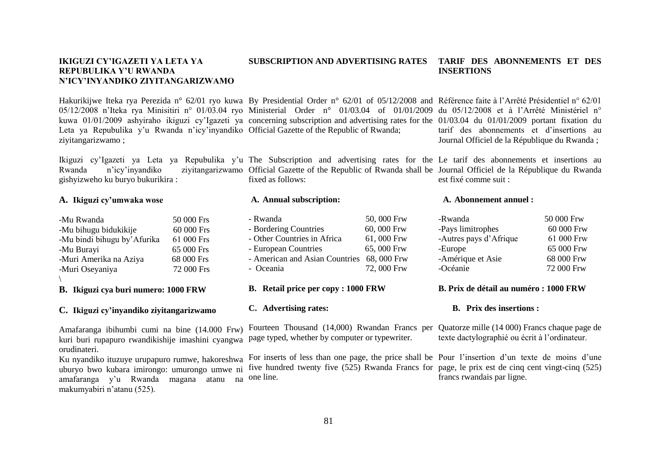#### **IKIGUZI CY"IGAZETI YA LETA YA REPUBULIKA Y"U RWANDA N"ICY"INYANDIKO ZIYITANGARIZWAMO SUBSCRIPTION AND ADVERTISING RATES INSERTIONS**

Hakurikijwe Iteka rya Perezida n° 62/01 ryo kuwa By Presidential Order n° 62/01 of 05/12/2008 and Référence faite à l'Arrêté Présidentiel n° 62/01 05/12/2008 n'Iteka rya Minisitiri n° 01/03.04 ryo Ministerial Order n° 01/03.04 of 01/01/2009 du 05/12/2008 et à l'Arrêté Ministériel n° kuwa 01/01/2009 ashyiraho ikiguzi cy"Igazeti ya concerning subscription and advertising rates for the 01/03.04 du 01/01/2009 portant fixation du Leta ya Repubulika y'u Rwanda n'icy'inyandiko Official Gazette of the Republic of Rwanda; ziyitangarizwamo ;

Ikiguzi cy'Igazeti ya Leta ya Repubulika y'u The Subscription and advertising rates for the Le tarif des abonnements et insertions au Rwanda n'icy'inyandiko ziyitangarizwamo Official Gazette of the Republic of Rwanda shall be Journal Officiel de la République du Rwanda gishyizweho ku buryo bukurikira :

## **A. Ikiguzi cy"umwaka wose**

| -Mu Rwanda                   | 50 000 Frs |
|------------------------------|------------|
| -Mu bihugu bidukikije        | 60 000 Frs |
| -Mu bindi bihugu by' Afurika | 61 000 Frs |
| -Mu Burayi                   | 65 000 Frs |
| -Muri Amerika na Aziya       | 68 000 Frs |
| -Muri Oseyaniya              | 72 000 Frs |
|                              |            |

**B. Ikiguzi cya buri numero: 1000 FRW**

#### **C. Ikiguzi cy"inyandiko ziyitangarizwamo**

Amafaranga ibihumbi cumi na bine (14.000 Frw) kuri buri rupapuro rwandikishije imashini cyangwa page typed, whether by computer or typewriter. orudinateri.

uburyo bwo kubara imirongo: umurongo umwe ni amafaranga y'u Rwanda magana atanu na one-line. makumyabiri n"atanu (525).

# **A. Annual subscription:**

| - Rwanda                                   | 50,000 Frw |
|--------------------------------------------|------------|
| - Bordering Countries                      | 60,000 Frw |
| - Other Countries in Africa                | 61,000 Frw |
| - European Countries                       | 65,000 Frw |
| - American and Asian Countries 68, 000 Frw |            |
| - Oceania                                  | 72,000 Frw |
|                                            |            |

- **B. Retail price per copy : 1000 FRW**
- **C. Advertising rates:**

Ku nyandiko ituzuye urupapuro rumwe, hakoreshwa For inserts of less than one page, the price shall be Pour l'insertion d'un texte de moins d'une five hundred twenty five (525) Rwanda Francs for page, le prix est de cinq cent vingt-cinq (525)

#### **A. Abonnement annuel :**

est fixé comme suit :

| 50 000 Frw |
|------------|
| 60 000 Frw |
| 61 000 Frw |
| 65 000 Frw |
| 68 000 Frw |
| 72 000 Frw |
|            |

#### **B. Prix de détail au numéro : 1000 FRW**

#### **B. Prix des insertions :**

Fourteen Thousand (14,000) Rwandan Francs per Quatorze mille (14 000) Francs chaque page de texte dactylographié ou écrit à l"ordinateur.

francs rwandais par ligne.

fixed as follows:

**TARIF DES ABONNEMENTS ET DES** 

tarif des abonnements et d"insertions au Journal Officiel de la République du Rwanda ;